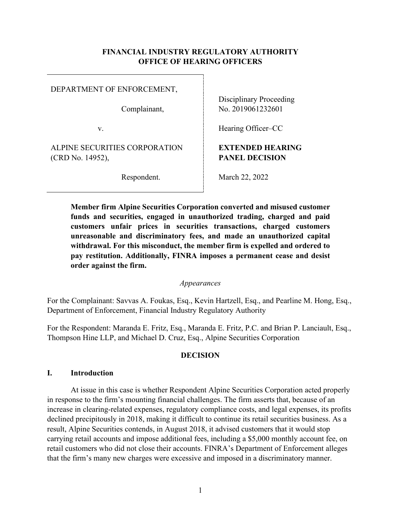### **FINANCIAL INDUSTRY REGULATORY AUTHORITY OFFICE OF HEARING OFFICERS**

DEPARTMENT OF ENFORCEMENT,

Complainant,

v.

ALPINE SECURITIES CORPORATION (CRD No. 14952),

Respondent.

Disciplinary Proceeding No. 2019061232601

Hearing Officer–CC

# **EXTENDED HEARING PANEL DECISION**

March 22, 2022

**Member firm Alpine Securities Corporation converted and misused customer funds and securities, engaged in unauthorized trading, charged and paid customers unfair prices in securities transactions, charged customers unreasonable and discriminatory fees, and made an unauthorized capital withdrawal. For this misconduct, the member firm is expelled and ordered to pay restitution. Additionally, FINRA imposes a permanent cease and desist order against the firm.**

### *Appearances*

For the Complainant: Savvas A. Foukas, Esq., Kevin Hartzell, Esq., and Pearline M. Hong, Esq., Department of Enforcement, Financial Industry Regulatory Authority

For the Respondent: Maranda E. Fritz, Esq., Maranda E. Fritz, P.C. and Brian P. Lanciault, Esq., Thompson Hine LLP, and Michael D. Cruz, Esq., Alpine Securities Corporation

### **DECISION**

#### **I. Introduction**

At issue in this case is whether Respondent Alpine Securities Corporation acted properly in response to the firm's mounting financial challenges. The firm asserts that, because of an increase in clearing-related expenses, regulatory compliance costs, and legal expenses, its profits declined precipitously in 2018, making it difficult to continue its retail securities business. As a result, Alpine Securities contends, in August 2018, it advised customers that it would stop carrying retail accounts and impose additional fees, including a \$5,000 monthly account fee, on retail customers who did not close their accounts. FINRA's Department of Enforcement alleges that the firm's many new charges were excessive and imposed in a discriminatory manner.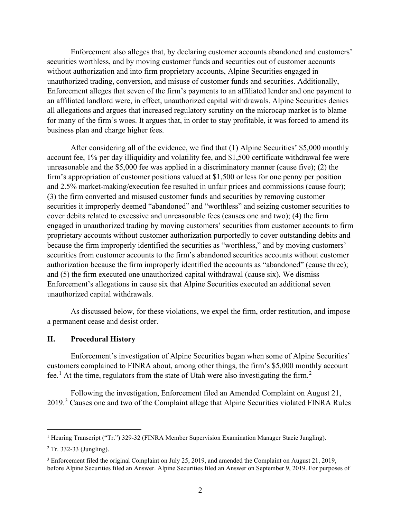Enforcement also alleges that, by declaring customer accounts abandoned and customers' securities worthless, and by moving customer funds and securities out of customer accounts without authorization and into firm proprietary accounts, Alpine Securities engaged in unauthorized trading, conversion, and misuse of customer funds and securities. Additionally, Enforcement alleges that seven of the firm's payments to an affiliated lender and one payment to an affiliated landlord were, in effect, unauthorized capital withdrawals. Alpine Securities denies all allegations and argues that increased regulatory scrutiny on the microcap market is to blame for many of the firm's woes. It argues that, in order to stay profitable, it was forced to amend its business plan and charge higher fees.

After considering all of the evidence, we find that (1) Alpine Securities' \$5,000 monthly account fee, 1% per day illiquidity and volatility fee, and \$1,500 certificate withdrawal fee were unreasonable and the \$5,000 fee was applied in a discriminatory manner (cause five); (2) the firm's appropriation of customer positions valued at \$1,500 or less for one penny per position and 2.5% market-making/execution fee resulted in unfair prices and commissions (cause four); (3) the firm converted and misused customer funds and securities by removing customer securities it improperly deemed "abandoned" and "worthless" and seizing customer securities to cover debits related to excessive and unreasonable fees (causes one and two); (4) the firm engaged in unauthorized trading by moving customers' securities from customer accounts to firm proprietary accounts without customer authorization purportedly to cover outstanding debits and because the firm improperly identified the securities as "worthless," and by moving customers' securities from customer accounts to the firm's abandoned securities accounts without customer authorization because the firm improperly identified the accounts as "abandoned" (cause three); and (5) the firm executed one unauthorized capital withdrawal (cause six). We dismiss Enforcement's allegations in cause six that Alpine Securities executed an additional seven unauthorized capital withdrawals.

As discussed below, for these violations, we expel the firm, order restitution, and impose a permanent cease and desist order.

#### **II. Procedural History**

Enforcement's investigation of Alpine Securities began when some of Alpine Securities' customers complained to FINRA about, among other things, the firm's \$5,000 monthly account fee.<sup>1</sup> At the time, regulators from the state of Utah were also investigating the firm.<sup>2</sup>

Following the investigation, Enforcement filed an Amended Complaint on August 21, 2019.<sup>3</sup> Causes one and two of the Complaint allege that Alpine Securities violated FINRA Rules

<sup>&</sup>lt;sup>1</sup> Hearing Transcript ("Tr.") 329-32 (FINRA Member Supervision Examination Manager Stacie Jungling).

<sup>2</sup> Tr. 332-33 (Jungling).

<sup>3</sup> Enforcement filed the original Complaint on July 25, 2019, and amended the Complaint on August 21, 2019, before Alpine Securities filed an Answer. Alpine Securities filed an Answer on September 9, 2019. For purposes of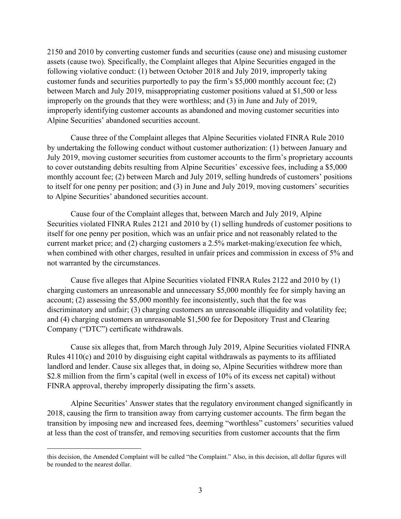2150 and 2010 by converting customer funds and securities (cause one) and misusing customer assets (cause two). Specifically, the Complaint alleges that Alpine Securities engaged in the following violative conduct: (1) between October 2018 and July 2019, improperly taking customer funds and securities purportedly to pay the firm's \$5,000 monthly account fee; (2) between March and July 2019, misappropriating customer positions valued at \$1,500 or less improperly on the grounds that they were worthless; and (3) in June and July of 2019, improperly identifying customer accounts as abandoned and moving customer securities into Alpine Securities' abandoned securities account.

Cause three of the Complaint alleges that Alpine Securities violated FINRA Rule 2010 by undertaking the following conduct without customer authorization: (1) between January and July 2019, moving customer securities from customer accounts to the firm's proprietary accounts to cover outstanding debits resulting from Alpine Securities' excessive fees, including a \$5,000 monthly account fee; (2) between March and July 2019, selling hundreds of customers' positions to itself for one penny per position; and (3) in June and July 2019, moving customers' securities to Alpine Securities' abandoned securities account.

Cause four of the Complaint alleges that, between March and July 2019, Alpine Securities violated FINRA Rules 2121 and 2010 by (1) selling hundreds of customer positions to itself for one penny per position, which was an unfair price and not reasonably related to the current market price; and (2) charging customers a 2.5% market-making/execution fee which, when combined with other charges, resulted in unfair prices and commission in excess of 5% and not warranted by the circumstances.

Cause five alleges that Alpine Securities violated FINRA Rules 2122 and 2010 by (1) charging customers an unreasonable and unnecessary \$5,000 monthly fee for simply having an account; (2) assessing the \$5,000 monthly fee inconsistently, such that the fee was discriminatory and unfair; (3) charging customers an unreasonable illiquidity and volatility fee; and (4) charging customers an unreasonable \$1,500 fee for Depository Trust and Clearing Company ("DTC") certificate withdrawals.

Cause six alleges that, from March through July 2019, Alpine Securities violated FINRA Rules 4110(c) and 2010 by disguising eight capital withdrawals as payments to its affiliated landlord and lender. Cause six alleges that, in doing so, Alpine Securities withdrew more than \$2.8 million from the firm's capital (well in excess of 10% of its excess net capital) without FINRA approval, thereby improperly dissipating the firm's assets.

Alpine Securities' Answer states that the regulatory environment changed significantly in 2018, causing the firm to transition away from carrying customer accounts. The firm began the transition by imposing new and increased fees, deeming "worthless" customers' securities valued at less than the cost of transfer, and removing securities from customer accounts that the firm

this decision, the Amended Complaint will be called "the Complaint." Also, in this decision, all dollar figures will be rounded to the nearest dollar.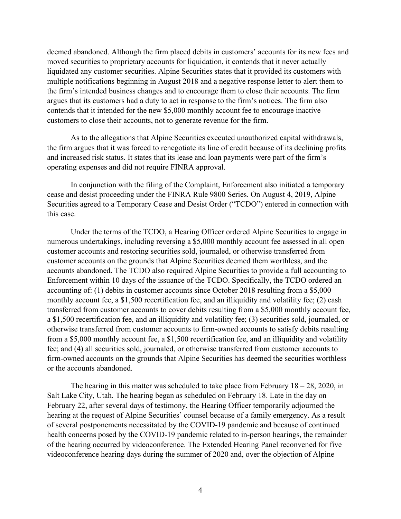deemed abandoned. Although the firm placed debits in customers' accounts for its new fees and moved securities to proprietary accounts for liquidation, it contends that it never actually liquidated any customer securities. Alpine Securities states that it provided its customers with multiple notifications beginning in August 2018 and a negative response letter to alert them to the firm's intended business changes and to encourage them to close their accounts. The firm argues that its customers had a duty to act in response to the firm's notices. The firm also contends that it intended for the new \$5,000 monthly account fee to encourage inactive customers to close their accounts, not to generate revenue for the firm.

As to the allegations that Alpine Securities executed unauthorized capital withdrawals, the firm argues that it was forced to renegotiate its line of credit because of its declining profits and increased risk status. It states that its lease and loan payments were part of the firm's operating expenses and did not require FINRA approval.

In conjunction with the filing of the Complaint, Enforcement also initiated a temporary cease and desist proceeding under the FINRA Rule 9800 Series. On August 4, 2019, Alpine Securities agreed to a Temporary Cease and Desist Order ("TCDO") entered in connection with this case.

Under the terms of the TCDO, a Hearing Officer ordered Alpine Securities to engage in numerous undertakings, including reversing a \$5,000 monthly account fee assessed in all open customer accounts and restoring securities sold, journaled, or otherwise transferred from customer accounts on the grounds that Alpine Securities deemed them worthless, and the accounts abandoned. The TCDO also required Alpine Securities to provide a full accounting to Enforcement within 10 days of the issuance of the TCDO. Specifically, the TCDO ordered an accounting of: (1) debits in customer accounts since October 2018 resulting from a \$5,000 monthly account fee, a \$1,500 recertification fee, and an illiquidity and volatility fee; (2) cash transferred from customer accounts to cover debits resulting from a \$5,000 monthly account fee, a \$1,500 recertification fee, and an illiquidity and volatility fee; (3) securities sold, journaled, or otherwise transferred from customer accounts to firm-owned accounts to satisfy debits resulting from a \$5,000 monthly account fee, a \$1,500 recertification fee, and an illiquidity and volatility fee; and (4) all securities sold, journaled, or otherwise transferred from customer accounts to firm-owned accounts on the grounds that Alpine Securities has deemed the securities worthless or the accounts abandoned.

The hearing in this matter was scheduled to take place from February  $18 - 28$ , 2020, in Salt Lake City, Utah. The hearing began as scheduled on February 18. Late in the day on February 22, after several days of testimony, the Hearing Officer temporarily adjourned the hearing at the request of Alpine Securities' counsel because of a family emergency. As a result of several postponements necessitated by the COVID-19 pandemic and because of continued health concerns posed by the COVID-19 pandemic related to in-person hearings, the remainder of the hearing occurred by videoconference. The Extended Hearing Panel reconvened for five videoconference hearing days during the summer of 2020 and, over the objection of Alpine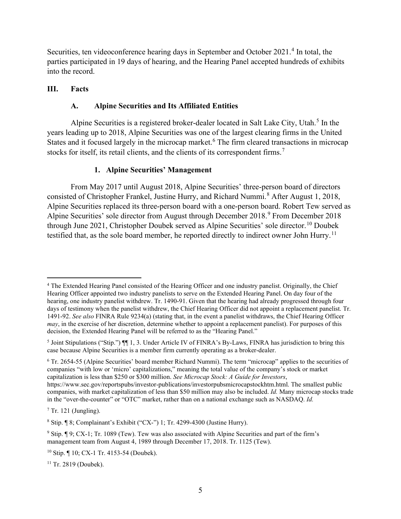Securities, ten videoconference hearing days in September and October 2021.<sup>4</sup> In total, the parties participated in 19 days of hearing, and the Hearing Panel accepted hundreds of exhibits into the record.

### **III. Facts**

### **A. Alpine Securities and Its Affiliated Entities**

Alpine Securities is a registered broker-dealer located in Salt Lake City, Utah.<sup>5</sup> In the years leading up to 2018, Alpine Securities was one of the largest clearing firms in the United States and it focused largely in the microcap market. <sup>6</sup> The firm cleared transactions in microcap stocks for itself, its retail clients, and the clients of its correspondent firms.<sup>7</sup>

### **1. Alpine Securities' Management**

From May 2017 until August 2018, Alpine Securities' three-person board of directors consisted of Christopher Frankel, Justine Hurry, and Richard Nummi.<sup>8</sup> After August 1, 2018, Alpine Securities replaced its three-person board with a one-person board. Robert Tew served as Alpine Securities' sole director from August through December 2018.<sup>9</sup> From December 2018 through June 2021, Christopher Doubek served as Alpine Securities' sole director.<sup>10</sup> Doubek testified that, as the sole board member, he reported directly to indirect owner John Hurry.<sup>11</sup>

 $7$  Tr. 121 (Jungling).

<sup>11</sup> Tr. 2819 (Doubek).

<sup>4</sup> The Extended Hearing Panel consisted of the Hearing Officer and one industry panelist. Originally, the Chief Hearing Officer appointed two industry panelists to serve on the Extended Hearing Panel. On day four of the hearing, one industry panelist withdrew. Tr. 1490-91. Given that the hearing had already progressed through four days of testimony when the panelist withdrew, the Chief Hearing Officer did not appoint a replacement panelist. Tr. 1491-92. *See also* FINRA Rule 9234(a) (stating that, in the event a panelist withdraws, the Chief Hearing Officer *may*, in the exercise of her discretion, determine whether to appoint a replacement panelist). For purposes of this decision, the Extended Hearing Panel will be referred to as the "Hearing Panel."

<sup>&</sup>lt;sup>5</sup> Joint Stipulations ("Stip.") ¶ 1, 3. Under Article IV of FINRA's By-Laws, FINRA has jurisdiction to bring this case because Alpine Securities is a member firm currently operating as a broker-dealer.

<sup>6</sup> Tr. 2654-55 (Alpine Securities' board member Richard Nummi). The term "microcap" applies to the securities of companies "with low or 'micro' capitalizations," meaning the total value of the company's stock or market capitalization is less than \$250 or \$300 million. *See Microcap Stock: A Guide for Investors*, https://www.sec.gov/reportspubs/investor-publications/investorpubsmicrocapstockhtm.html. The smallest public companies, with market capitalization of less than \$50 million may also be included. *Id.* Many microcap stocks trade in the "over-the-counter" or "OTC" market, rather than on a national exchange such as NASDAQ. *Id.*

 $8$  Stip.  $\sqrt{8}$ ; Complainant's Exhibit ("CX-") 1; Tr. 4299-4300 (Justine Hurry).

<sup>9</sup> Stip. ¶ 9; CX-1; Tr. 1089 (Tew). Tew was also associated with Alpine Securities and part of the firm's management team from August 4, 1989 through December 17, 2018. Tr. 1125 (Tew).

<sup>10</sup> Stip. ¶ 10; CX-1 Tr. 4153-54 (Doubek).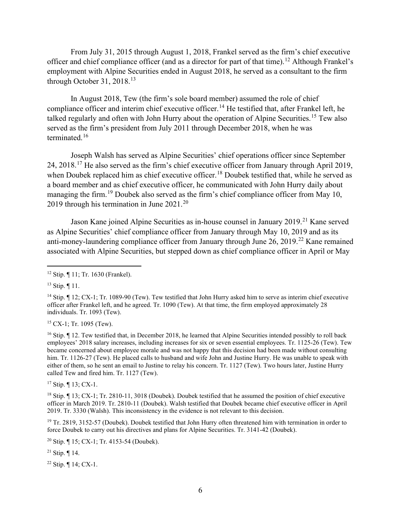From July 31, 2015 through August 1, 2018, Frankel served as the firm's chief executive officer and chief compliance officer (and as a director for part of that time).<sup>12</sup> Although Frankel's employment with Alpine Securities ended in August 2018, he served as a consultant to the firm through October 31, 2018.<sup>13</sup>

In August 2018, Tew (the firm's sole board member) assumed the role of chief compliance officer and interim chief executive officer. <sup>14</sup> He testified that, after Frankel left, he talked regularly and often with John Hurry about the operation of Alpine Securities.<sup>15</sup> Tew also served as the firm's president from July 2011 through December 2018, when he was terminated.<sup>16</sup>

Joseph Walsh has served as Alpine Securities' chief operations officer since September 24, 2018.<sup>17</sup> He also served as the firm's chief executive officer from January through April 2019, when Doubek replaced him as chief executive officer.<sup>18</sup> Doubek testified that, while he served as a board member and as chief executive officer, he communicated with John Hurry daily about managing the firm.<sup>19</sup> Doubek also served as the firm's chief compliance officer from May 10, 2019 through his termination in June  $2021.^{20}$ 

Jason Kane joined Alpine Securities as in-house counsel in January 2019.<sup>21</sup> Kane served as Alpine Securities' chief compliance officer from January through May 10, 2019 and as its anti-money-laundering compliance officer from January through June  $26$ ,  $2019$ <sup>22</sup> Kane remained associated with Alpine Securities, but stepped down as chief compliance officer in April or May

 $15$  CX-1; Tr. 1095 (Tew).

 $16$  Stip.  $\llbracket$  12. Tew testified that, in December 2018, he learned that Alpine Securities intended possibly to roll back employees' 2018 salary increases, including increases for six or seven essential employees. Tr. 1125-26 (Tew). Tew became concerned about employee morale and was not happy that this decision had been made without consulting him. Tr. 1126-27 (Tew). He placed calls to husband and wife John and Justine Hurry. He was unable to speak with either of them, so he sent an email to Justine to relay his concern. Tr. 1127 (Tew). Two hours later, Justine Hurry called Tew and fired him. Tr. 1127 (Tew).

<sup>17</sup> Stip. ¶ 13; CX-1.

<sup>19</sup> Tr. 2819, 3152-57 (Doubek). Doubek testified that John Hurry often threatened him with termination in order to force Doubek to carry out his directives and plans for Alpine Securities. Tr. 3141-42 (Doubek).

<sup>20</sup> Stip. ¶ 15; CX-1; Tr. 4153-54 (Doubek).

<sup>21</sup> Stip.  $\P$  14.

<sup>22</sup> Stip. ¶ 14; CX-1.

<sup>12</sup> Stip. ¶ 11; Tr. 1630 (Frankel).

 $13$  Stip.  $\P$  11.

<sup>&</sup>lt;sup>14</sup> Stip. ¶ 12; CX-1; Tr. 1089-90 (Tew). Tew testified that John Hurry asked him to serve as interim chief executive officer after Frankel left, and he agreed. Tr. 1090 (Tew). At that time, the firm employed approximately 28 individuals. Tr. 1093 (Tew).

<sup>18</sup> Stip. ¶ 13; CX-1; Tr. 2810-11, 3018 (Doubek). Doubek testified that he assumed the position of chief executive officer in March 2019. Tr. 2810-11 (Doubek). Walsh testified that Doubek became chief executive officer in April 2019. Tr. 3330 (Walsh). This inconsistency in the evidence is not relevant to this decision.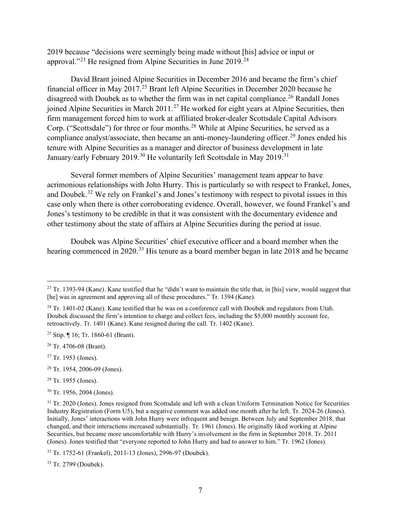2019 because "decisions were seemingly being made without [his] advice or input or approval."<sup>23</sup> He resigned from Alpine Securities in June 2019.<sup>24</sup>

David Brant joined Alpine Securities in December 2016 and became the firm's chief financial officer in May 2017.<sup>25</sup> Brant left Alpine Securities in December 2020 because he disagreed with Doubek as to whether the firm was in net capital compliance.<sup>26</sup> Randall Jones joined Alpine Securities in March 2011.<sup>27</sup> He worked for eight years at Alpine Securities, then firm management forced him to work at affiliated broker-dealer Scottsdale Capital Advisors Corp. ("Scottsdale") for three or four months.<sup>28</sup> While at Alpine Securities, he served as a compliance analyst/associate, then became an anti-money-laundering officer.<sup>29</sup> Jones ended his tenure with Alpine Securities as a manager and director of business development in late January/early February 2019.<sup>30</sup> He voluntarily left Scottsdale in May 2019.<sup>31</sup>

Several former members of Alpine Securities' management team appear to have acrimonious relationships with John Hurry. This is particularly so with respect to Frankel, Jones, and Doubek.<sup>32</sup> We rely on Frankel's and Jones's testimony with respect to pivotal issues in this case only when there is other corroborating evidence. Overall, however, we found Frankel's and Jones's testimony to be credible in that it was consistent with the documentary evidence and other testimony about the state of affairs at Alpine Securities during the period at issue.

Doubek was Alpine Securities' chief executive officer and a board member when the hearing commenced in 2020.<sup>33</sup> His tenure as a board member began in late 2018 and he became

<sup>25</sup> Stip.  $\P$  16; Tr. 1860-61 (Brant).

<sup>26</sup> Tr. 4706-08 (Brant).

<sup>27</sup> Tr. 1953 (Jones).

<sup>28</sup> Tr. 1954, 2006-09 (Jones).

<sup>29</sup> Tr. 1955 (Jones).

<sup>30</sup> Tr. 1956, 2004 (Jones).

<sup>32</sup> Tr. 1752-61 (Frankel), 2011-13 (Jones), 2996-97 (Doubek).

<sup>33</sup> Tr. 2799 (Doubek).

<sup>&</sup>lt;sup>23</sup> Tr. 1393-94 (Kane). Kane testified that he "didn't want to maintain the title that, in [his] view, would suggest that [he] was in agreement and approving all of these procedures." Tr. 1394 (Kane).

 $^{24}$  Tr. 1401-02 (Kane). Kane testified that he was on a conference call with Doubek and regulators from Utah. Doubek discussed the firm's intention to charge and collect fees, including the \$5,000 monthly account fee, retroactively. Tr. 1401 (Kane). Kane resigned during the call. Tr. 1402 (Kane).

<sup>&</sup>lt;sup>31</sup> Tr. 2020 (Jones). Jones resigned from Scottsdale and left with a clean Uniform Termination Notice for Securities Industry Registration (Form U5), but a negative comment was added one month after he left. Tr. 2024-26 (Jones). Initially, Jones' interactions with John Hurry were infrequent and benign. Between July and September 2018, that changed, and their interactions increased substantially. Tr. 1961 (Jones). He originally liked working at Alpine Securities, but became more uncomfortable with Hurry's involvement in the firm in September 2018. Tr. 2011 (Jones). Jones testified that "everyone reported to John Hurry and had to answer to him." Tr. 1962 (Jones).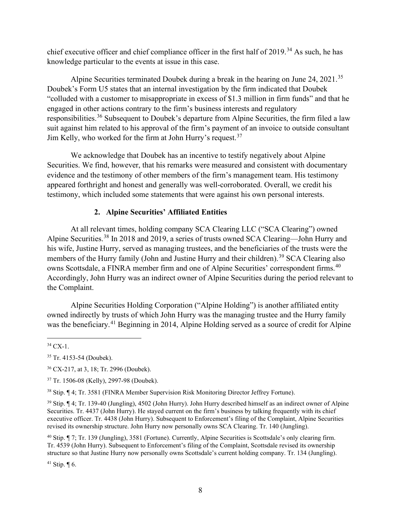chief executive officer and chief compliance officer in the first half of 2019.<sup>34</sup> As such, he has knowledge particular to the events at issue in this case.

Alpine Securities terminated Doubek during a break in the hearing on June 24, 2021.<sup>35</sup> Doubek's Form U5 states that an internal investigation by the firm indicated that Doubek "colluded with a customer to misappropriate in excess of \$1.3 million in firm funds" and that he engaged in other actions contrary to the firm's business interests and regulatory responsibilities.<sup>36</sup> Subsequent to Doubek's departure from Alpine Securities, the firm filed a law suit against him related to his approval of the firm's payment of an invoice to outside consultant Jim Kelly, who worked for the firm at John Hurry's request.  $37$ 

We acknowledge that Doubek has an incentive to testify negatively about Alpine Securities. We find, however, that his remarks were measured and consistent with documentary evidence and the testimony of other members of the firm's management team. His testimony appeared forthright and honest and generally was well-corroborated. Overall, we credit his testimony, which included some statements that were against his own personal interests.

# **2. Alpine Securities' Affiliated Entities**

At all relevant times, holding company SCA Clearing LLC ("SCA Clearing") owned Alpine Securities.<sup>38</sup> In 2018 and 2019, a series of trusts owned SCA Clearing—John Hurry and his wife, Justine Hurry, served as managing trustees, and the beneficiaries of the trusts were the members of the Hurry family (John and Justine Hurry and their children).<sup>39</sup> SCA Clearing also owns Scottsdale, a FINRA member firm and one of Alpine Securities' correspondent firms.<sup>40</sup> Accordingly, John Hurry was an indirect owner of Alpine Securities during the period relevant to the Complaint.

Alpine Securities Holding Corporation ("Alpine Holding") is another affiliated entity owned indirectly by trusts of which John Hurry was the managing trustee and the Hurry family was the beneficiary.<sup>41</sup> Beginning in 2014, Alpine Holding served as a source of credit for Alpine

<sup>41</sup> Stip.  $\P$  6.

 $34$  CX-1.

<sup>35</sup> Tr. 4153-54 (Doubek).

<sup>36</sup> CX-217, at 3, 18; Tr. 2996 (Doubek).

<sup>37</sup> Tr. 1506-08 (Kelly), 2997-98 (Doubek).

<sup>38</sup> Stip. ¶ 4; Tr. 3581 (FINRA Member Supervision Risk Monitoring Director Jeffrey Fortune).

<sup>39</sup> Stip. ¶ 4; Tr. 139-40 (Jungling), 4502 (John Hurry). John Hurry described himself as an indirect owner of Alpine Securities. Tr. 4437 (John Hurry). He stayed current on the firm's business by talking frequently with its chief executive officer. Tr. 4438 (John Hurry). Subsequent to Enforcement's filing of the Complaint, Alpine Securities revised its ownership structure. John Hurry now personally owns SCA Clearing. Tr. 140 (Jungling).

<sup>40</sup> Stip. ¶ 7; Tr. 139 (Jungling), 3581 (Fortune). Currently, Alpine Securities is Scottsdale's only clearing firm. Tr. 4539 (John Hurry). Subsequent to Enforcement's filing of the Complaint, Scottsdale revised its ownership structure so that Justine Hurry now personally owns Scottsdale's current holding company. Tr. 134 (Jungling).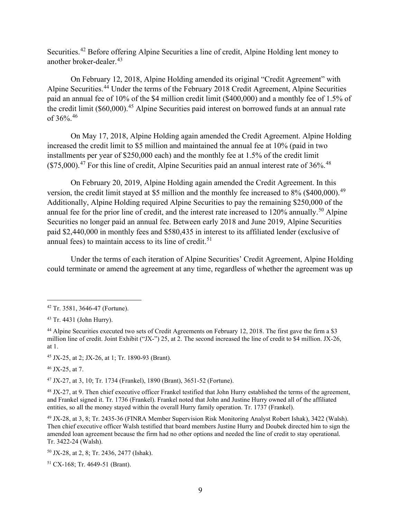Securities.<sup>42</sup> Before offering Alpine Securities a line of credit, Alpine Holding lent money to another broker-dealer.<sup>43</sup>

On February 12, 2018, Alpine Holding amended its original "Credit Agreement" with Alpine Securities.<sup>44</sup> Under the terms of the February 2018 Credit Agreement, Alpine Securities paid an annual fee of 10% of the \$4 million credit limit (\$400,000) and a monthly fee of 1.5% of the credit limit (\$60,000).<sup>45</sup> Alpine Securities paid interest on borrowed funds at an annual rate of 36%. 46

On May 17, 2018, Alpine Holding again amended the Credit Agreement. Alpine Holding increased the credit limit to \$5 million and maintained the annual fee at 10% (paid in two installments per year of \$250,000 each) and the monthly fee at 1.5% of the credit limit  $(\$75,000).$ <sup>47</sup> For this line of credit, Alpine Securities paid an annual interest rate of 36%.<sup>48</sup>

On February 20, 2019, Alpine Holding again amended the Credit Agreement. In this version, the credit limit stayed at \$5 million and the monthly fee increased to 8% (\$400,000).<sup>49</sup> Additionally, Alpine Holding required Alpine Securities to pay the remaining \$250,000 of the annual fee for the prior line of credit, and the interest rate increased to  $120\%$  annually.<sup>50</sup> Alpine Securities no longer paid an annual fee. Between early 2018 and June 2019, Alpine Securities paid \$2,440,000 in monthly fees and \$580,435 in interest to its affiliated lender (exclusive of annual fees) to maintain access to its line of credit. $51$ 

Under the terms of each iteration of Alpine Securities' Credit Agreement, Alpine Holding could terminate or amend the agreement at any time, regardless of whether the agreement was up

<sup>45</sup> JX-25, at 2; JX-26, at 1; Tr. 1890-93 (Brant).

 $46$  JX-25, at 7.

<sup>47</sup> JX-27, at 3, 10; Tr. 1734 (Frankel), 1890 (Brant), 3651-52 (Fortune).

<sup>48</sup> JX-27, at 9. Then chief executive officer Frankel testified that John Hurry established the terms of the agreement, and Frankel signed it. Tr. 1736 (Frankel). Frankel noted that John and Justine Hurry owned all of the affiliated entities, so all the money stayed within the overall Hurry family operation. Tr. 1737 (Frankel).

<sup>42</sup> Tr. 3581, 3646-47 (Fortune).

<sup>43</sup> Tr. 4431 (John Hurry).

<sup>&</sup>lt;sup>44</sup> Alpine Securities executed two sets of Credit Agreements on February 12, 2018. The first gave the firm a \$3 million line of credit. Joint Exhibit ("JX-") 25, at 2. The second increased the line of credit to \$4 million. JX-26, at 1.

<sup>49</sup> JX-28, at 3, 8; Tr. 2435-36 (FINRA Member Supervision Risk Monitoring Analyst Robert Ishak), 3422 (Walsh). Then chief executive officer Walsh testified that board members Justine Hurry and Doubek directed him to sign the amended loan agreement because the firm had no other options and needed the line of credit to stay operational. Tr. 3422-24 (Walsh).

<sup>50</sup> JX-28, at 2, 8; Tr. 2436, 2477 (Ishak).

<sup>51</sup> CX-168; Tr. 4649-51 (Brant).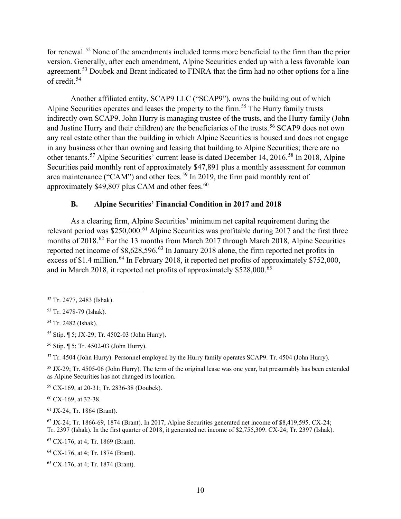for renewal.<sup>52</sup> None of the amendments included terms more beneficial to the firm than the prior version. Generally, after each amendment, Alpine Securities ended up with a less favorable loan agreement.<sup>53</sup> Doubek and Brant indicated to FINRA that the firm had no other options for a line of credit.<sup>54</sup>

Another affiliated entity, SCAP9 LLC ("SCAP9"), owns the building out of which Alpine Securities operates and leases the property to the firm.<sup>55</sup> The Hurry family trusts indirectly own SCAP9. John Hurry is managing trustee of the trusts, and the Hurry family (John and Justine Hurry and their children) are the beneficiaries of the trusts.<sup>56</sup> SCAP9 does not own any real estate other than the building in which Alpine Securities is housed and does not engage in any business other than owning and leasing that building to Alpine Securities; there are no other tenants.<sup>57</sup> Alpine Securities' current lease is dated December 14, 2016.<sup>58</sup> In 2018, Alpine Securities paid monthly rent of approximately \$47,891 plus a monthly assessment for common area maintenance ("CAM") and other fees.<sup>59</sup> In 2019, the firm paid monthly rent of approximately  $$49,807$  plus CAM and other fees.<sup>60</sup>

### **B. Alpine Securities' Financial Condition in 2017 and 2018**

As a clearing firm, Alpine Securities' minimum net capital requirement during the relevant period was \$250,000.<sup>61</sup> Alpine Securities was profitable during 2017 and the first three months of 2018.<sup>62</sup> For the 13 months from March 2017 through March 2018, Alpine Securities reported net income of \$8,628,596.<sup>63</sup> In January 2018 alone, the firm reported net profits in excess of \$1.4 million.<sup>64</sup> In February 2018, it reported net profits of approximately \$752,000, and in March 2018, it reported net profits of approximately \$528,000.<sup>65</sup>

<sup>55</sup> Stip. ¶ 5; JX-29; Tr. 4502-03 (John Hurry).

<sup>60</sup> CX-169, at 32-38.

<sup>61</sup> JX-24; Tr. 1864 (Brant).

<sup>63</sup> CX-176, at 4; Tr. 1869 (Brant).

<sup>64</sup> CX-176, at 4; Tr. 1874 (Brant).

<sup>52</sup> Tr. 2477, 2483 (Ishak).

<sup>53</sup> Tr. 2478-79 (Ishak).

<sup>54</sup> Tr. 2482 (Ishak).

<sup>56</sup> Stip. ¶ 5; Tr. 4502-03 (John Hurry).

<sup>57</sup> Tr. 4504 (John Hurry). Personnel employed by the Hurry family operates SCAP9. Tr. 4504 (John Hurry).

<sup>58</sup> JX-29; Tr. 4505-06 (John Hurry). The term of the original lease was one year, but presumably has been extended as Alpine Securities has not changed its location.

<sup>59</sup> CX-169, at 20-31; Tr. 2836-38 (Doubek).

 $62$  JX-24; Tr. 1866-69, 1874 (Brant). In 2017, Alpine Securities generated net income of \$8,419,595. CX-24; Tr. 2397 (Ishak). In the first quarter of 2018, it generated net income of \$2,755,309. CX-24; Tr. 2397 (Ishak).

<sup>65</sup> CX-176, at 4; Tr. 1874 (Brant).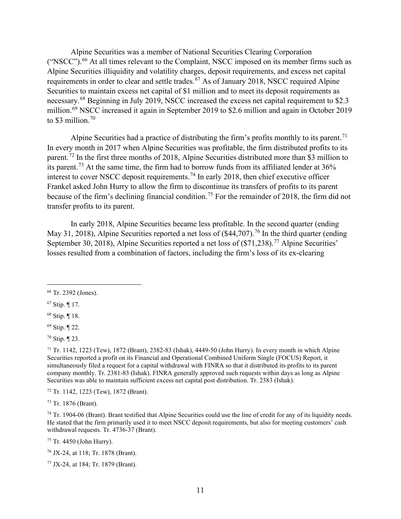Alpine Securities was a member of National Securities Clearing Corporation ("NSCC").<sup>66</sup> At all times relevant to the Complaint, NSCC imposed on its member firms such as Alpine Securities illiquidity and volatility charges, deposit requirements, and excess net capital requirements in order to clear and settle trades.<sup>67</sup> As of January 2018, NSCC required Alpine Securities to maintain excess net capital of \$1 million and to meet its deposit requirements as necessary.<sup>68</sup> Beginning in July 2019, NSCC increased the excess net capital requirement to \$2.3 million.<sup>69</sup> NSCC increased it again in September 2019 to \$2.6 million and again in October 2019 to \$3 million. $70$ 

Alpine Securities had a practice of distributing the firm's profits monthly to its parent.<sup>71</sup> In every month in 2017 when Alpine Securities was profitable, the firm distributed profits to its parent.<sup>72</sup> In the first three months of 2018, Alpine Securities distributed more than \$3 million to its parent.<sup>73</sup> At the same time, the firm had to borrow funds from its affiliated lender at  $36\%$ interest to cover NSCC deposit requirements.<sup>74</sup> In early 2018, then chief executive officer Frankel asked John Hurry to allow the firm to discontinue its transfers of profits to its parent because of the firm's declining financial condition.<sup>75</sup> For the remainder of 2018, the firm did not transfer profits to its parent.

In early 2018, Alpine Securities became less profitable. In the second quarter (ending May 31, 2018), Alpine Securities reported a net loss of  $(\$44,707)$ .<sup>76</sup> In the third quarter (ending September 30, 2018), Alpine Securities reported a net loss of  $(\frac{1}{27}, \frac{238}{7})$ . Alpine Securities' losses resulted from a combination of factors, including the firm's loss of its ex-clearing

<sup>72</sup> Tr. 1142, 1223 (Tew), 1872 (Brant).

<sup>73</sup> Tr. 1876 (Brant).

 $74$  Tr. 1904-06 (Brant). Brant testified that Alpine Securities could use the line of credit for any of its liquidity needs. He stated that the firm primarily used it to meet NSCC deposit requirements, but also for meeting customers' cash withdrawal requests. Tr. 4736-37 (Brant).

<sup>75</sup> Tr. 4450 (John Hurry).

<sup>76</sup> JX-24, at 118; Tr. 1878 (Brant).

<sup>77</sup> JX-24, at 184; Tr. 1879 (Brant).

<sup>66</sup> Tr. 2392 (Jones).

<sup>67</sup> Stip. ¶ 17.

<sup>68</sup> Stip. ¶ 18.

<sup>69</sup> Stip. ¶ 22.

<sup>70</sup> Stip. ¶ 23.

<sup>71</sup> Tr. 1142, 1223 (Tew), 1872 (Brant), 2382-83 (Ishak), 4449-50 (John Hurry). In every month in which Alpine Securities reported a profit on its Financial and Operational Combined Uniform Single (FOCUS) Report, it simultaneously filed a request for a capital withdrawal with FINRA so that it distributed its profits to its parent company monthly. Tr. 2381-83 (Ishak). FINRA generally approved such requests within days as long as Alpine Securities was able to maintain sufficient excess net capital post distribution. Tr. 2383 (Ishak).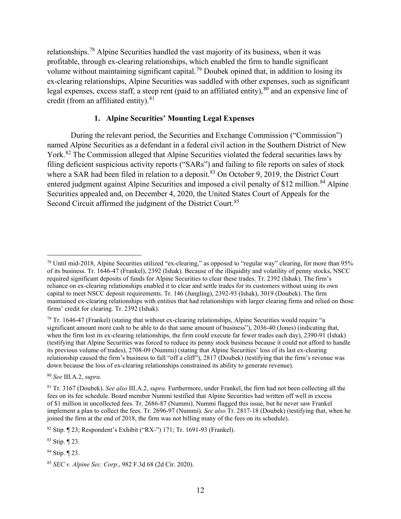relationships.<sup>78</sup> Alpine Securities handled the vast majority of its business, when it was profitable, through ex-clearing relationships, which enabled the firm to handle significant volume without maintaining significant capital.<sup>79</sup> Doubek opined that, in addition to losing its ex-clearing relationships, Alpine Securities was saddled with other expenses, such as significant legal expenses, excess staff, a steep rent (paid to an affiliated entity),  $80$  and an expensive line of credit (from an affiliated entity).<sup>81</sup>

#### **1. Alpine Securities' Mounting Legal Expenses**

During the relevant period, the Securities and Exchange Commission ("Commission") named Alpine Securities as a defendant in a federal civil action in the Southern District of New York.<sup>82</sup> The Commission alleged that Alpine Securities violated the federal securities laws by filing deficient suspicious activity reports ("SARs") and failing to file reports on sales of stock where a SAR had been filed in relation to a deposit. $83$  On October 9, 2019, the District Court entered judgment against Alpine Securities and imposed a civil penalty of \$12 million.<sup>84</sup> Alpine Securities appealed and, on December 4, 2020, the United States Court of Appeals for the Second Circuit affirmed the judgment of the District Court.<sup>85</sup>

<sup>80</sup> *See* III.A.2, *supra*.

<sup>83</sup> Stip. ¶ 23.

<sup>84</sup> Stip. ¶ 23.

<sup>78</sup> Until mid-2018, Alpine Securities utilized "ex-clearing," as opposed to "regular way" clearing, for more than 95% of its business. Tr. 1646-47 (Frankel), 2392 (Ishak). Because of the illiquidity and volatility of penny stocks, NSCC required significant deposits of funds for Alpine Securities to clear these trades. Tr. 2392 (Ishak). The firm's reliance on ex-clearing relationships enabled it to clear and settle trades for its customers without using its own capital to meet NSCC deposit requirements. Tr. 146 (Jungling), 2392-93 (Ishak), 3019 (Doubek). The firm maintained ex-clearing relationships with entities that had relationships with larger clearing firms and relied on those firms' credit for clearing. Tr. 2392 (Ishak).

 $79$  Tr. 1646-47 (Frankel) (stating that without ex-clearing relationships, Alpine Securities would require "a significant amount more cash to be able to do that same amount of business"), 2036-40 (Jones) (indicating that, when the firm lost its ex-clearing relationships, the firm could execute far fewer trades each day), 2390-91 (Ishak) (testifying that Alpine Securities was forced to reduce its penny stock business because it could not afford to handle its previous volume of trades), 2708-09 (Nummi) (stating that Alpine Securities' loss of its last ex-clearing relationship caused the firm's business to fall "off a cliff"), 2817 (Doubek) (testifying that the firm's revenue was down because the loss of ex-clearing relationships constrained its ability to generate revenue).

<sup>81</sup> Tr. 3167 (Doubek). *See also* III.A.2, *supra*. Furthermore, under Frankel, the firm had not been collecting all the fees on its fee schedule. Board member Nummi testified that Alpine Securities had written off well in excess of \$1 million in uncollected fees. Tr. 2686-87 (Nummi). Nummi flagged this issue, but he never saw Frankel implement a plan to collect the fees. Tr. 2696-97 (Nummi). *See also* Tr. 2817-18 (Doubek) (testifying that, when he joined the firm at the end of 2018, the firm was not billing many of the fees on its schedule).

<sup>82</sup> Stip. ¶ 23; Respondent's Exhibit ("RX-") 171; Tr. 1691-93 (Frankel).

<sup>85</sup> *SEC v. Alpine Sec. Corp.*, 982 F.3d 68 (2d Cir. 2020).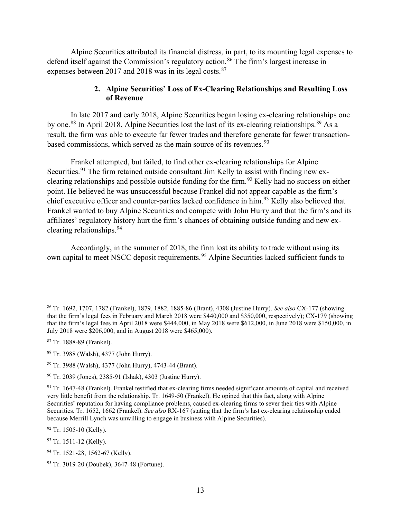Alpine Securities attributed its financial distress, in part, to its mounting legal expenses to defend itself against the Commission's regulatory action.<sup>86</sup> The firm's largest increase in expenses between 2017 and 2018 was in its legal costs.<sup>87</sup>

### **2. Alpine Securities' Loss of Ex-Clearing Relationships and Resulting Loss of Revenue**

In late 2017 and early 2018, Alpine Securities began losing ex-clearing relationships one by one.<sup>88</sup> In April 2018, Alpine Securities lost the last of its ex-clearing relationships.<sup>89</sup> As a result, the firm was able to execute far fewer trades and therefore generate far fewer transactionbased commissions, which served as the main source of its revenues.<sup>90</sup>

Frankel attempted, but failed, to find other ex-clearing relationships for Alpine Securities.<sup>91</sup> The firm retained outside consultant Jim Kelly to assist with finding new exclearing relationships and possible outside funding for the firm.<sup>92</sup> Kelly had no success on either point. He believed he was unsuccessful because Frankel did not appear capable as the firm's chief executive officer and counter-parties lacked confidence in him.<sup>93</sup> Kelly also believed that Frankel wanted to buy Alpine Securities and compete with John Hurry and that the firm's and its affiliates' regulatory history hurt the firm's chances of obtaining outside funding and new exclearing relationships.<sup>94</sup>

Accordingly, in the summer of 2018, the firm lost its ability to trade without using its own capital to meet NSCC deposit requirements.<sup>95</sup> Alpine Securities lacked sufficient funds to

<sup>92</sup> Tr. 1505-10 (Kelly).

<sup>86</sup> Tr. 1692, 1707, 1782 (Frankel), 1879, 1882, 1885-86 (Brant), 4308 (Justine Hurry). *See also* CX-177 (showing that the firm's legal fees in February and March 2018 were \$440,000 and \$350,000, respectively); CX-179 (showing that the firm's legal fees in April 2018 were \$444,000, in May 2018 were \$612,000, in June 2018 were \$150,000, in July 2018 were \$206,000, and in August 2018 were \$465,000).

<sup>87</sup> Tr. 1888-89 (Frankel).

<sup>88</sup> Tr. 3988 (Walsh), 4377 (John Hurry).

<sup>89</sup> Tr. 3988 (Walsh), 4377 (John Hurry), 4743-44 (Brant).

<sup>90</sup> Tr. 2039 (Jones), 2385-91 (Ishak), 4303 (Justine Hurry).

<sup>91</sup> Tr. 1647-48 (Frankel). Frankel testified that ex-clearing firms needed significant amounts of capital and received very little benefit from the relationship. Tr. 1649-50 (Frankel). He opined that this fact, along with Alpine Securities' reputation for having compliance problems, caused ex-clearing firms to sever their ties with Alpine Securities. Tr. 1652, 1662 (Frankel). *See also* RX-167 (stating that the firm's last ex-clearing relationship ended because Merrill Lynch was unwilling to engage in business with Alpine Securities).

<sup>93</sup> Tr. 1511-12 (Kelly).

<sup>&</sup>lt;sup>94</sup> Tr. 1521-28, 1562-67 (Kelly).

<sup>95</sup> Tr. 3019-20 (Doubek), 3647-48 (Fortune).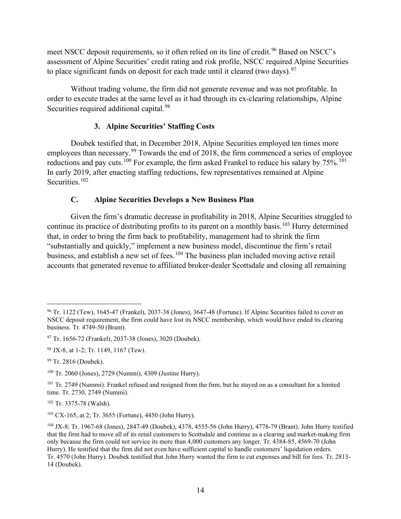meet NSCC deposit requirements, so it often relied on its line of credit.<sup>96</sup> Based on NSCC's assessment of Alpine Securities' credit rating and risk profile, NSCC required Alpine Securities to place significant funds on deposit for each trade until it cleared (two days). $97$ 

Without trading volume, the firm did not generate revenue and was not profitable. In order to execute trades at the same level as it had through its ex-clearing relationships, Alpine Securities required additional capital.<sup>98</sup>

# **3. Alpine Securities' Staffing Costs**

Doubek testified that, in December 2018, Alpine Securities employed ten times more employees than necessary.<sup>99</sup> Towards the end of 2018, the firm commenced a series of employee reductions and pay cuts.<sup>100</sup> For example, the firm asked Frankel to reduce his salary by 75%.<sup>101</sup> In early 2019, after enacting staffing reductions, few representatives remained at Alpine Securities.<sup>102</sup>

# **C. Alpine Securities Develops a New Business Plan**

Given the firm's dramatic decrease in profitability in 2018, Alpine Securities struggled to continue its practice of distributing profits to its parent on a monthly basis.<sup>103</sup> Hurry determined that, in order to bring the firm back to profitability, management had to shrink the firm "substantially and quickly," implement a new business model, discontinue the firm's retail business, and establish a new set of fees.<sup>104</sup> The business plan included moving active retail accounts that generated revenue to affiliated broker-dealer Scottsdale and closing all remaining

<sup>102</sup> Tr. 3375-78 (Walsh).

<sup>96</sup> Tr. 1122 (Tew), 1645-47 (Frankel), 2037-38 (Jones), 3647-48 (Fortune). If Alpine Securities failed to cover an NSCC deposit requirement, the firm could have lost its NSCC membership, which would have ended its clearing business. Tr. 4749-50 (Brant).

<sup>97</sup> Tr. 1656-72 (Frankel), 2037-38 (Jones), 3020 (Doubek).

<sup>98</sup> JX-8, at 1-2; Tr. 1149, 1167 (Tew).

<sup>99</sup> Tr. 2816 (Doubek).

<sup>100</sup> Tr. 2060 (Jones), 2729 (Nummi), 4309 (Justine Hurry).

<sup>&</sup>lt;sup>101</sup> Tr. 2749 (Nummi). Frankel refused and resigned from the firm, but he stayed on as a consultant for a limited time. Tr. 2730, 2749 (Nummi).

<sup>103</sup> CX-165, at 2; Tr. 3655 (Fortune), 4450 (John Hurry).

<sup>104</sup> JX-8; Tr. 1967-68 (Jones), 2847-49 (Doubek), 4378, 4555-56 (John Hurry), 4778-79 (Brant). John Hurry testified that the firm had to move all of its retail customers to Scottsdale and continue as a clearing and market-making firm only because the firm could not service its more than 4,000 customers any longer. Tr. 4384-85, 4569-70 (John Hurry). He testified that the firm did not even have sufficient capital to handle customers' liquidation orders. Tr. 4570 (John Hurry). Doubek testified that John Hurry wanted the firm to cut expenses and bill for fees. Tr. 2813- 14 (Doubek).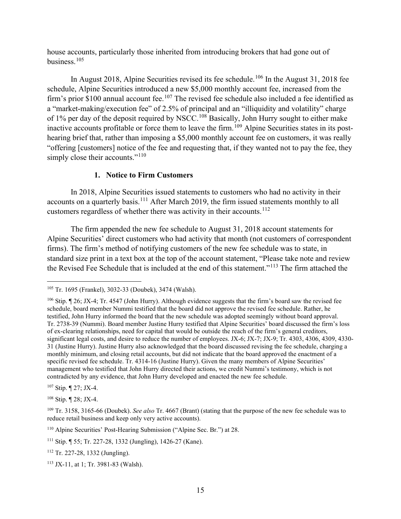house accounts, particularly those inherited from introducing brokers that had gone out of business.<sup>105</sup>

In August 2018, Alpine Securities revised its fee schedule.<sup>106</sup> In the August 31, 2018 fee schedule, Alpine Securities introduced a new \$5,000 monthly account fee, increased from the firm's prior \$100 annual account fee.<sup>107</sup> The revised fee schedule also included a fee identified as a "market-making/execution fee" of 2.5% of principal and an "illiquidity and volatility" charge of 1% per day of the deposit required by NSCC.<sup>108</sup> Basically, John Hurry sought to either make inactive accounts profitable or force them to leave the firm.<sup>109</sup> Alpine Securities states in its posthearing brief that, rather than imposing a \$5,000 monthly account fee on customers, it was really "offering [customers] notice of the fee and requesting that, if they wanted not to pay the fee, they simply close their accounts."<sup>110</sup>

### **1. Notice to Firm Customers**

In 2018, Alpine Securities issued statements to customers who had no activity in their accounts on a quarterly basis.<sup>111</sup> After March 2019, the firm issued statements monthly to all customers regardless of whether there was activity in their accounts.<sup>112</sup>

The firm appended the new fee schedule to August 31, 2018 account statements for Alpine Securities' direct customers who had activity that month (not customers of correspondent firms). The firm's method of notifying customers of the new fee schedule was to state, in standard size print in a text box at the top of the account statement, "Please take note and review the Revised Fee Schedule that is included at the end of this statement."<sup>113</sup> The firm attached the

<sup>107</sup> Stip. ¶ 27; JX-4.

<sup>108</sup> Stip. ¶ 28; JX-4.

<sup>105</sup> Tr. 1695 (Frankel), 3032-33 (Doubek), 3474 (Walsh).

<sup>106</sup> Stip. ¶ 26; JX-4; Tr. 4547 (John Hurry). Although evidence suggests that the firm's board saw the revised fee schedule, board member Nummi testified that the board did not approve the revised fee schedule. Rather, he testified, John Hurry informed the board that the new schedule was adopted seemingly without board approval. Tr. 2738-39 (Nummi). Board member Justine Hurry testified that Alpine Securities' board discussed the firm's loss of ex-clearing relationships, need for capital that would be outside the reach of the firm's general creditors, significant legal costs, and desire to reduce the number of employees. JX-6; JX-7; JX-9; Tr. 4303, 4306, 4309, 4330- 31 (Justine Hurry). Justine Hurry also acknowledged that the board discussed revising the fee schedule, charging a monthly minimum, and closing retail accounts, but did not indicate that the board approved the enactment of a specific revised fee schedule. Tr. 4314-16 (Justine Hurry). Given the many members of Alpine Securities' management who testified that John Hurry directed their actions, we credit Nummi's testimony, which is not contradicted by any evidence, that John Hurry developed and enacted the new fee schedule.

<sup>109</sup> Tr. 3158, 3165-66 (Doubek). *See also* Tr. 4667 (Brant) (stating that the purpose of the new fee schedule was to reduce retail business and keep only very active accounts).

<sup>110</sup> Alpine Securities' Post-Hearing Submission ("Alpine Sec. Br.") at 28.

<sup>111</sup> Stip. ¶ 55; Tr. 227-28, 1332 (Jungling), 1426-27 (Kane).

<sup>112</sup> Tr. 227-28, 1332 (Jungling).

<sup>113</sup> JX-11, at 1; Tr. 3981-83 (Walsh).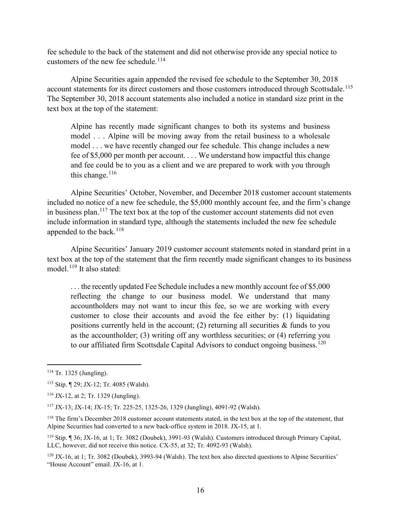fee schedule to the back of the statement and did not otherwise provide any special notice to customers of the new fee schedule.<sup>114</sup>

Alpine Securities again appended the revised fee schedule to the September 30, 2018 account statements for its direct customers and those customers introduced through Scottsdale.<sup>115</sup> The September 30, 2018 account statements also included a notice in standard size print in the text box at the top of the statement:

Alpine has recently made significant changes to both its systems and business model . . . Alpine will be moving away from the retail business to a wholesale model . . . we have recently changed our fee schedule. This change includes a new fee of \$5,000 per month per account. . . . We understand how impactful this change and fee could be to you as a client and we are prepared to work with you through this change.  $116$ 

Alpine Securities' October, November, and December 2018 customer account statements included no notice of a new fee schedule, the \$5,000 monthly account fee, and the firm's change in business plan.<sup>117</sup> The text box at the top of the customer account statements did not even include information in standard type, although the statements included the new fee schedule appended to the back.<sup>118</sup>

Alpine Securities' January 2019 customer account statements noted in standard print in a text box at the top of the statement that the firm recently made significant changes to its business model. $^{119}$  It also stated:

. . . the recently updated Fee Schedule includes a new monthly account fee of \$5,000 reflecting the change to our business model. We understand that many accountholders may not want to incur this fee, so we are working with every customer to close their accounts and avoid the fee either by: (1) liquidating positions currently held in the account; (2) returning all securities  $\&$  funds to you as the accountholder; (3) writing off any worthless securities; or (4) referring you to our affiliated firm Scottsdale Capital Advisors to conduct ongoing business.<sup>120</sup>

<sup>114</sup> Tr. 1325 (Jungling).

<sup>115</sup> Stip. ¶ 29; JX-12; Tr. 4085 (Walsh).

<sup>116</sup> JX-12, at 2; Tr. 1329 (Jungling).

<sup>117</sup> JX-13; JX-14; JX-15; Tr. 225-25, 1325-26, 1329 (Jungling), 4091-92 (Walsh).

<sup>&</sup>lt;sup>118</sup> The firm's December 2018 customer account statements stated, in the text box at the top of the statement, that Alpine Securities had converted to a new back-office system in 2018. JX-15, at 1.

<sup>119</sup> Stip. ¶ 36; JX-16, at 1; Tr. 3082 (Doubek), 3991-93 (Walsh). Customers introduced through Primary Capital, LLC, however, did not receive this notice. CX-55, at 32; Tr. 4092-93 (Walsh).

<sup>&</sup>lt;sup>120</sup> JX-16, at 1; Tr. 3082 (Doubek), 3993-94 (Walsh). The text box also directed questions to Alpine Securities' "House Account" email. JX-16, at 1.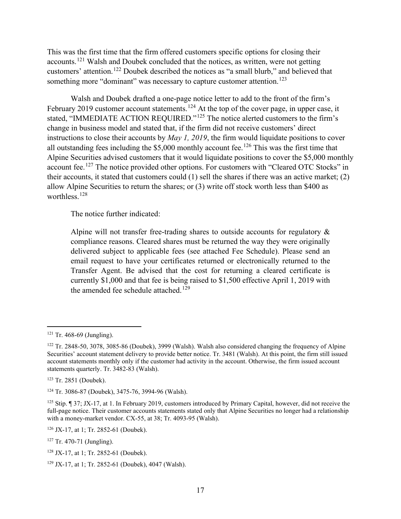This was the first time that the firm offered customers specific options for closing their accounts.<sup>121</sup> Walsh and Doubek concluded that the notices, as written, were not getting customers' attention.<sup>122</sup> Doubek described the notices as "a small blurb," and believed that something more "dominant" was necessary to capture customer attention.<sup>123</sup>

Walsh and Doubek drafted a one-page notice letter to add to the front of the firm's February 2019 customer account statements.<sup>124</sup> At the top of the cover page, in upper case, it stated, "IMMEDIATE ACTION REQUIRED."<sup>125</sup> The notice alerted customers to the firm's change in business model and stated that, if the firm did not receive customers' direct instructions to close their accounts by *May 1, 2019*, the firm would liquidate positions to cover all outstanding fees including the  $$5,000$  monthly account fee.<sup>126</sup> This was the first time that Alpine Securities advised customers that it would liquidate positions to cover the \$5,000 monthly account fee.<sup>127</sup> The notice provided other options. For customers with "Cleared OTC Stocks" in their accounts, it stated that customers could (1) sell the shares if there was an active market; (2) allow Alpine Securities to return the shares; or (3) write off stock worth less than \$400 as worthless<sup>128</sup>

The notice further indicated:

Alpine will not transfer free-trading shares to outside accounts for regulatory  $\&$ compliance reasons. Cleared shares must be returned the way they were originally delivered subject to applicable fees (see attached Fee Schedule). Please send an email request to have your certificates returned or electronically returned to the Transfer Agent. Be advised that the cost for returning a cleared certificate is currently \$1,000 and that fee is being raised to \$1,500 effective April 1, 2019 with the amended fee schedule attached.<sup>129</sup>

<sup>126</sup> JX-17, at 1; Tr. 2852-61 (Doubek).

 $121$  Tr. 468-69 (Jungling).

<sup>122</sup> Tr. 2848-50, 3078, 3085-86 (Doubek), 3999 (Walsh). Walsh also considered changing the frequency of Alpine Securities' account statement delivery to provide better notice. Tr. 3481 (Walsh). At this point, the firm still issued account statements monthly only if the customer had activity in the account. Otherwise, the firm issued account statements quarterly. Tr. 3482-83 (Walsh).

<sup>123</sup> Tr. 2851 (Doubek).

<sup>124</sup> Tr. 3086-87 (Doubek), 3475-76, 3994-96 (Walsh).

<sup>125</sup> Stip. ¶ 37; JX-17, at 1. In February 2019, customers introduced by Primary Capital, however, did not receive the full-page notice. Their customer accounts statements stated only that Alpine Securities no longer had a relationship with a money-market vendor. CX-55, at 38; Tr. 4093-95 (Walsh).

<sup>127</sup> Tr. 470-71 (Jungling).

<sup>128</sup> JX-17, at 1; Tr. 2852-61 (Doubek).

<sup>129</sup> JX-17, at 1; Tr. 2852-61 (Doubek), 4047 (Walsh).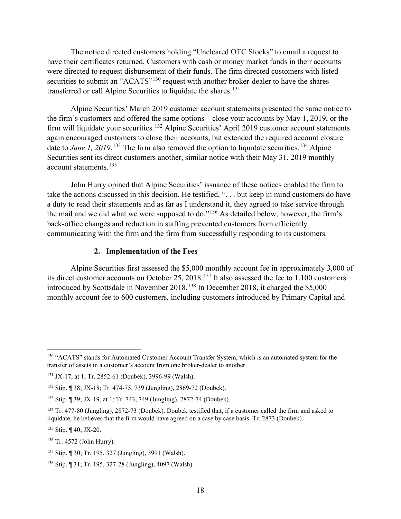The notice directed customers holding "Uncleared OTC Stocks" to email a request to have their certificates returned. Customers with cash or money market funds in their accounts were directed to request disbursement of their funds. The firm directed customers with listed securities to submit an "ACATS"<sup>130</sup> request with another broker-dealer to have the shares transferred or call Alpine Securities to liquidate the shares.<sup>131</sup>

Alpine Securities' March 2019 customer account statements presented the same notice to the firm's customers and offered the same options—close your accounts by May 1, 2019, or the firm will liquidate your securities.<sup>132</sup> Alpine Securities' April 2019 customer account statements again encouraged customers to close their accounts, but extended the required account closure date to *June 1, 2019*.<sup>133</sup> The firm also removed the option to liquidate securities.<sup>134</sup> Alpine Securities sent its direct customers another, similar notice with their May 31, 2019 monthly account statements.<sup>135</sup>

John Hurry opined that Alpine Securities' issuance of these notices enabled the firm to take the actions discussed in this decision. He testified, ". . . but keep in mind customers do have a duty to read their statements and as far as I understand it, they agreed to take service through the mail and we did what we were supposed to do."<sup>136</sup> As detailed below, however, the firm's back-office changes and reduction in staffing prevented customers from efficiently communicating with the firm and the firm from successfully responding to its customers.

#### **2. Implementation of the Fees**

Alpine Securities first assessed the \$5,000 monthly account fee in approximately 3,000 of its direct customer accounts on October 25, 2018.<sup>137</sup> It also assessed the fee to 1,100 customers introduced by Scottsdale in November 2018. <sup>138</sup> In December 2018, it charged the \$5,000 monthly account fee to 600 customers, including customers introduced by Primary Capital and

<sup>&</sup>lt;sup>130</sup> "ACATS" stands for Automated Customer Account Transfer System, which is an automated system for the transfer of assets in a customer's account from one broker-dealer to another.

<sup>131</sup> JX-17, at 1; Tr. 2852-61 (Doubek), 3996-99 (Walsh).

<sup>132</sup> Stip. ¶ 38; JX-18; Tr. 474-75, 739 (Jungling), 2869-72 (Doubek).

<sup>133</sup> Stip. ¶ 39; JX-19, at 1; Tr. 743, 749 (Jungling), 2872-74 (Doubek).

<sup>134</sup> Tr. 477-80 (Jungling), 2872-73 (Doubek). Doubek testified that, if a customer called the firm and asked to liquidate, he believes that the firm would have agreed on a case by case basis. Tr. 2873 (Doubek).

<sup>135</sup> Stip. ¶ 40; JX-20.

<sup>136</sup> Tr. 4572 (John Hurry).

<sup>137</sup> Stip. ¶ 30; Tr. 195, 327 (Jungling), 3991 (Walsh).

<sup>138</sup> Stip. ¶ 31; Tr. 195, 327-28 (Jungling), 4097 (Walsh).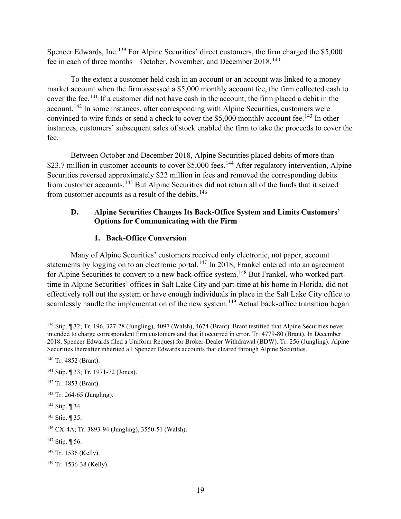Spencer Edwards, Inc.<sup>139</sup> For Alpine Securities' direct customers, the firm charged the \$5,000 fee in each of three months—October, November, and December 2018.<sup>140</sup>

To the extent a customer held cash in an account or an account was linked to a money market account when the firm assessed a \$5,000 monthly account fee, the firm collected cash to cover the fee.<sup>141</sup> If a customer did not have cash in the account, the firm placed a debit in the account.<sup>142</sup> In some instances, after corresponding with Alpine Securities, customers were convinced to wire funds or send a check to cover the \$5,000 monthly account fee.<sup>143</sup> In other instances, customers' subsequent sales of stock enabled the firm to take the proceeds to cover the fee.

Between October and December 2018, Alpine Securities placed debits of more than \$23.7 million in customer accounts to cover \$5,000 fees.<sup>144</sup> After regulatory intervention, Alpine Securities reversed approximately \$22 million in fees and removed the corresponding debits from customer accounts.<sup>145</sup> But Alpine Securities did not return all of the funds that it seized from customer accounts as a result of the debits.<sup>146</sup>

### **D. Alpine Securities Changes Its Back-Office System and Limits Customers' Options for Communicating with the Firm**

# **1. Back-Office Conversion**

Many of Alpine Securities' customers received only electronic, not paper, account statements by logging on to an electronic portal.<sup>147</sup> In 2018, Frankel entered into an agreement for Alpine Securities to convert to a new back-office system.<sup>148</sup> But Frankel, who worked parttime in Alpine Securities' offices in Salt Lake City and part-time at his home in Florida, did not effectively roll out the system or have enough individuals in place in the Salt Lake City office to seamlessly handle the implementation of the new system.<sup>149</sup> Actual back-office transition began

<sup>139</sup> Stip. ¶ 32; Tr. 196, 327-28 (Jungling), 4097 (Walsh), 4674 (Brant). Brant testified that Alpine Securities never intended to charge correspondent firm customers and that it occurred in error. Tr. 4779-80 (Brant). In December 2018, Spencer Edwards filed a Uniform Request for Broker-Dealer Withdrawal (BDW). Tr. 256 (Jungling). Alpine Securities thereafter inherited all Spencer Edwards accounts that cleared through Alpine Securities.

<sup>140</sup> Tr. 4852 (Brant).

<sup>141</sup> Stip. ¶ 33; Tr. 1971-72 (Jones).

<sup>142</sup> Tr. 4853 (Brant).

<sup>143</sup> Tr. 264-65 (Jungling).

<sup>144</sup> Stip. ¶ 34.

<sup>145</sup> Stip. ¶ 35.

<sup>146</sup> CX-4A; Tr. 3893-94 (Jungling), 3550-51 (Walsh).

<sup>147</sup> Stip. ¶ 56.

<sup>148</sup> Tr. 1536 (Kelly).

<sup>149</sup> Tr. 1536-38 (Kelly).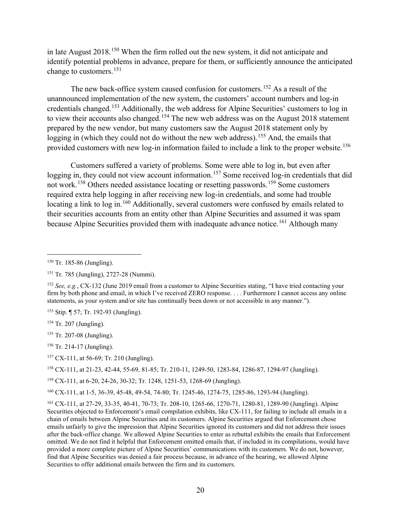in late August 2018.<sup>150</sup> When the firm rolled out the new system, it did not anticipate and identify potential problems in advance, prepare for them, or sufficiently announce the anticipated change to customers.<sup>151</sup>

The new back-office system caused confusion for customers.<sup>152</sup> As a result of the unannounced implementation of the new system, the customers' account numbers and log-in credentials changed.<sup>153</sup> Additionally, the web address for Alpine Securities' customers to log in to view their accounts also changed.<sup>154</sup> The new web address was on the August 2018 statement prepared by the new vendor, but many customers saw the August 2018 statement only by logging in (which they could not do without the new web address).<sup>155</sup> And, the emails that provided customers with new log-in information failed to include a link to the proper website.<sup>156</sup>

Customers suffered a variety of problems. Some were able to log in, but even after logging in, they could not view account information.<sup>157</sup> Some received log-in credentials that did not work.<sup>158</sup> Others needed assistance locating or resetting passwords.<sup>159</sup> Some customers required extra help logging in after receiving new log-in credentials, and some had trouble locating a link to log in.<sup>160</sup> Additionally, several customers were confused by emails related to their securities accounts from an entity other than Alpine Securities and assumed it was spam because Alpine Securities provided them with inadequate advance notice.<sup>161</sup> Although many

<sup>158</sup> CX-111, at 21-23, 42-44, 55-69, 81-85; Tr. 210-11, 1249-50, 1283-84, 1286-87, 1294-97 (Jungling).

<sup>160</sup> CX-111, at 1-5, 36-39, 45-48, 49-54, 74-80; Tr. 1245-46, 1274-75, 1285-86, 1293-94 (Jungling).

<sup>150</sup> Tr. 185-86 (Jungling).

<sup>151</sup> Tr. 785 (Jungling), 2727-28 (Nummi).

<sup>152</sup> *See, e.g.*, CX-132 (June 2019 email from a customer to Alpine Securities stating, "I have tried contacting your firm by both phone and email, in which I've received ZERO response. . . . Furthermore I cannot access any online statements, as your system and/or site has continually been down or not accessible in any manner.").

<sup>153</sup> Stip. ¶ 57; Tr. 192-93 (Jungling).

<sup>154</sup> Tr. 207 (Jungling).

<sup>155</sup> Tr. 207-08 (Jungling).

<sup>156</sup> Tr. 214-17 (Jungling).

<sup>157</sup> CX-111, at 56-69; Tr. 210 (Jungling).

<sup>159</sup> CX-111, at 6-20, 24-26, 30-32; Tr. 1248, 1251-53, 1268-69 (Jungling).

<sup>161</sup> CX-111, at 27-29, 33-35, 40-41, 70-73; Tr. 208-10, 1265-66, 1270-71, 1280-81, 1289-90 (Jungling). Alpine Securities objected to Enforcement's email compilation exhibits, like CX-111, for failing to include all emails in a chain of emails between Alpine Securities and its customers. Alpine Securities argued that Enforcement chose emails unfairly to give the impression that Alpine Securities ignored its customers and did not address their issues after the back-office change. We allowed Alpine Securities to enter as rebuttal exhibits the emails that Enforcement omitted. We do not find it helpful that Enforcement omitted emails that, if included in its compilations, would have provided a more complete picture of Alpine Securities' communications with its customers. We do not, however, find that Alpine Securities was denied a fair process because, in advance of the hearing, we allowed Alpine Securities to offer additional emails between the firm and its customers.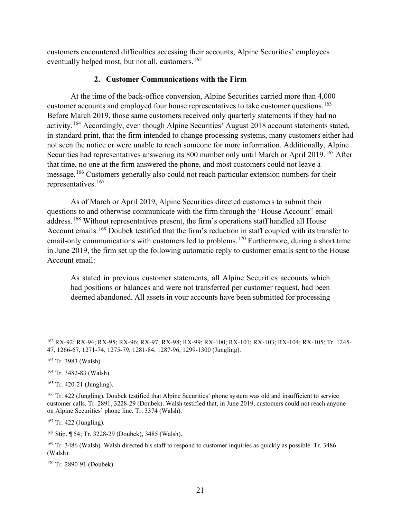customers encountered difficulties accessing their accounts, Alpine Securities' employees eventually helped most, but not all, customers.<sup>162</sup>

### **2. Customer Communications with the Firm**

At the time of the back-office conversion, Alpine Securities carried more than 4,000 customer accounts and employed four house representatives to take customer questions.<sup>163</sup> Before March 2019, those same customers received only quarterly statements if they had no activity.<sup>164</sup> Accordingly, even though Alpine Securities' August 2018 account statements stated, in standard print, that the firm intended to change processing systems, many customers either had not seen the notice or were unable to reach someone for more information. Additionally, Alpine Securities had representatives answering its 800 number only until March or April 2019.<sup>165</sup> After that time, no one at the firm answered the phone, and most customers could not leave a message.<sup>166</sup> Customers generally also could not reach particular extension numbers for their representatives. 167

As of March or April 2019, Alpine Securities directed customers to submit their questions to and otherwise communicate with the firm through the "House Account" email address.<sup>168</sup> Without representatives present, the firm's operations staff handled all House Account emails.<sup>169</sup> Doubek testified that the firm's reduction in staff coupled with its transfer to email-only communications with customers led to problems.<sup>170</sup> Furthermore, during a short time in June 2019, the firm set up the following automatic reply to customer emails sent to the House Account email:

As stated in previous customer statements, all Alpine Securities accounts which had positions or balances and were not transferred per customer request, had been deemed abandoned. All assets in your accounts have been submitted for processing

<sup>170</sup> Tr. 2890-91 (Doubek).

<sup>162</sup> RX-92; RX-94; RX-95; RX-96; RX-97; RX-98; RX-99; RX-100; RX-101; RX-103; RX-104; RX-105; Tr. 1245- 47, 1266-67, 1271-74, 1275-79, 1281-84, 1287-96, 1299-1300 (Jungling).

<sup>163</sup> Tr. 3983 (Walsh).

<sup>164</sup> Tr. 3482-83 (Walsh).

<sup>165</sup> Tr. 420-21 (Jungling).

<sup>&</sup>lt;sup>166</sup> Tr. 422 (Jungling). Doubek testified that Alpine Securities' phone system was old and insufficient to service customer calls. Tr. 2891, 3228-29 (Doubek). Walsh testified that, in June 2019, customers could not reach anyone on Alpine Securities' phone line. Tr. 3374 (Walsh).

 $167$  Tr. 422 (Jungling).

<sup>168</sup> Stip. ¶ 54; Tr. 3228-29 (Doubek), 3485 (Walsh).

<sup>&</sup>lt;sup>169</sup> Tr. 3486 (Walsh). Walsh directed his staff to respond to customer inquiries as quickly as possible. Tr. 3486 (Walsh).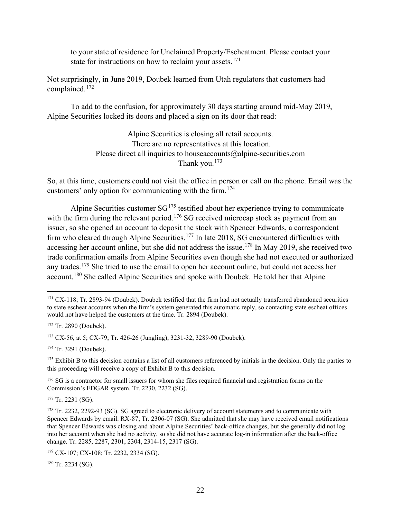to your state of residence for Unclaimed Property/Escheatment. Please contact your state for instructions on how to reclaim your assets.<sup>171</sup>

Not surprisingly, in June 2019, Doubek learned from Utah regulators that customers had complained.<sup>172</sup>

To add to the confusion, for approximately 30 days starting around mid-May 2019, Alpine Securities locked its doors and placed a sign on its door that read:

> Alpine Securities is closing all retail accounts. There are no representatives at this location. Please direct all inquiries to houseaccounts@alpine-securities.com Thank you.<sup>173</sup>

So, at this time, customers could not visit the office in person or call on the phone. Email was the customers' only option for communicating with the firm.<sup>174</sup>

Alpine Securities customer  $SG^{175}$  testified about her experience trying to communicate with the firm during the relevant period.<sup>176</sup> SG received microcap stock as payment from an issuer, so she opened an account to deposit the stock with Spencer Edwards, a correspondent firm who cleared through Alpine Securities.<sup>177</sup> In late 2018, SG encountered difficulties with accessing her account online, but she did not address the issue.<sup>178</sup> In May 2019, she received two trade confirmation emails from Alpine Securities even though she had not executed or authorized any trades.<sup>179</sup> She tried to use the email to open her account online, but could not access her account.<sup>180</sup> She called Alpine Securities and spoke with Doubek. He told her that Alpine

<sup>174</sup> Tr. 3291 (Doubek).

 $177$  Tr. 2231 (SG).

<sup>180</sup> Tr. 2234 (SG).

<sup>&</sup>lt;sup>171</sup> CX-118; Tr. 2893-94 (Doubek). Doubek testified that the firm had not actually transferred abandoned securities to state escheat accounts when the firm's system generated this automatic reply, so contacting state escheat offices would not have helped the customers at the time. Tr. 2894 (Doubek).

<sup>172</sup> Tr. 2890 (Doubek).

<sup>173</sup> CX-56, at 5; CX-79; Tr. 426-26 (Jungling), 3231-32, 3289-90 (Doubek).

 $175$  Exhibit B to this decision contains a list of all customers referenced by initials in the decision. Only the parties to this proceeding will receive a copy of Exhibit B to this decision.

<sup>&</sup>lt;sup>176</sup> SG is a contractor for small issuers for whom she files required financial and registration forms on the Commission's EDGAR system. Tr. 2230, 2232 (SG).

<sup>&</sup>lt;sup>178</sup> Tr. 2232, 2292-93 (SG). SG agreed to electronic delivery of account statements and to communicate with Spencer Edwards by email. RX-87; Tr. 2306-07 (SG). She admitted that she may have received email notifications that Spencer Edwards was closing and about Alpine Securities' back-office changes, but she generally did not log into her account when she had no activity, so she did not have accurate log-in information after the back-office change. Tr. 2285, 2287, 2301, 2304, 2314-15, 2317 (SG).

<sup>179</sup> CX-107; CX-108; Tr. 2232, 2334 (SG).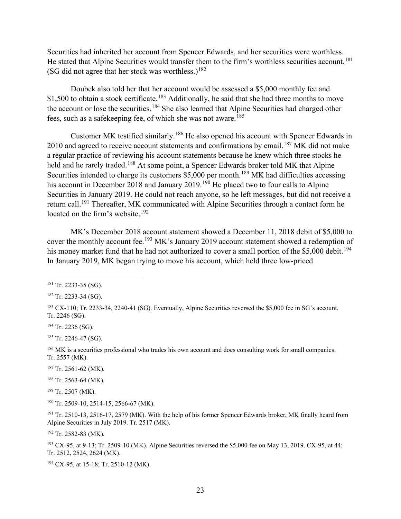Securities had inherited her account from Spencer Edwards, and her securities were worthless. He stated that Alpine Securities would transfer them to the firm's worthless securities account.<sup>181</sup> (SG did not agree that her stock was worthless.)<sup>182</sup>

Doubek also told her that her account would be assessed a \$5,000 monthly fee and \$1,500 to obtain a stock certificate.<sup>183</sup> Additionally, he said that she had three months to move the account or lose the securities.<sup>184</sup> She also learned that Alpine Securities had charged other fees, such as a safekeeping fee, of which she was not aware.<sup>185</sup>

Customer MK testified similarly.<sup>186</sup> He also opened his account with Spencer Edwards in 2010 and agreed to receive account statements and confirmations by email.<sup>187</sup> MK did not make a regular practice of reviewing his account statements because he knew which three stocks he held and he rarely traded.<sup>188</sup> At some point, a Spencer Edwards broker told MK that Alpine Securities intended to charge its customers \$5,000 per month.<sup>189</sup> MK had difficulties accessing his account in December 2018 and January 2019.<sup>190</sup> He placed two to four calls to Alpine Securities in January 2019. He could not reach anyone, so he left messages, but did not receive a return call.<sup>191</sup> Thereafter, MK communicated with Alpine Securities through a contact form he located on the firm's website.<sup>192</sup>

MK's December 2018 account statement showed a December 11, 2018 debit of \$5,000 to cover the monthly account fee.<sup>193</sup> MK's January 2019 account statement showed a redemption of his money market fund that he had not authorized to cover a small portion of the \$5,000 debit.<sup>194</sup> In January 2019, MK began trying to move his account, which held three low-priced

<sup>184</sup> Tr. 2236 (SG).

<sup>185</sup> Tr. 2246-47 (SG).

<sup>186</sup> MK is a securities professional who trades his own account and does consulting work for small companies. Tr. 2557 (MK).

<sup>187</sup> Tr. 2561-62 (MK).

<sup>188</sup> Tr. 2563-64 (MK).

<sup>189</sup> Tr. 2507 (MK).

<sup>190</sup> Tr. 2509-10, 2514-15, 2566-67 (MK).

<sup>191</sup> Tr. 2510-13, 2516-17, 2579 (MK). With the help of his former Spencer Edwards broker, MK finally heard from Alpine Securities in July 2019. Tr. 2517 (MK).

<sup>192</sup> Tr. 2582-83 (MK).

<sup>193</sup> CX-95, at 9-13; Tr. 2509-10 (MK). Alpine Securities reversed the \$5,000 fee on May 13, 2019. CX-95, at 44; Tr. 2512, 2524, 2624 (MK).

<sup>194</sup> CX-95, at 15-18; Tr. 2510-12 (MK).

<sup>181</sup> Tr. 2233-35 (SG).

<sup>182</sup> Tr. 2233-34 (SG).

<sup>183</sup> CX-110; Tr. 2233-34, 2240-41 (SG). Eventually, Alpine Securities reversed the \$5,000 fee in SG's account. Tr. 2246 (SG).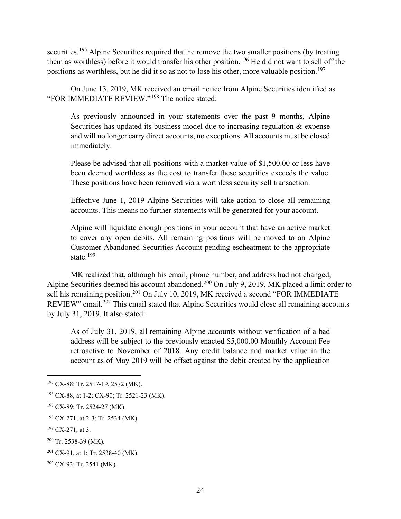securities.<sup>195</sup> Alpine Securities required that he remove the two smaller positions (by treating them as worthless) before it would transfer his other position.<sup>196</sup> He did not want to sell off the positions as worthless, but he did it so as not to lose his other, more valuable position. 197

On June 13, 2019, MK received an email notice from Alpine Securities identified as "FOR IMMEDIATE REVIEW."<sup>198</sup> The notice stated:

As previously announced in your statements over the past 9 months, Alpine Securities has updated its business model due to increasing regulation & expense and will no longer carry direct accounts, no exceptions. All accounts must be closed immediately.

Please be advised that all positions with a market value of \$1,500.00 or less have been deemed worthless as the cost to transfer these securities exceeds the value. These positions have been removed via a worthless security sell transaction.

Effective June 1, 2019 Alpine Securities will take action to close all remaining accounts. This means no further statements will be generated for your account.

Alpine will liquidate enough positions in your account that have an active market to cover any open debits. All remaining positions will be moved to an Alpine Customer Abandoned Securities Account pending escheatment to the appropriate state.<sup>199</sup>

MK realized that, although his email, phone number, and address had not changed, Alpine Securities deemed his account abandoned.<sup>200</sup> On July 9, 2019, MK placed a limit order to sell his remaining position.<sup>201</sup> On July 10, 2019, MK received a second "FOR IMMEDIATE" REVIEW" email.<sup>202</sup> This email stated that Alpine Securities would close all remaining accounts by July 31, 2019. It also stated:

As of July 31, 2019, all remaining Alpine accounts without verification of a bad address will be subject to the previously enacted \$5,000.00 Monthly Account Fee retroactive to November of 2018. Any credit balance and market value in the account as of May 2019 will be offset against the debit created by the application

<sup>195</sup> CX-88; Tr. 2517-19, 2572 (MK).

<sup>196</sup> CX-88, at 1-2; CX-90; Tr. 2521-23 (MK).

<sup>197</sup> CX-89; Tr. 2524-27 (MK).

<sup>198</sup> CX-271, at 2-3; Tr. 2534 (MK).

<sup>199</sup> CX-271, at 3.

<sup>200</sup> Tr. 2538-39 (MK).

<sup>201</sup> CX-91, at 1; Tr. 2538-40 (MK).

<sup>202</sup> CX-93; Tr. 2541 (MK).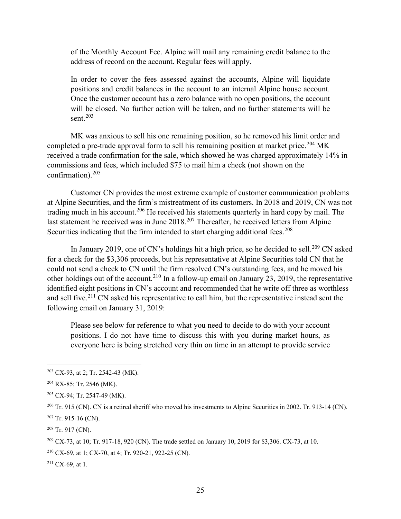of the Monthly Account Fee. Alpine will mail any remaining credit balance to the address of record on the account. Regular fees will apply.

In order to cover the fees assessed against the accounts, Alpine will liquidate positions and credit balances in the account to an internal Alpine house account. Once the customer account has a zero balance with no open positions, the account will be closed. No further action will be taken, and no further statements will be sent. $203$ 

MK was anxious to sell his one remaining position, so he removed his limit order and completed a pre-trade approval form to sell his remaining position at market price.<sup>204</sup> MK received a trade confirmation for the sale, which showed he was charged approximately 14% in commissions and fees, which included \$75 to mail him a check (not shown on the confirmation). 205

Customer CN provides the most extreme example of customer communication problems at Alpine Securities, and the firm's mistreatment of its customers. In 2018 and 2019, CN was not trading much in his account.<sup>206</sup> He received his statements quarterly in hard copy by mail. The last statement he received was in June 2018.<sup>207</sup> Thereafter, he received letters from Alpine Securities indicating that the firm intended to start charging additional fees.<sup>208</sup>

In January 2019, one of CN's holdings hit a high price, so he decided to sell.<sup>209</sup> CN asked for a check for the \$3,306 proceeds, but his representative at Alpine Securities told CN that he could not send a check to CN until the firm resolved CN's outstanding fees, and he moved his other holdings out of the account.<sup>210</sup> In a follow-up email on January 23, 2019, the representative identified eight positions in CN's account and recommended that he write off three as worthless and sell five.<sup>211</sup> CN asked his representative to call him, but the representative instead sent the following email on January 31, 2019:

Please see below for reference to what you need to decide to do with your account positions. I do not have time to discuss this with you during market hours, as everyone here is being stretched very thin on time in an attempt to provide service

<sup>203</sup> CX-93, at 2; Tr. 2542-43 (MK).

<sup>204</sup> RX-85; Tr. 2546 (MK).

<sup>205</sup> CX-94; Tr. 2547-49 (MK).

<sup>&</sup>lt;sup>206</sup> Tr. 915 (CN). CN is a retired sheriff who moved his investments to Alpine Securities in 2002. Tr. 913-14 (CN).

 $207$  Tr. 915-16 (CN).

<sup>208</sup> Tr. 917 (CN).

<sup>209</sup> CX-73, at 10; Tr. 917-18, 920 (CN). The trade settled on January 10, 2019 for \$3,306. CX-73, at 10.

<sup>210</sup> CX-69, at 1; CX-70, at 4; Tr. 920-21, 922-25 (CN).

 $211$  CX-69, at 1.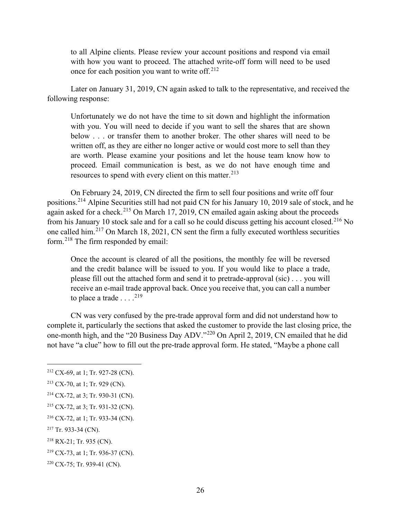to all Alpine clients. Please review your account positions and respond via email with how you want to proceed. The attached write-off form will need to be used once for each position you want to write off. $212$ 

Later on January 31, 2019, CN again asked to talk to the representative, and received the following response:

Unfortunately we do not have the time to sit down and highlight the information with you. You will need to decide if you want to sell the shares that are shown below . . . or transfer them to another broker. The other shares will need to be written off, as they are either no longer active or would cost more to sell than they are worth. Please examine your positions and let the house team know how to proceed. Email communication is best, as we do not have enough time and resources to spend with every client on this matter.  $2^{13}$ 

On February 24, 2019, CN directed the firm to sell four positions and write off four positions.<sup>214</sup> Alpine Securities still had not paid CN for his January 10, 2019 sale of stock, and he again asked for a check.<sup>215</sup> On March 17, 2019, CN emailed again asking about the proceeds from his January 10 stock sale and for a call so he could discuss getting his account closed.<sup>216</sup> No one called him.<sup>217</sup> On March 18, 2021, CN sent the firm a fully executed worthless securities form.<sup>218</sup> The firm responded by email:

Once the account is cleared of all the positions, the monthly fee will be reversed and the credit balance will be issued to you. If you would like to place a trade, please fill out the attached form and send it to pretrade-approval (sic) . . . you will receive an e-mail trade approval back. Once you receive that, you can call a number to place a trade  $\dots$ <sup>219</sup>

CN was very confused by the pre-trade approval form and did not understand how to complete it, particularly the sections that asked the customer to provide the last closing price, the one-month high, and the "20 Business Day ADV."<sup>220</sup> On April 2, 2019, CN emailed that he did not have "a clue" how to fill out the pre-trade approval form. He stated, "Maybe a phone call

<sup>212</sup> CX-69, at 1; Tr. 927-28 (CN).

<sup>213</sup> CX-70, at 1; Tr. 929 (CN).

<sup>214</sup> CX-72, at 3; Tr. 930-31 (CN).

<sup>215</sup> CX-72, at 3; Tr. 931-32 (CN).

<sup>216</sup> CX-72, at 1; Tr. 933-34 (CN).

<sup>217</sup> Tr. 933-34 (CN).

<sup>218</sup> RX-21; Tr. 935 (CN).

<sup>219</sup> CX-73, at 1; Tr. 936-37 (CN).

<sup>220</sup> CX-75; Tr. 939-41 (CN).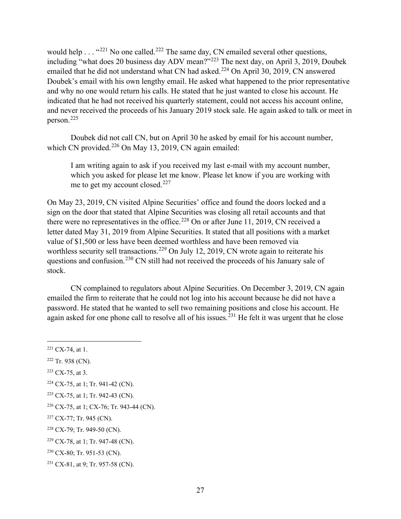would help . . . "<sup>221</sup> No one called.<sup>222</sup> The same day, CN emailed several other questions, including "what does 20 business day ADV mean?"<sup>223</sup> The next day, on April 3, 2019, Doubek emailed that he did not understand what CN had asked.<sup>224</sup> On April 30, 2019, CN answered Doubek's email with his own lengthy email. He asked what happened to the prior representative and why no one would return his calls. He stated that he just wanted to close his account. He indicated that he had not received his quarterly statement, could not access his account online, and never received the proceeds of his January 2019 stock sale. He again asked to talk or meet in person.<sup>225</sup>

Doubek did not call CN, but on April 30 he asked by email for his account number, which CN provided. $226$  On May 13, 2019, CN again emailed:

I am writing again to ask if you received my last e-mail with my account number, which you asked for please let me know. Please let know if you are working with me to get my account closed.<sup>227</sup>

On May 23, 2019, CN visited Alpine Securities' office and found the doors locked and a sign on the door that stated that Alpine Securities was closing all retail accounts and that there were no representatives in the office.<sup>228</sup> On or after June 11, 2019, CN received a letter dated May 31, 2019 from Alpine Securities. It stated that all positions with a market value of \$1,500 or less have been deemed worthless and have been removed via worthless security sell transactions.<sup>229</sup> On July 12, 2019, CN wrote again to reiterate his questions and confusion.<sup>230</sup> CN still had not received the proceeds of his January sale of stock.

CN complained to regulators about Alpine Securities. On December 3, 2019, CN again emailed the firm to reiterate that he could not log into his account because he did not have a password. He stated that he wanted to sell two remaining positions and close his account. He again asked for one phone call to resolve all of his issues.<sup>231</sup> He felt it was urgent that he close

 $223$  CX-75, at 3.

- <sup>225</sup> CX-75, at 1; Tr. 942-43 (CN).
- <sup>226</sup> CX-75, at 1; CX-76; Tr. 943-44 (CN).

<sup>228</sup> CX-79; Tr. 949-50 (CN).

 $221$  CX-74, at 1.

<sup>222</sup> Tr. 938 (CN).

<sup>224</sup> CX-75, at 1; Tr. 941-42 (CN).

<sup>227</sup> CX-77; Tr. 945 (CN).

<sup>229</sup> CX-78, at 1; Tr. 947-48 (CN).

<sup>230</sup> CX-80; Tr. 951-53 (CN).

<sup>231</sup> CX-81, at 9; Tr. 957-58 (CN).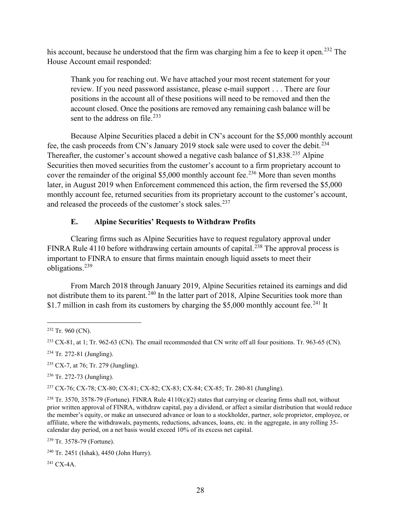his account, because he understood that the firm was charging him a fee to keep it open.<sup>232</sup> The House Account email responded:

Thank you for reaching out. We have attached your most recent statement for your review. If you need password assistance, please e-mail support . . . There are four positions in the account all of these positions will need to be removed and then the account closed. Once the positions are removed any remaining cash balance will be sent to the address on file.<sup>233</sup>

Because Alpine Securities placed a debit in CN's account for the \$5,000 monthly account fee, the cash proceeds from CN's January 2019 stock sale were used to cover the debit.<sup>234</sup> Thereafter, the customer's account showed a negative cash balance of \$1,838.<sup>235</sup> Alpine Securities then moved securities from the customer's account to a firm proprietary account to cover the remainder of the original \$5,000 monthly account fee.<sup>236</sup> More than seven months later, in August 2019 when Enforcement commenced this action, the firm reversed the \$5,000 monthly account fee, returned securities from its proprietary account to the customer's account, and released the proceeds of the customer's stock sales.<sup>237</sup>

# **E. Alpine Securities' Requests to Withdraw Profits**

Clearing firms such as Alpine Securities have to request regulatory approval under FINRA Rule 4110 before withdrawing certain amounts of capital.<sup>238</sup> The approval process is important to FINRA to ensure that firms maintain enough liquid assets to meet their obligations.<sup>239</sup>

From March 2018 through January 2019, Alpine Securities retained its earnings and did not distribute them to its parent.<sup>240</sup> In the latter part of 2018, Alpine Securities took more than \$1.7 million in cash from its customers by charging the \$5,000 monthly account fee.<sup>241</sup> It

<sup>237</sup> CX-76; CX-78; CX-80; CX-81; CX-82; CX-83; CX-84; CX-85; Tr. 280-81 (Jungling).

<sup>239</sup> Tr. 3578-79 (Fortune).

<sup>241</sup> CX-4A.

 $232$  Tr. 960 (CN).

 $^{233}$  CX-81, at 1; Tr. 962-63 (CN). The email recommended that CN write off all four positions. Tr. 963-65 (CN).

<sup>234</sup> Tr. 272-81 (Jungling).

 $235$  CX-7, at 76; Tr. 279 (Jungling).

<sup>236</sup> Tr. 272-73 (Jungling).

<sup>&</sup>lt;sup>238</sup> Tr. 3570, 3578-79 (Fortune). FINRA Rule 4110(c)(2) states that carrying or clearing firms shall not, without prior written approval of FINRA, withdraw capital, pay a dividend, or affect a similar distribution that would reduce the member's equity, or make an unsecured advance or loan to a stockholder, partner, sole proprietor, employee, or affiliate, where the withdrawals, payments, reductions, advances, loans, etc. in the aggregate, in any rolling 35 calendar day period, on a net basis would exceed 10% of its excess net capital.

<sup>240</sup> Tr. 2451 (Ishak), 4450 (John Hurry).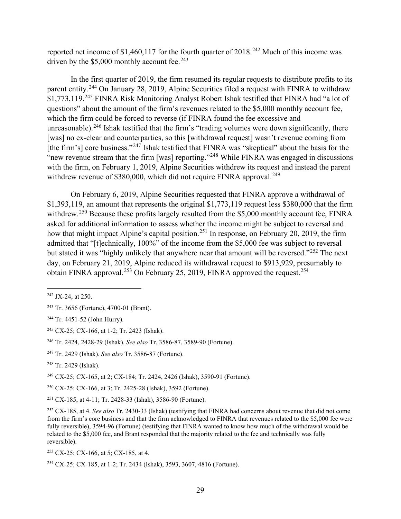reported net income of \$1,460,117 for the fourth quarter of  $2018<sup>242</sup>$  Much of this income was driven by the  $$5,000$  monthly account fee.<sup>243</sup>

In the first quarter of 2019, the firm resumed its regular requests to distribute profits to its parent entity.<sup>244</sup> On January 28, 2019, Alpine Securities filed a request with FINRA to withdraw \$1,773,119.<sup>245</sup> FINRA Risk Monitoring Analyst Robert Ishak testified that FINRA had "a lot of questions" about the amount of the firm's revenues related to the \$5,000 monthly account fee, which the firm could be forced to reverse (if FINRA found the fee excessive and unreasonable).<sup>246</sup> Ishak testified that the firm's "trading volumes were down significantly, there [was] no ex-clear and counterparties, so this [withdrawal request] wasn't revenue coming from [the firm's] core business."<sup>247</sup> Ishak testified that FINRA was "skeptical" about the basis for the "new revenue stream that the firm [was] reporting."<sup>248</sup> While FINRA was engaged in discussions with the firm, on February 1, 2019, Alpine Securities withdrew its request and instead the parent withdrew revenue of \$380,000, which did not require FINRA approval.<sup>249</sup>

On February 6, 2019, Alpine Securities requested that FINRA approve a withdrawal of \$1,393,119, an amount that represents the original \$1,773,119 request less \$380,000 that the firm withdrew.<sup>250</sup> Because these profits largely resulted from the \$5,000 monthly account fee, FINRA asked for additional information to assess whether the income might be subject to reversal and how that might impact Alpine's capital position.<sup>251</sup> In response, on February 20, 2019, the firm admitted that "[t]echnically, 100%" of the income from the \$5,000 fee was subject to reversal but stated it was "highly unlikely that anywhere near that amount will be reversed."<sup>252</sup> The next day, on February 21, 2019, Alpine reduced its withdrawal request to \$913,929, presumably to obtain FINRA approval.<sup>253</sup> On February 25, 2019, FINRA approved the request.<sup>254</sup>

<sup>249</sup> CX-25; CX-165, at 2; CX-184; Tr. 2424, 2426 (Ishak), 3590-91 (Fortune).

<sup>250</sup> CX-25; CX-166, at 3; Tr. 2425-28 (Ishak), 3592 (Fortune).

<sup>251</sup> CX-185, at 4-11; Tr. 2428-33 (Ishak), 3586-90 (Fortune).

 $242$  JX-24, at 250.

<sup>243</sup> Tr. 3656 (Fortune), 4700-01 (Brant).

<sup>244</sup> Tr. 4451-52 (John Hurry).

<sup>245</sup> CX-25; CX-166, at 1-2; Tr. 2423 (Ishak).

<sup>246</sup> Tr. 2424, 2428-29 (Ishak). *See also* Tr. 3586-87, 3589-90 (Fortune).

<sup>247</sup> Tr. 2429 (Ishak). *See also* Tr. 3586-87 (Fortune).

<sup>248</sup> Tr. 2429 (Ishak).

<sup>252</sup> CX-185, at 4. *See also* Tr. 2430-33 (Ishak) (testifying that FINRA had concerns about revenue that did not come from the firm's core business and that the firm acknowledged to FINRA that revenues related to the \$5,000 fee were fully reversible), 3594-96 (Fortune) (testifying that FINRA wanted to know how much of the withdrawal would be related to the \$5,000 fee, and Brant responded that the majority related to the fee and technically was fully reversible).

<sup>253</sup> CX-25; CX-166, at 5; CX-185, at 4.

<sup>254</sup> CX-25; CX-185, at 1-2; Tr. 2434 (Ishak), 3593, 3607, 4816 (Fortune).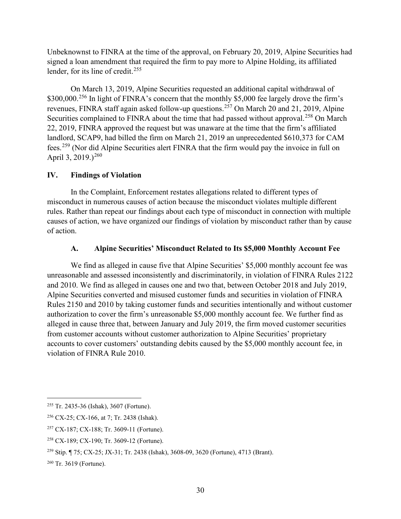Unbeknownst to FINRA at the time of the approval, on February 20, 2019, Alpine Securities had signed a loan amendment that required the firm to pay more to Alpine Holding, its affiliated lender, for its line of credit.<sup>255</sup>

On March 13, 2019, Alpine Securities requested an additional capital withdrawal of \$300,000.<sup>256</sup> In light of FINRA's concern that the monthly \$5,000 fee largely drove the firm's revenues, FINRA staff again asked follow-up questions.<sup>257</sup> On March 20 and 21, 2019, Alpine Securities complained to FINRA about the time that had passed without approval.<sup>258</sup> On March 22, 2019, FINRA approved the request but was unaware at the time that the firm's affiliated landlord, SCAP9, had billed the firm on March 21, 2019 an unprecedented \$610,373 for CAM fees.<sup>259</sup> (Nor did Alpine Securities alert FINRA that the firm would pay the invoice in full on April 3, 2019.)<sup>260</sup>

### **IV. Findings of Violation**

In the Complaint, Enforcement restates allegations related to different types of misconduct in numerous causes of action because the misconduct violates multiple different rules. Rather than repeat our findings about each type of misconduct in connection with multiple causes of action, we have organized our findings of violation by misconduct rather than by cause of action.

### **A. Alpine Securities' Misconduct Related to Its \$5,000 Monthly Account Fee**

We find as alleged in cause five that Alpine Securities' \$5,000 monthly account fee was unreasonable and assessed inconsistently and discriminatorily, in violation of FINRA Rules 2122 and 2010. We find as alleged in causes one and two that, between October 2018 and July 2019, Alpine Securities converted and misused customer funds and securities in violation of FINRA Rules 2150 and 2010 by taking customer funds and securities intentionally and without customer authorization to cover the firm's unreasonable \$5,000 monthly account fee. We further find as alleged in cause three that, between January and July 2019, the firm moved customer securities from customer accounts without customer authorization to Alpine Securities' proprietary accounts to cover customers' outstanding debits caused by the \$5,000 monthly account fee, in violation of FINRA Rule 2010.

<sup>255</sup> Tr. 2435-36 (Ishak), 3607 (Fortune).

<sup>256</sup> CX-25; CX-166, at 7; Tr. 2438 (Ishak).

<sup>257</sup> CX-187; CX-188; Tr. 3609-11 (Fortune).

<sup>258</sup> CX-189; CX-190; Tr. 3609-12 (Fortune).

<sup>259</sup> Stip. ¶ 75; CX-25; JX-31; Tr. 2438 (Ishak), 3608-09, 3620 (Fortune), 4713 (Brant).

<sup>260</sup> Tr. 3619 (Fortune).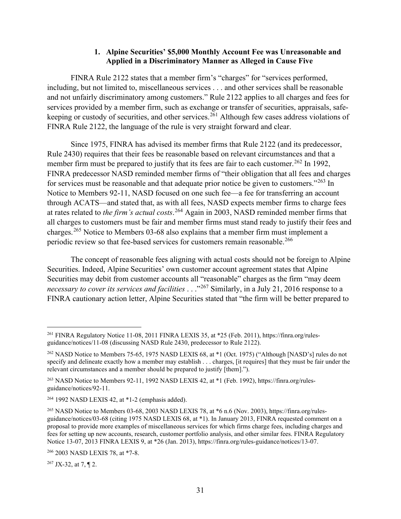#### **1. Alpine Securities' \$5,000 Monthly Account Fee was Unreasonable and Applied in a Discriminatory Manner as Alleged in Cause Five**

FINRA Rule 2122 states that a member firm's "charges" for "services performed, including, but not limited to, miscellaneous services . . . and other services shall be reasonable and not unfairly discriminatory among customers." Rule 2122 applies to all charges and fees for services provided by a member firm, such as exchange or transfer of securities, appraisals, safekeeping or custody of securities, and other services.<sup>261</sup> Although few cases address violations of FINRA Rule 2122, the language of the rule is very straight forward and clear.

Since 1975, FINRA has advised its member firms that Rule 2122 (and its predecessor, Rule 2430) requires that their fees be reasonable based on relevant circumstances and that a member firm must be prepared to justify that its fees are fair to each customer.<sup>262</sup> In 1992, FINRA predecessor NASD reminded member firms of "their obligation that all fees and charges for services must be reasonable and that adequate prior notice be given to customers." $263$  In Notice to Members 92-11, NASD focused on one such fee—a fee for transferring an account through ACATS—and stated that, as with all fees, NASD expects member firms to charge fees at rates related to *the firm's actual costs*. <sup>264</sup> Again in 2003, NASD reminded member firms that all charges to customers must be fair and member firms must stand ready to justify their fees and charges.<sup>265</sup> Notice to Members 03-68 also explains that a member firm must implement a periodic review so that fee-based services for customers remain reasonable.<sup>266</sup>

The concept of reasonable fees aligning with actual costs should not be foreign to Alpine Securities. Indeed, Alpine Securities' own customer account agreement states that Alpine Securities may debit from customer accounts all "reasonable" charges as the firm "may deem *necessary to cover its services and facilities* . . ."<sup>267</sup> Similarly, in a July 21, 2016 response to a FINRA cautionary action letter, Alpine Securities stated that "the firm will be better prepared to

 $267$  JX-32, at 7, ¶ 2.

<sup>261</sup> FINRA Regulatory Notice 11-08, 2011 FINRA LEXIS 35, at \*25 (Feb. 2011), https://finra.org/rulesguidance/notices/11-08 (discussing NASD Rule 2430, predecessor to Rule 2122).

<sup>262</sup> NASD Notice to Members 75-65, 1975 NASD LEXIS 68, at \*1 (Oct. 1975) ("Although [NASD's] rules do not specify and delineate exactly how a member may establish . . . charges, [it requires] that they must be fair under the relevant circumstances and a member should be prepared to justify [them].").

<sup>263</sup> NASD Notice to Members 92-11, 1992 NASD LEXIS 42, at \*1 (Feb. 1992), https://finra.org/rulesguidance/notices/92-11.

 $264$  1992 NASD LEXIS 42, at  $*1-2$  (emphasis added).

<sup>265</sup> NASD Notice to Members 03-68, 2003 NASD LEXIS 78, at \*6 n.6 (Nov. 2003), https://finra.org/rulesguidance/notices/03-68 (citing 1975 NASD LEXIS 68, at \*1). In January 2013, FINRA requested comment on a proposal to provide more examples of miscellaneous services for which firms charge fees, including charges and fees for setting up new accounts, research, customer portfolio analysis, and other similar fees. FINRA Regulatory Notice 13-07, 2013 FINRA LEXIS 9, at \*26 (Jan. 2013), https://finra.org/rules-guidance/notices/13-07.

<sup>266</sup> 2003 NASD LEXIS 78, at \*7-8.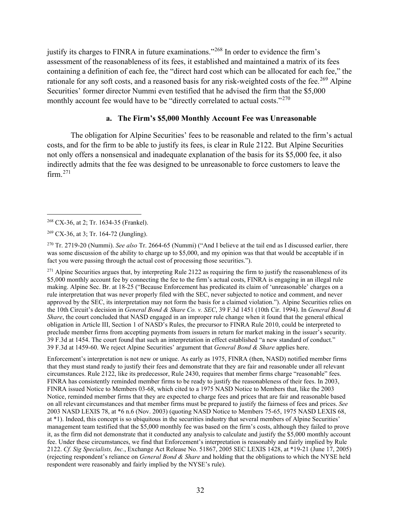justify its charges to FINRA in future examinations."<sup>268</sup> In order to evidence the firm's assessment of the reasonableness of its fees, it established and maintained a matrix of its fees containing a definition of each fee, the "direct hard cost which can be allocated for each fee," the rationale for any soft costs, and a reasoned basis for any risk-weighted costs of the fee.<sup>269</sup> Alpine Securities' former director Nummi even testified that he advised the firm that the \$5,000 monthly account fee would have to be "directly correlated to actual costs."<sup>270</sup>

#### **a. The Firm's \$5,000 Monthly Account Fee was Unreasonable**

The obligation for Alpine Securities' fees to be reasonable and related to the firm's actual costs, and for the firm to be able to justify its fees, is clear in Rule 2122. But Alpine Securities not only offers a nonsensical and inadequate explanation of the basis for its \$5,000 fee, it also indirectly admits that the fee was designed to be unreasonable to force customers to leave the  $firm.<sup>271</sup>$ 

<sup>270</sup> Tr. 2719-20 (Nummi). *See also* Tr. 2664-65 (Nummi) ("And I believe at the tail end as I discussed earlier, there was some discussion of the ability to charge up to \$5,000, and my opinion was that that would be acceptable if in fact you were passing through the actual cost of processing those securities.").

 $271$  Alpine Securities argues that, by interpreting Rule 2122 as requiring the firm to justify the reasonableness of its \$5,000 monthly account fee by connecting the fee to the firm's actual costs, FINRA is engaging in an illegal rule making. Alpine Sec. Br. at 18-25 ("Because Enforcement has predicated its claim of 'unreasonable' charges on a rule interpretation that was never properly filed with the SEC, never subjected to notice and comment, and never approved by the SEC, its interpretation may not form the basis for a claimed violation."). Alpine Securities relies on the 10th Circuit's decision in *General Bond & Share Co. v. SEC*, 39 F.3d 1451 (10th Cir. 1994). In *General Bond & Share*, the court concluded that NASD engaged in an improper rule change when it found that the general ethical obligation in Article III, Section 1 of NASD's Rules, the precursor to FINRA Rule 2010, could be interpreted to preclude member firms from accepting payments from issuers in return for market making in the issuer's security. 39 F.3d at 1454. The court found that such an interpretation in effect established "a new standard of conduct." 39 F.3d at 1459-60. We reject Alpine Securities' argument that *General Bond & Share* applies here.

Enforcement's interpretation is not new or unique. As early as 1975, FINRA (then, NASD) notified member firms that they must stand ready to justify their fees and demonstrate that they are fair and reasonable under all relevant circumstances. Rule 2122, like its predecessor, Rule 2430, requires that member firms charge "reasonable" fees. FINRA has consistently reminded member firms to be ready to justify the reasonableness of their fees. In 2003, FINRA issued Notice to Members 03-68, which cited to a 1975 NASD Notice to Members that, like the 2003 Notice, reminded member firms that they are expected to charge fees and prices that are fair and reasonable based on all relevant circumstances and that member firms must be prepared to justify the fairness of fees and prices. *See* 2003 NASD LEXIS 78, at \*6 n.6 (Nov. 2003) (quoting NASD Notice to Members 75-65, 1975 NASD LEXIS 68, at \*1). Indeed, this concept is so ubiquitous in the securities industry that several members of Alpine Securities' management team testified that the \$5,000 monthly fee was based on the firm's costs, although they failed to prove it, as the firm did not demonstrate that it conducted any analysis to calculate and justify the \$5,000 monthly account fee. Under these circumstances, we find that Enforcement's interpretation is reasonably and fairly implied by Rule 2122. *Cf. Sig Specialists, Inc.*, Exchange Act Release No. 51867, 2005 SEC LEXIS 1428, at \*19-21 (June 17, 2005) (rejecting respondent's reliance on *General Bond & Share* and holding that the obligations to which the NYSE held respondent were reasonably and fairly implied by the NYSE's rule).

<sup>268</sup> CX-36, at 2; Tr. 1634-35 (Frankel).

<sup>269</sup> CX-36, at 3; Tr. 164-72 (Jungling).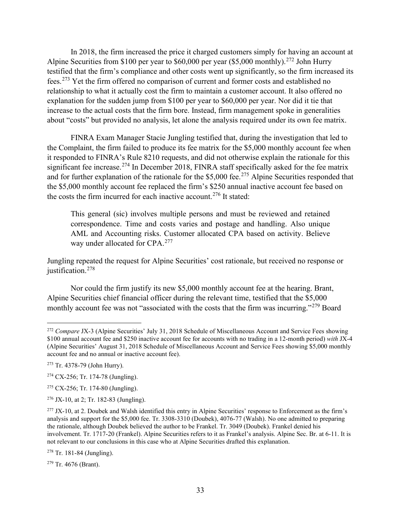In 2018, the firm increased the price it charged customers simply for having an account at Alpine Securities from \$100 per year to \$60,000 per year (\$5,000 monthly).<sup>272</sup> John Hurry testified that the firm's compliance and other costs went up significantly, so the firm increased its fees.<sup>273</sup> Yet the firm offered no comparison of current and former costs and established no relationship to what it actually cost the firm to maintain a customer account. It also offered no explanation for the sudden jump from \$100 per year to \$60,000 per year. Nor did it tie that increase to the actual costs that the firm bore. Instead, firm management spoke in generalities about "costs" but provided no analysis, let alone the analysis required under its own fee matrix.

FINRA Exam Manager Stacie Jungling testified that, during the investigation that led to the Complaint, the firm failed to produce its fee matrix for the \$5,000 monthly account fee when it responded to FINRA's Rule 8210 requests, and did not otherwise explain the rationale for this significant fee increase.<sup>274</sup> In December 2018, FINRA staff specifically asked for the fee matrix and for further explanation of the rationale for the \$5,000 fee.<sup>275</sup> Alpine Securities responded that the \$5,000 monthly account fee replaced the firm's \$250 annual inactive account fee based on the costs the firm incurred for each inactive account.<sup>276</sup> It stated:

This general (sic) involves multiple persons and must be reviewed and retained correspondence. Time and costs varies and postage and handling. Also unique AML and Accounting risks. Customer allocated CPA based on activity. Believe way under allocated for CPA.<sup>277</sup>

Jungling repeated the request for Alpine Securities' cost rationale, but received no response or justification. 278

Nor could the firm justify its new \$5,000 monthly account fee at the hearing. Brant, Alpine Securities chief financial officer during the relevant time, testified that the \$5,000 monthly account fee was not "associated with the costs that the firm was incurring."<sup>279</sup> Board

<sup>278</sup> Tr. 181-84 (Jungling).

<sup>279</sup> Tr. 4676 (Brant).

<sup>272</sup> *Compare* JX-3 (Alpine Securities' July 31, 2018 Schedule of Miscellaneous Account and Service Fees showing \$100 annual account fee and \$250 inactive account fee for accounts with no trading in a 12-month period) *with* JX-4 (Alpine Securities' August 31, 2018 Schedule of Miscellaneous Account and Service Fees showing \$5,000 monthly account fee and no annual or inactive account fee).

<sup>273</sup> Tr. 4378-79 (John Hurry).

<sup>274</sup> CX-256; Tr. 174-78 (Jungling).

<sup>275</sup> CX-256; Tr. 174-80 (Jungling).

 $276$  JX-10, at 2; Tr. 182-83 (Jungling).

<sup>&</sup>lt;sup>277</sup> JX-10, at 2. Doubek and Walsh identified this entry in Alpine Securities' response to Enforcement as the firm's analysis and support for the \$5,000 fee. Tr. 3308-3310 (Doubek), 4076-77 (Walsh). No one admitted to preparing the rationale, although Doubek believed the author to be Frankel. Tr. 3049 (Doubek). Frankel denied his involvement. Tr. 1717-20 (Frankel). Alpine Securities refers to it as Frankel's analysis. Alpine Sec. Br. at 6-11. It is not relevant to our conclusions in this case who at Alpine Securities drafted this explanation.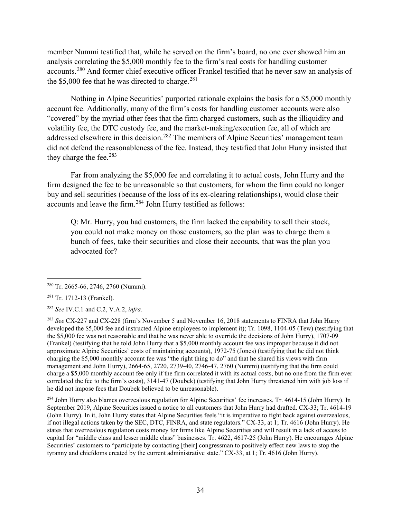member Nummi testified that, while he served on the firm's board, no one ever showed him an analysis correlating the \$5,000 monthly fee to the firm's real costs for handling customer accounts.<sup>280</sup> And former chief executive officer Frankel testified that he never saw an analysis of the  $$5,000$  fee that he was directed to charge.<sup>281</sup>

Nothing in Alpine Securities' purported rationale explains the basis for a \$5,000 monthly account fee. Additionally, many of the firm's costs for handling customer accounts were also "covered" by the myriad other fees that the firm charged customers, such as the illiquidity and volatility fee, the DTC custody fee, and the market-making/execution fee, all of which are addressed elsewhere in this decision.<sup>282</sup> The members of Alpine Securities' management team did not defend the reasonableness of the fee. Instead, they testified that John Hurry insisted that they charge the fee. $283$ 

Far from analyzing the \$5,000 fee and correlating it to actual costs, John Hurry and the firm designed the fee to be unreasonable so that customers, for whom the firm could no longer buy and sell securities (because of the loss of its ex-clearing relationships), would close their accounts and leave the firm.<sup>284</sup> John Hurry testified as follows:

Q: Mr. Hurry, you had customers, the firm lacked the capability to sell their stock, you could not make money on those customers, so the plan was to charge them a bunch of fees, take their securities and close their accounts, that was the plan you advocated for?

<sup>284</sup> John Hurry also blames overzealous regulation for Alpine Securities' fee increases. Tr. 4614-15 (John Hurry). In September 2019, Alpine Securities issued a notice to all customers that John Hurry had drafted. CX-33; Tr. 4614-19 (John Hurry). In it, John Hurry states that Alpine Securities feels "it is imperative to fight back against overzealous, if not illegal actions taken by the SEC, DTC, FINRA, and state regulators." CX-33, at 1; Tr. 4616 (John Hurry). He states that overzealous regulation costs money for firms like Alpine Securities and will result in a lack of access to capital for "middle class and lesser middle class" businesses. Tr. 4622, 4617-25 (John Hurry). He encourages Alpine Securities' customers to "participate by contacting [their] congressman to positively effect new laws to stop the tyranny and chiefdoms created by the current administrative state." CX-33, at 1; Tr. 4616 (John Hurry).

<sup>280</sup> Tr. 2665-66, 2746, 2760 (Nummi).

<sup>281</sup> Tr. 1712-13 (Frankel).

<sup>282</sup> *See* IV.C.1 and C.2, V.A.2, *infra*.

<sup>283</sup> *See* CX-227 and CX-228 (firm's November 5 and November 16, 2018 statements to FINRA that John Hurry developed the \$5,000 fee and instructed Alpine employees to implement it); Tr. 1098, 1104-05 (Tew) (testifying that the \$5,000 fee was not reasonable and that he was never able to override the decisions of John Hurry), 1707-09 (Frankel) (testifying that he told John Hurry that a \$5,000 monthly account fee was improper because it did not approximate Alpine Securities' costs of maintaining accounts), 1972-75 (Jones) (testifying that he did not think charging the \$5,000 monthly account fee was "the right thing to do" and that he shared his views with firm management and John Hurry), 2664-65, 2720, 2739-40, 2746-47, 2760 (Nummi) (testifying that the firm could charge a \$5,000 monthly account fee only if the firm correlated it with its actual costs, but no one from the firm ever correlated the fee to the firm's costs), 3141-47 (Doubek) (testifying that John Hurry threatened him with job loss if he did not impose fees that Doubek believed to be unreasonable).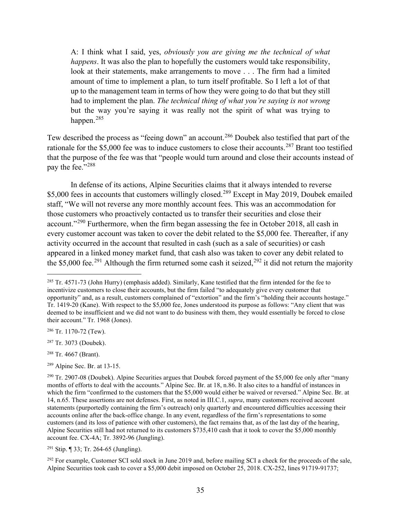A: I think what I said, yes, *obviously you are giving me the technical of what happens*. It was also the plan to hopefully the customers would take responsibility, look at their statements, make arrangements to move . . . The firm had a limited amount of time to implement a plan, to turn itself profitable. So I left a lot of that up to the management team in terms of how they were going to do that but they still had to implement the plan. *The technical thing of what you're saying is not wrong* but the way you're saying it was really not the spirit of what was trying to happen.<sup>285</sup>

Tew described the process as "feeing down" an account.<sup>286</sup> Doubek also testified that part of the rationale for the \$5,000 fee was to induce customers to close their accounts.<sup>287</sup> Brant too testified that the purpose of the fee was that "people would turn around and close their accounts instead of pay the fee."<sup>288</sup>

In defense of its actions, Alpine Securities claims that it always intended to reverse \$5,000 fees in accounts that customers willingly closed.<sup>289</sup> Except in May 2019, Doubek emailed staff, "We will not reverse any more monthly account fees. This was an accommodation for those customers who proactively contacted us to transfer their securities and close their account."<sup>290</sup> Furthermore, when the firm began assessing the fee in October 2018, all cash in every customer account was taken to cover the debit related to the \$5,000 fee. Thereafter, if any activity occurred in the account that resulted in cash (such as a sale of securities) or cash appeared in a linked money market fund, that cash also was taken to cover any debit related to the \$5,000 fee.<sup>291</sup> Although the firm returned some cash it seized,<sup>292</sup> it did not return the majority

<sup>289</sup> Alpine Sec. Br. at 13-15.

 $291$  Stip. ¶ 33; Tr. 264-65 (Jungling).

<sup>292</sup> For example, Customer SCI sold stock in June 2019 and, before mailing SCI a check for the proceeds of the sale, Alpine Securities took cash to cover a \$5,000 debit imposed on October 25, 2018. CX-252, lines 91719-91737;

<sup>285</sup> Tr. 4571-73 (John Hurry) (emphasis added). Similarly, Kane testified that the firm intended for the fee to incentivize customers to close their accounts, but the firm failed "to adequately give every customer that opportunity" and, as a result, customers complained of "extortion" and the firm's "holding their accounts hostage." Tr. 1419-20 (Kane). With respect to the \$5,000 fee, Jones understood its purpose as follows: "Any client that was deemed to be insufficient and we did not want to do business with them, they would essentially be forced to close their account." Tr. 1968 (Jones).

<sup>286</sup> Tr. 1170-72 (Tew).

<sup>287</sup> Tr. 3073 (Doubek).

<sup>288</sup> Tr. 4667 (Brant).

 $^{290}$  Tr. 2907-08 (Doubek). Alpine Securities argues that Doubek forced payment of the \$5,000 fee only after "many months of efforts to deal with the accounts." Alpine Sec. Br. at 18, n.86. It also cites to a handful of instances in which the firm "confirmed to the customers that the \$5,000 would either be waived or reversed." Alpine Sec. Br. at 14, n.65. These assertions are not defenses. First, as noted in III.C.1, *supra*, many customers received account statements (purportedly containing the firm's outreach) only quarterly and encountered difficulties accessing their accounts online after the back-office change. In any event, regardless of the firm's representations to some customers (and its loss of patience with other customers), the fact remains that, as of the last day of the hearing, Alpine Securities still had not returned to its customers \$735,410 cash that it took to cover the \$5,000 monthly account fee. CX-4A; Tr. 3892-96 (Jungling).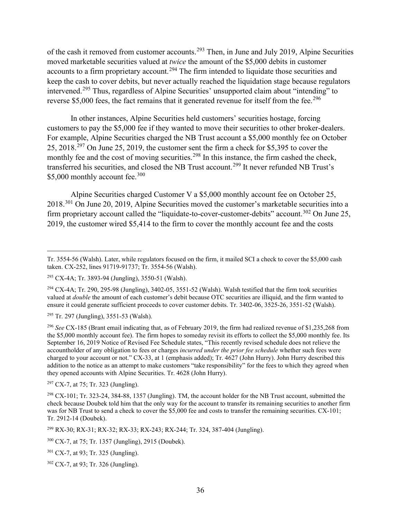of the cash it removed from customer accounts.<sup>293</sup> Then, in June and July 2019, Alpine Securities moved marketable securities valued at *twice* the amount of the \$5,000 debits in customer accounts to a firm proprietary account.<sup>294</sup> The firm intended to liquidate those securities and keep the cash to cover debits, but never actually reached the liquidation stage because regulators intervened.<sup>295</sup> Thus, regardless of Alpine Securities' unsupported claim about "intending" to reverse \$5,000 fees, the fact remains that it generated revenue for itself from the fee.<sup>296</sup>

In other instances, Alpine Securities held customers' securities hostage, forcing customers to pay the \$5,000 fee if they wanted to move their securities to other broker-dealers. For example, Alpine Securities charged the NB Trust account a \$5,000 monthly fee on October 25, 2018.<sup>297</sup> On June 25, 2019, the customer sent the firm a check for \$5,395 to cover the monthly fee and the cost of moving securities.<sup>298</sup> In this instance, the firm cashed the check, transferred his securities, and closed the NB Trust account.<sup>299</sup> It never refunded NB Trust's \$5,000 monthly account fee.<sup>300</sup>

Alpine Securities charged Customer V a \$5,000 monthly account fee on October 25, 2018.<sup>301</sup> On June 20, 2019, Alpine Securities moved the customer's marketable securities into a firm proprietary account called the "liquidate-to-cover-customer-debits" account.<sup>302</sup> On June 25, 2019, the customer wired \$5,414 to the firm to cover the monthly account fee and the costs

 $295$  Tr. 297 (Jungling), 3551-53 (Walsh).

 $297$  CX-7, at 75; Tr. 323 (Jungling).

Tr. 3554-56 (Walsh). Later, while regulators focused on the firm, it mailed SCI a check to cover the \$5,000 cash taken. CX-252, lines 91719-91737; Tr. 3554-56 (Walsh).

<sup>293</sup> CX-4A; Tr. 3893-94 (Jungling), 3550-51 (Walsh).

 $294$  CX-4A; Tr. 290, 295-98 (Jungling), 3402-05, 3551-52 (Walsh). Walsh testified that the firm took securities valued at *double* the amount of each customer's debit because OTC securities are illiquid, and the firm wanted to ensure it could generate sufficient proceeds to cover customer debits. Tr. 3402-06, 3525-26, 3551-52 (Walsh).

<sup>296</sup> *See* CX-185 (Brant email indicating that, as of February 2019, the firm had realized revenue of \$1,235,268 from the \$5,000 monthly account fee). The firm hopes to someday revisit its efforts to collect the \$5,000 monthly fee. Its September 16, 2019 Notice of Revised Fee Schedule states, "This recently revised schedule does not relieve the accountholder of any obligation to fees or charges *incurred under the prior fee schedule* whether such fees were charged to your account or not." CX-33, at 1 (emphasis added); Tr. 4627 (John Hurry). John Hurry described this addition to the notice as an attempt to make customers "take responsibility" for the fees to which they agreed when they opened accounts with Alpine Securities. Tr. 4628 (John Hurry).

<sup>&</sup>lt;sup>298</sup> CX-101; Tr. 323-24, 384-88, 1357 (Jungling). TM, the account holder for the NB Trust account, submitted the check because Doubek told him that the only way for the account to transfer its remaining securities to another firm was for NB Trust to send a check to cover the \$5,000 fee and costs to transfer the remaining securities. CX-101; Tr. 2912-14 (Doubek).

<sup>299</sup> RX-30; RX-31; RX-32; RX-33; RX-243; RX-244; Tr. 324, 387-404 (Jungling).

<sup>300</sup> CX-7, at 75; Tr. 1357 (Jungling), 2915 (Doubek).

<sup>301</sup> CX-7, at 93; Tr. 325 (Jungling).

<sup>302</sup> CX-7, at 93; Tr. 326 (Jungling).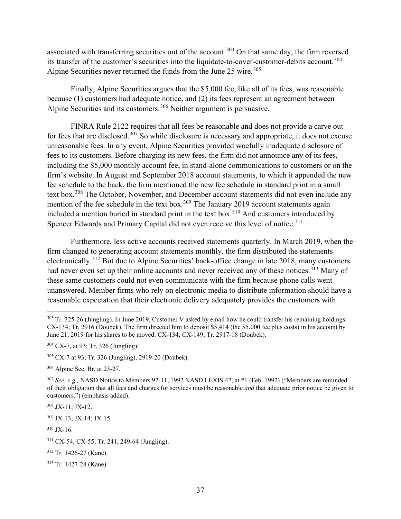associated with transferring securities out of the account.<sup>303</sup> On that same day, the firm reversed its transfer of the customer's securities into the liquidate-to-cover-customer-debits account.<sup>304</sup> Alpine Securities never returned the funds from the June 25 wire.<sup>305</sup>

Finally, Alpine Securities argues that the \$5,000 fee, like all of its fees, was reasonable because (1) customers had adequate notice, and (2) its fees represent an agreement between Alpine Securities and its customers.<sup>306</sup> Neither argument is persuasive.

FINRA Rule 2122 requires that all fees be reasonable and does not provide a carve out for fees that are disclosed.<sup>307</sup> So while disclosure is necessary and appropriate, it does not excuse unreasonable fees. In any event, Alpine Securities provided woefully inadequate disclosure of fees to its customers. Before charging its new fees, the firm did not announce any of its fees, including the \$5,000 monthly account fee, in stand-alone communications to customers or on the firm's website. In August and September 2018 account statements, to which it appended the new fee schedule to the back, the firm mentioned the new fee schedule in standard print in a small text box.<sup>308</sup> The October, November, and December account statements did not even include any mention of the fee schedule in the text box.<sup>309</sup> The January 2019 account statements again included a mention buried in standard print in the text box.<sup>310</sup> And customers introduced by Spencer Edwards and Primary Capital did not even receive this level of notice.<sup>311</sup>

Furthermore, less active accounts received statements quarterly. In March 2019, when the firm changed to generating account statements monthly, the firm distributed the statements electronically.<sup>312</sup> But due to Alpine Securities' back-office change in late 2018, many customers had never even set up their online accounts and never received any of these notices.<sup>313</sup> Many of these same customers could not even communicate with the firm because phone calls went unanswered. Member firms who rely on electronic media to distribute information should have a reasonable expectation that their electronic delivery adequately provides the customers with

 $310$  JX-16.

 $303$  Tr. 325-26 (Jungling). In June 2019, Customer V asked by email how he could transfer his remaining holdings. CX-134; Tr. 2916 (Doubek). The firm directed him to deposit \$5,414 (the \$5,000 fee plus costs) in his account by June 21, 2019 for his shares to be moved. CX-134; CX-149; Tr. 2917-18 (Doubek).

<sup>304</sup> CX-7, at 93; Tr. 326 (Jungling).

<sup>305</sup> CX-7 at 93; Tr. 326 (Jungling), 2919-20 (Doubek).

<sup>306</sup> Alpine Sec. Br. at 23-27.

<sup>307</sup> *See, e.g.,* NASD Notice to Members 92-11, 1992 NASD LEXIS 42, at \*1 (Feb. 1992) ("Members are reminded of their obligation that all fees and charges for services must be reasonable *and* that adequate prior notice be given to customers.") (emphasis added).

<sup>308</sup> JX-11; JX-12.

<sup>309</sup> JX-13; JX-14; JX-15.

<sup>311</sup> CX-54; CX-55; Tr. 241, 249-64 (Jungling).

<sup>312</sup> Tr. 1426-27 (Kane).

<sup>313</sup> Tr. 1427-28 (Kane).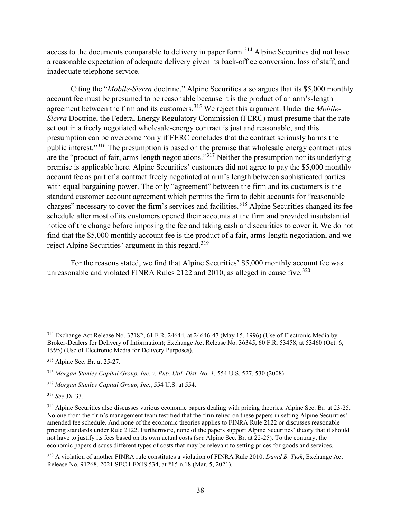access to the documents comparable to delivery in paper form.<sup>314</sup> Alpine Securities did not have a reasonable expectation of adequate delivery given its back-office conversion, loss of staff, and inadequate telephone service.

Citing the "*Mobile-Sierra* doctrine," Alpine Securities also argues that its \$5,000 monthly account fee must be presumed to be reasonable because it is the product of an arm's-length agreement between the firm and its customers.<sup>315</sup> We reject this argument. Under the *Mobile*-*Sierra* Doctrine, the Federal Energy Regulatory Commission (FERC) must presume that the rate set out in a freely negotiated wholesale-energy contract is just and reasonable, and this presumption can be overcome "only if FERC concludes that the contract seriously harms the public interest."<sup>316</sup> The presumption is based on the premise that wholesale energy contract rates are the "product of fair, arms-length negotiations."<sup>317</sup> Neither the presumption nor its underlying premise is applicable here. Alpine Securities' customers did not agree to pay the \$5,000 monthly account fee as part of a contract freely negotiated at arm's length between sophisticated parties with equal bargaining power. The only "agreement" between the firm and its customers is the standard customer account agreement which permits the firm to debit accounts for "reasonable charges" necessary to cover the firm's services and facilities.<sup>318</sup> Alpine Securities changed its fee schedule after most of its customers opened their accounts at the firm and provided insubstantial notice of the change before imposing the fee and taking cash and securities to cover it. We do not find that the \$5,000 monthly account fee is the product of a fair, arms-length negotiation, and we reject Alpine Securities' argument in this regard.<sup>319</sup>

For the reasons stated, we find that Alpine Securities' \$5,000 monthly account fee was unreasonable and violated FINRA Rules 2122 and 2010, as alleged in cause five.<sup>320</sup>

<sup>318</sup> *See* JX-33.

<sup>320</sup> A violation of another FINRA rule constitutes a violation of FINRA Rule 2010. *David B. Tysk*, Exchange Act Release No. 91268, 2021 SEC LEXIS 534, at \*15 n.18 (Mar. 5, 2021).

<sup>314</sup> Exchange Act Release No. 37182, 61 F.R. 24644, at 24646-47 (May 15, 1996) (Use of Electronic Media by Broker-Dealers for Delivery of Information); Exchange Act Release No. 36345, 60 F.R. 53458, at 53460 (Oct. 6, 1995) (Use of Electronic Media for Delivery Purposes).

<sup>315</sup> Alpine Sec. Br. at 25-27.

<sup>316</sup> *Morgan Stanley Capital Group, Inc. v. Pub. Util. Dist. No. 1*, 554 U.S. 527, 530 (2008).

<sup>317</sup> *Morgan Stanley Capital Group, Inc.*, 554 U.S. at 554.

<sup>&</sup>lt;sup>319</sup> Alpine Securities also discusses various economic papers dealing with pricing theories. Alpine Sec. Br. at 23-25. No one from the firm's management team testified that the firm relied on these papers in setting Alpine Securities' amended fee schedule. And none of the economic theories applies to FINRA Rule 2122 or discusses reasonable pricing standards under Rule 2122. Furthermore, none of the papers support Alpine Securities' theory that it should not have to justify its fees based on its own actual costs (*see* Alpine Sec. Br. at 22-25). To the contrary, the economic papers discuss different types of costs that may be relevant to setting prices for goods and services.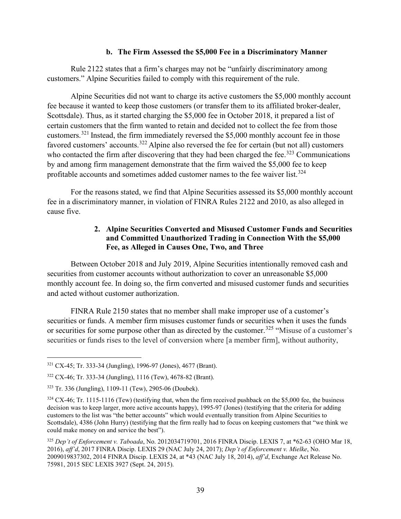#### **b. The Firm Assessed the \$5,000 Fee in a Discriminatory Manner**

Rule 2122 states that a firm's charges may not be "unfairly discriminatory among customers." Alpine Securities failed to comply with this requirement of the rule.

Alpine Securities did not want to charge its active customers the \$5,000 monthly account fee because it wanted to keep those customers (or transfer them to its affiliated broker-dealer, Scottsdale). Thus, as it started charging the \$5,000 fee in October 2018, it prepared a list of certain customers that the firm wanted to retain and decided not to collect the fee from those customers.<sup>321</sup> Instead, the firm immediately reversed the \$5,000 monthly account fee in those favored customers' accounts.<sup>322</sup> Alpine also reversed the fee for certain (but not all) customers who contacted the firm after discovering that they had been charged the fee.<sup>323</sup> Communications by and among firm management demonstrate that the firm waived the \$5,000 fee to keep profitable accounts and sometimes added customer names to the fee waiver list.<sup>324</sup>

For the reasons stated, we find that Alpine Securities assessed its \$5,000 monthly account fee in a discriminatory manner, in violation of FINRA Rules 2122 and 2010, as also alleged in cause five.

### **2. Alpine Securities Converted and Misused Customer Funds and Securities and Committed Unauthorized Trading in Connection With the \$5,000 Fee, as Alleged in Causes One, Two, and Three**

Between October 2018 and July 2019, Alpine Securities intentionally removed cash and securities from customer accounts without authorization to cover an unreasonable \$5,000 monthly account fee. In doing so, the firm converted and misused customer funds and securities and acted without customer authorization.

FINRA Rule 2150 states that no member shall make improper use of a customer's securities or funds. A member firm misuses customer funds or securities when it uses the funds or securities for some purpose other than as directed by the customer.<sup>325</sup> "Misuse of a customer's securities or funds rises to the level of conversion where [a member firm], without authority,

<sup>321</sup> CX-45; Tr. 333-34 (Jungling), 1996-97 (Jones), 4677 (Brant).

<sup>322</sup> CX-46; Tr. 333-34 (Jungling), 1116 (Tew), 4678-82 (Brant).

<sup>323</sup> Tr. 336 (Jungling), 1109-11 (Tew), 2905-06 (Doubek).

 $324$  CX-46; Tr. 1115-1116 (Tew) (testifying that, when the firm received pushback on the \$5,000 fee, the business decision was to keep larger, more active accounts happy), 1995-97 (Jones) (testifying that the criteria for adding customers to the list was "the better accounts" which would eventually transition from Alpine Securities to Scottsdale), 4386 (John Hurry) (testifying that the firm really had to focus on keeping customers that "we think we could make money on and service the best").

<sup>325</sup> *Dep't of Enforcement v. Taboada*, No. 2012034719701, 2016 FINRA Discip. LEXIS 7, at \*62-63 (OHO Mar 18, 2016), *aff'd*, 2017 FINRA Discip. LEXIS 29 (NAC July 24, 2017); *Dep't of Enforcement v. Mielke*, No. 2009019837302, 2014 FINRA Discip. LEXIS 24, at \*43 (NAC July 18, 2014), *aff'd*, Exchange Act Release No. 75981, 2015 SEC LEXIS 3927 (Sept. 24, 2015).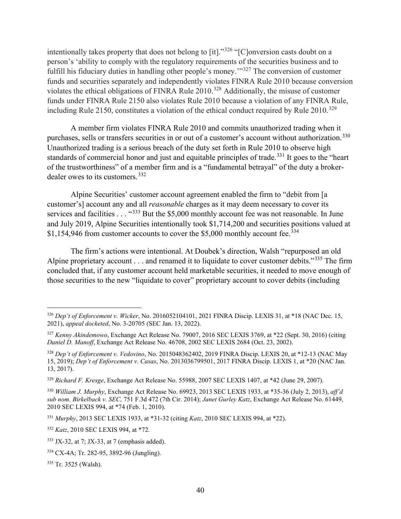intentionally takes property that does not belong to [it]."<sup>326</sup> "[C]onversion casts doubt on a person's 'ability to comply with the regulatory requirements of the securities business and to fulfill his fiduciary duties in handling other people's money.<sup>"327</sup> The conversion of customer funds and securities separately and independently violates FINRA Rule 2010 because conversion violates the ethical obligations of FINRA Rule 2010.<sup>328</sup> Additionally, the misuse of customer funds under FINRA Rule 2150 also violates Rule 2010 because a violation of any FINRA Rule, including Rule 2150, constitutes a violation of the ethical conduct required by Rule  $2010^{329}$ 

A member firm violates FINRA Rule 2010 and commits unauthorized trading when it purchases, sells or transfers securities in or out of a customer's account without authorization.<sup>330</sup> Unauthorized trading is a serious breach of the duty set forth in Rule 2010 to observe high standards of commercial honor and just and equitable principles of trade.<sup>331</sup> It goes to the "heart" of the trustworthiness" of a member firm and is a "fundamental betrayal" of the duty a brokerdealer owes to its customers.<sup>332</sup>

Alpine Securities' customer account agreement enabled the firm to "debit from [a customer's] account any and all *reasonable* charges as it may deem necessary to cover its services and facilities . . . "333 But the \$5,000 monthly account fee was not reasonable. In June and July 2019, Alpine Securities intentionally took \$1,714,200 and securities positions valued at \$1,154,946 from customer accounts to cover the \$5,000 monthly account fee.<sup>334</sup>

The firm's actions were intentional. At Doubek's direction, Walsh "repurposed an old Alpine proprietary account  $\dots$  and renamed it to liquidate to cover customer debits."<sup>335</sup> The firm concluded that, if any customer account held marketable securities, it needed to move enough of those securities to the new "liquidate to cover" proprietary account to cover debits (including

<sup>326</sup> *Dep't of Enforcement v. Wicker*, No. 2016052104101, 2021 FINRA Discip. LEXIS 31, at \*18 (NAC Dec. 15, 2021), *appeal docketed*, No. 3-20705 (SEC Jan. 13, 2022).

<sup>327</sup> *Kenny Akindemowo*, Exchange Act Release No. 79007, 2016 SEC LEXIS 3769, at \*22 (Sept. 30, 2016) (citing *Daniel D. Manoff*, Exchange Act Release No. 46708, 2002 SEC LEXIS 2684 (Oct. 23, 2002).

<sup>328</sup> *Dep't of Enforcement v. Vedovino*, No. 2015048362402, 2019 FINRA Discip. LEXIS 20, at \*12-13 (NAC May 15, 2019); *Dep't of Enforcement v. Casas*, No. 2013036799501, 2017 FINRA Discip. LEXIS 1, at \*20 (NAC Jan. 13, 2017).

<sup>329</sup> *Richard F. Kresge*, Exchange Act Release No. 55988, 2007 SEC LEXIS 1407, at \*42 (June 29, 2007).

<sup>330</sup> *William J. Murphy*, Exchange Act Release No. 69923, 2013 SEC LEXIS 1933, at \*35-36 (July 2, 2013), *aff'd sub nom. Birkelback v. SEC*, 751 F.3d 472 (7th Cir. 2014); *Janet Gurley Katz*, Exchange Act Release No. 61449, 2010 SEC LEXIS 994, at \*74 (Feb. 1, 2010).

<sup>331</sup> *Murphy*, 2013 SEC LEXIS 1933, at \*31-32 (citing *Katz*, 2010 SEC LEXIS 994, at \*22).

<sup>332</sup> *Katz*, 2010 SEC LEXIS 994, at \*72.

<sup>333</sup> JX-32, at 7; JX-33, at 7 (emphasis added).

<sup>334</sup> CX-4A; Tr. 282-95, 3892-96 (Jungling).

<sup>335</sup> Tr. 3525 (Walsh).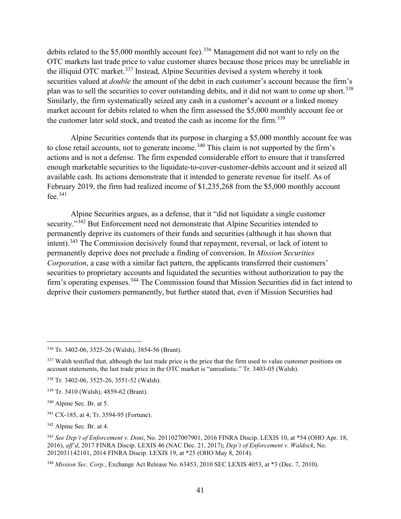debits related to the \$5,000 monthly account fee).<sup>336</sup> Management did not want to rely on the OTC markets last trade price to value customer shares because those prices may be unreliable in the illiquid OTC market.<sup>337</sup> Instead, Alpine Securities devised a system whereby it took securities valued at *double* the amount of the debit in each customer's account because the firm's plan was to sell the securities to cover outstanding debits, and it did not want to come up short.<sup>338</sup> Similarly, the firm systematically seized any cash in a customer's account or a linked money market account for debits related to when the firm assessed the \$5,000 monthly account fee or the customer later sold stock, and treated the cash as income for the firm.<sup>339</sup>

Alpine Securities contends that its purpose in charging a \$5,000 monthly account fee was to close retail accounts, not to generate income.<sup>340</sup> This claim is not supported by the firm's actions and is not a defense. The firm expended considerable effort to ensure that it transferred enough marketable securities to the liquidate-to-cover-customer-debits account and it seized all available cash. Its actions demonstrate that it intended to generate revenue for itself. As of February 2019, the firm had realized income of \$1,235,268 from the \$5,000 monthly account fee. $341$ 

Alpine Securities argues, as a defense, that it "did not liquidate a single customer security."<sup>342</sup> But Enforcement need not demonstrate that Alpine Securities intended to permanently deprive its customers of their funds and securities (although it has shown that intent).<sup>343</sup> The Commission decisively found that repayment, reversal, or lack of intent to permanently deprive does not preclude a finding of conversion. In *Mission Securities Corporation*, a case with a similar fact pattern, the applicants transferred their customers' securities to proprietary accounts and liquidated the securities without authorization to pay the firm's operating expenses.<sup>344</sup> The Commission found that Mission Securities did in fact intend to deprive their customers permanently, but further stated that, even if Mission Securities had

<sup>342</sup> Alpine Sec. Br. at 4.

<sup>336</sup> Tr. 3402-06, 3525-26 (Walsh), 3854-56 (Brant).

 $337$  Walsh testified that, although the last trade price is the price that the firm used to value customer positions on account statements, the last trade price in the OTC market is "unrealistic." Tr. 3403-05 (Walsh).

<sup>338</sup> Tr. 3402-06, 3525-26, 3551-52 (Walsh).

<sup>339</sup> Tr. 3410 (Walsh), 4859-62 (Brant).

<sup>340</sup> Alpine Sec. Br. at 5.

<sup>341</sup> CX-185, at 4; Tr. 3594-95 (Fortune).

<sup>343</sup> *See Dep't of Enforcement v. Doni*, No. 2011027007901, 2016 FINRA Discip. LEXIS 10, at \*54 (OHO Apr. 18, 2016), *aff'd*, 2017 FINRA Discip. LEXIS 46 (NAC Dec. 21, 2017); *Dep't of Enforcement v. Waldock*, No. 2012031142101, 2014 FINRA Discip. LEXIS 19, at \*25 (OHO May 8, 2014).

<sup>344</sup> *Mission Sec. Corp.*, Exchange Act Release No. 63453, 2010 SEC LEXIS 4053, at \*3 (Dec. 7, 2010).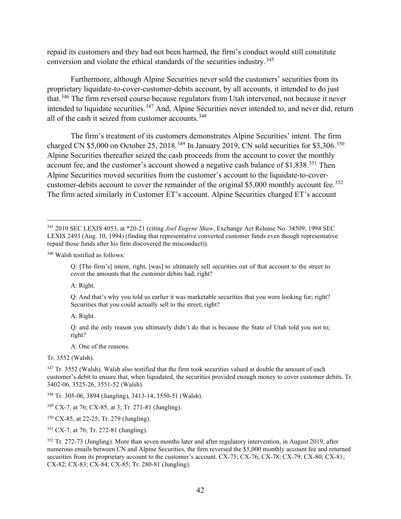repaid its customers and they had not been harmed, the firm's conduct would still constitute conversion and violate the ethical standards of the securities industry.<sup>345</sup>

Furthermore, although Alpine Securities never sold the customers' securities from its proprietary liquidate-to-cover-customer-debits account, by all accounts, it intended to do just that.<sup>346</sup> The firm reversed course because regulators from Utah intervened, not because it never intended to liquidate securities.<sup>347</sup> And, Alpine Securities never intended to, and never did, return all of the cash it seized from customer accounts.<sup>348</sup>

The firm's treatment of its customers demonstrates Alpine Securities' intent. The firm charged CN \$5,000 on October 25, 2018.<sup>349</sup> In January 2019, CN sold securities for \$3,306.<sup>350</sup> Alpine Securities thereafter seized the cash proceeds from the account to cover the monthly account fee, and the customer's account showed a negative cash balance of \$1,838.<sup>351</sup> Then Alpine Securities moved securities from the customer's account to the liquidate-to-covercustomer-debits account to cover the remainder of the original \$5,000 monthly account fee.<sup>352</sup> The firm acted similarly in Customer ET's account. Alpine Securities charged ET's account

<sup>346</sup> Walsh testified as follows:

A: Right.

A: Right.

A: One of the reasons.

Tr. 3552 (Walsh).

<sup>348</sup> Tr. 305-06, 3894 (Jungling), 3413-14, 3550-51 (Walsh).

<sup>349</sup> CX-7, at 76; CX-85, at 3; Tr. 271-81 (Jungling).

<sup>350</sup> CX-85, at 22-25; Tr. 279 (Jungling).

<sup>351</sup> CX-7, at 76; Tr. 272-81 (Jungling).

<sup>345</sup> 2010 SEC LEXIS 4053, at \*20-21 (citing *Joel Eugene Shaw*, Exchange Act Release No. 34509, 1994 SEC LEXIS 2493 (Aug. 10, 1994) (finding that representative converted customer funds even though representative repaid those funds after his firm discovered the misconduct)).

Q: [The firm's] intent, right, [was] to ultimately sell securities out of that account to the street to cover the amounts that the customer debits had; right?

Q: And that's why you told us earlier it was marketable securities that you were looking for; right? Securities that you could actually sell to the street; right?

Q: and the only reason you ultimately didn't do that is because the State of Utah told you not to; right?

<sup>&</sup>lt;sup>347</sup> Tr. 3552 (Walsh). Walsh also testified that the firm took securities valued at double the amount of each customer's debit to ensure that, when liquidated, the securities provided enough money to cover customer debits. Tr. 3402-06, 3525-26, 3551-52 (Walsh).

<sup>&</sup>lt;sup>352</sup> Tr. 272-73 (Jungling). More than seven months later and after regulatory intervention, in August 2019, after numerous emails between CN and Alpine Securities, the firm reversed the \$5,000 monthly account fee and returned securities from its proprietary account to the customer's account. CX-75; CX-76; CX-78; CX-79; CX-80; CX-81; CX-82; CX-83; CX-84; CX-85; Tr. 280-81 (Jungling).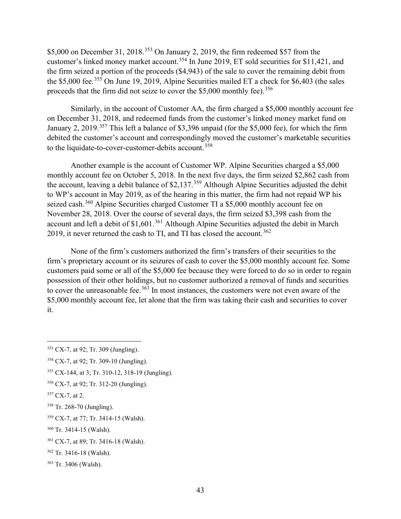\$5,000 on December 31, 2018.<sup>353</sup> On January 2, 2019, the firm redeemed \$57 from the customer's linked money market account.<sup>354</sup> In June 2019, ET sold securities for \$11,421, and the firm seized a portion of the proceeds (\$4,943) of the sale to cover the remaining debit from the \$5,000 fee.<sup>355</sup> On June 19, 2019, Alpine Securities mailed ET a check for \$6,403 (the sales proceeds that the firm did not seize to cover the  $$5,000$  monthly fee).<sup>356</sup>

Similarly, in the account of Customer AA, the firm charged a \$5,000 monthly account fee on December 31, 2018, and redeemed funds from the customer's linked money market fund on January 2, 2019.<sup>357</sup> This left a balance of \$3,396 unpaid (for the \$5,000 fee), for which the firm debited the customer's account and correspondingly moved the customer's marketable securities to the liquidate-to-cover-customer-debits account.<sup>358</sup>

Another example is the account of Customer WP. Alpine Securities charged a \$5,000 monthly account fee on October 5, 2018. In the next five days, the firm seized \$2,862 cash from the account, leaving a debit balance of \$2,137.<sup>359</sup> Although Alpine Securities adjusted the debit to WP's account in May 2019, as of the hearing in this matter, the firm had not repaid WP his seized cash.<sup>360</sup> Alpine Securities charged Customer TI a \$5,000 monthly account fee on November 28, 2018. Over the course of several days, the firm seized \$3,398 cash from the account and left a debit of  $$1,601$ .<sup>361</sup> Although Alpine Securities adjusted the debit in March 2019, it never returned the cash to TI, and TI has closed the account.  $362$ 

None of the firm's customers authorized the firm's transfers of their securities to the firm's proprietary account or its seizures of cash to cover the \$5,000 monthly account fee. Some customers paid some or all of the \$5,000 fee because they were forced to do so in order to regain possession of their other holdings, but no customer authorized a removal of funds and securities to cover the unreasonable fee.<sup>363</sup> In most instances, the customers were not even aware of the \$5,000 monthly account fee, let alone that the firm was taking their cash and securities to cover it.

<sup>353</sup> CX-7, at 92; Tr. 309 (Jungling).

<sup>354</sup> CX-7, at 92; Tr. 309-10 (Jungling).

<sup>355</sup> CX-144, at 3; Tr. 310-12, 318-19 (Jungling).

<sup>356</sup> CX-7, at 92; Tr. 312-20 (Jungling).

<sup>357</sup> CX-7, at 2.

<sup>358</sup> Tr. 268-70 (Jungling).

<sup>359</sup> CX-7, at 77; Tr. 3414-15 (Walsh).

<sup>360</sup> Tr. 3414-15 (Walsh).

<sup>361</sup> CX-7, at 89; Tr. 3416-18 (Walsh).

<sup>362</sup> Tr. 3416-18 (Walsh).

<sup>363</sup> Tr. 3406 (Walsh).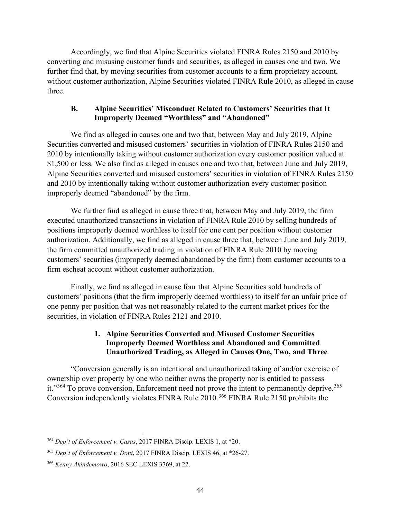Accordingly, we find that Alpine Securities violated FINRA Rules 2150 and 2010 by converting and misusing customer funds and securities, as alleged in causes one and two. We further find that, by moving securities from customer accounts to a firm proprietary account, without customer authorization, Alpine Securities violated FINRA Rule 2010, as alleged in cause three.

## **B. Alpine Securities' Misconduct Related to Customers' Securities that It Improperly Deemed "Worthless" and "Abandoned"**

We find as alleged in causes one and two that, between May and July 2019, Alpine Securities converted and misused customers' securities in violation of FINRA Rules 2150 and 2010 by intentionally taking without customer authorization every customer position valued at \$1,500 or less. We also find as alleged in causes one and two that, between June and July 2019, Alpine Securities converted and misused customers' securities in violation of FINRA Rules 2150 and 2010 by intentionally taking without customer authorization every customer position improperly deemed "abandoned" by the firm.

We further find as alleged in cause three that, between May and July 2019, the firm executed unauthorized transactions in violation of FINRA Rule 2010 by selling hundreds of positions improperly deemed worthless to itself for one cent per position without customer authorization. Additionally, we find as alleged in cause three that, between June and July 2019, the firm committed unauthorized trading in violation of FINRA Rule 2010 by moving customers' securities (improperly deemed abandoned by the firm) from customer accounts to a firm escheat account without customer authorization.

Finally, we find as alleged in cause four that Alpine Securities sold hundreds of customers' positions (that the firm improperly deemed worthless) to itself for an unfair price of one penny per position that was not reasonably related to the current market prices for the securities, in violation of FINRA Rules 2121 and 2010.

## **1. Alpine Securities Converted and Misused Customer Securities Improperly Deemed Worthless and Abandoned and Committed Unauthorized Trading, as Alleged in Causes One, Two, and Three**

"Conversion generally is an intentional and unauthorized taking of and/or exercise of ownership over property by one who neither owns the property nor is entitled to possess it."<sup>364</sup> To prove conversion, Enforcement need not prove the intent to permanently deprive.<sup>365</sup> Conversion independently violates FINRA Rule 2010.<sup>366</sup> FINRA Rule 2150 prohibits the

<sup>364</sup> *Dep't of Enforcement v. Casas*, 2017 FINRA Discip. LEXIS 1, at \*20.

<sup>365</sup> *Dep't of Enforcement v. Doni*, 2017 FINRA Discip. LEXIS 46, at \*26-27.

<sup>366</sup> *Kenny Akindemowo*, 2016 SEC LEXIS 3769, at 22.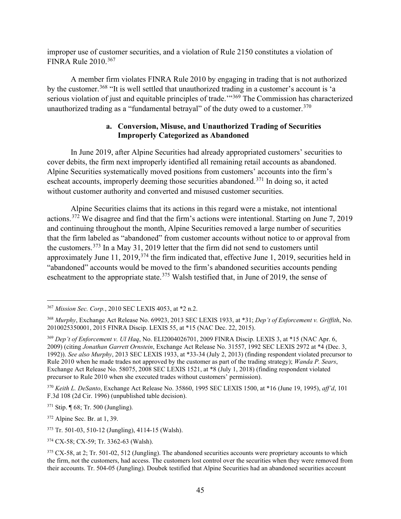improper use of customer securities, and a violation of Rule 2150 constitutes a violation of FINRA Rule 2010.<sup>367</sup>

A member firm violates FINRA Rule 2010 by engaging in trading that is not authorized by the customer.<sup>368</sup> "It is well settled that unauthorized trading in a customer's account is 'a serious violation of just and equitable principles of trade.<sup>'"369</sup> The Commission has characterized unauthorized trading as a "fundamental betrayal" of the duty owed to a customer.<sup>370</sup>

#### **a. Conversion, Misuse, and Unauthorized Trading of Securities Improperly Categorized as Abandoned**

In June 2019, after Alpine Securities had already appropriated customers' securities to cover debits, the firm next improperly identified all remaining retail accounts as abandoned. Alpine Securities systematically moved positions from customers' accounts into the firm's escheat accounts, improperly deeming those securities abandoned.<sup>371</sup> In doing so, it acted without customer authority and converted and misused customer securities.

Alpine Securities claims that its actions in this regard were a mistake, not intentional actions.<sup>372</sup> We disagree and find that the firm's actions were intentional. Starting on June 7, 2019 and continuing throughout the month, Alpine Securities removed a large number of securities that the firm labeled as "abandoned" from customer accounts without notice to or approval from the customers.<sup>373</sup> In a May 31, 2019 letter that the firm did not send to customers until approximately June 11, 2019,  $374$  the firm indicated that, effective June 1, 2019, securities held in "abandoned" accounts would be moved to the firm's abandoned securities accounts pending escheatment to the appropriate state.<sup>375</sup> Walsh testified that, in June of 2019, the sense of

<sup>370</sup> *Keith L. DeSanto*[, Exchange Act Release No. 35860, 1995 SEC LEXIS 1500, at \\*16](https://advance.lexis.com/document/?pdmfid=1000516&crid=75b99ed2-dea4-4431-84b9-6358b9e056e2&pddocfullpath=%2Fshared%2Fdocument%2Fadministrative-materials%2Furn%3AcontentItem%3A4W5N-2CC0-0098-G0H0-00000-00&pdcontentcomponentid=11966&pdteaserkey=sr0&pditab=allpods&ecomp=xzgpk&earg=sr0&prid=ceee8c88-180f-4f9b-b373-a1a03f2e2936) (June 19, 1995), *aff'd*, [101](https://advance.lexis.com/document/?pdmfid=1000516&crid=75b99ed2-dea4-4431-84b9-6358b9e056e2&pddocfullpath=%2Fshared%2Fdocument%2Fadministrative-materials%2Furn%3AcontentItem%3A4W5N-2CC0-0098-G0H0-00000-00&pdcontentcomponentid=11966&pdteaserkey=sr0&pditab=allpods&ecomp=xzgpk&earg=sr0&prid=ceee8c88-180f-4f9b-b373-a1a03f2e2936)  [F.3d 108 \(2d Cir. 1996\)](https://advance.lexis.com/document/?pdmfid=1000516&crid=75b99ed2-dea4-4431-84b9-6358b9e056e2&pddocfullpath=%2Fshared%2Fdocument%2Fadministrative-materials%2Furn%3AcontentItem%3A4W5N-2CC0-0098-G0H0-00000-00&pdcontentcomponentid=11966&pdteaserkey=sr0&pditab=allpods&ecomp=xzgpk&earg=sr0&prid=ceee8c88-180f-4f9b-b373-a1a03f2e2936) (unpublished table decision).

<sup>372</sup> Alpine Sec. Br. at 1, 39.

<sup>367</sup> *Mission Sec. Corp.*, 2010 SEC LEXIS 4053, at \*2 n.2.

<sup>368</sup> *Murphy*, Exchange Act Release No. 69923, 2013 SEC LEXIS 1933, at \*31; *Dep't of Enforcement v. Griffith*, No. 2010025350001, 2015 FINRA Discip. LEXIS 55, at \*15 (NAC Dec. 22, 2015).

<sup>369</sup> *Dep't of Enforcement v. Ul Haq*, No. ELI2004026701, 2009 FINRA Discip. LEXIS 3, at \*15 (NAC Apr. 6, 2009) (citing *Jonathan Garrett Ornstein*, Exchange Act Release No. 31557, 1992 SEC LEXIS 2972 at \*4 (Dec. 3, 1992)). *See also Murphy*, 2013 SEC LEXIS 1933, at \*33-34 (July 2, 2013) (finding respondent violated precursor to Rule 2010 when he made trades not approved by the customer as part of the trading strategy); *Wanda P. Sears*, Exchange Act Release No. 58075, 2008 SEC LEXIS 1521, at \*8 (July 1, 2018) (finding respondent violated precursor to Rule 2010 when she executed trades without customers' permission).

<sup>371</sup> Stip. ¶ 68; Tr. 500 (Jungling).

<sup>373</sup> Tr. 501-03, 510-12 (Jungling), 4114-15 (Walsh).

<sup>374</sup> CX-58; CX-59; Tr. 3362-63 (Walsh).

 $375$  CX-58, at 2; Tr. 501-02, 512 (Jungling). The abandoned securities accounts were proprietary accounts to which the firm, not the customers, had access. The customers lost control over the securities when they were removed from their accounts. Tr. 504-05 (Jungling). Doubek testified that Alpine Securities had an abandoned securities account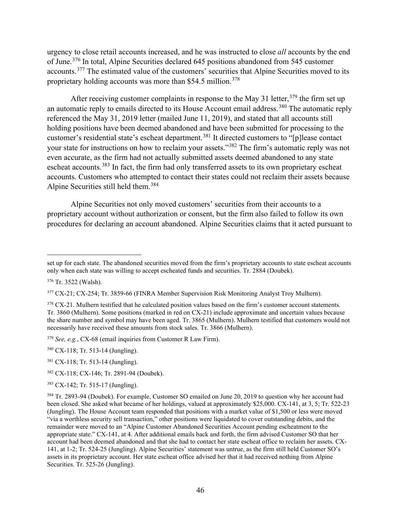urgency to close retail accounts increased, and he was instructed to close *all* accounts by the end of June.<sup>376</sup> In total, Alpine Securities declared 645 positions abandoned from 545 customer accounts.<sup>377</sup> The estimated value of the customers' securities that Alpine Securities moved to its proprietary holding accounts was more than \$54.5 million.<sup>378</sup>

After receiving customer complaints in response to the May 31 letter,  $379$  the firm set up an automatic reply to emails directed to its House Account email address.<sup>380</sup> The automatic reply referenced the May 31, 2019 letter (mailed June 11, 2019), and stated that all accounts still holding positions have been deemed abandoned and have been submitted for processing to the customer's residential state's escheat department.<sup>381</sup> It directed customers to "[p]lease contact your state for instructions on how to reclaim your assets."<sup>382</sup> The firm's automatic reply was not even accurate, as the firm had not actually submitted assets deemed abandoned to any state escheat accounts.<sup>383</sup> In fact, the firm had only transferred assets to its own proprietary escheat accounts. Customers who attempted to contact their states could not reclaim their assets because Alpine Securities still held them.<sup>384</sup>

Alpine Securities not only moved customers' securities from their accounts to a proprietary account without authorization or consent, but the firm also failed to follow its own procedures for declaring an account abandoned. Alpine Securities claims that it acted pursuant to

<sup>379</sup> *See, e.g.*, CX-68 (email inquiries from Customer R Law Firm).

set up for each state. The abandoned securities moved from the firm's proprietary accounts to state escheat accounts only when each state was willing to accept escheated funds and securities. Tr. 2884 (Doubek).

<sup>376</sup> Tr. 3522 (Walsh).

<sup>&</sup>lt;sup>377</sup> CX-21; CX-254; Tr. 3859-66 (FINRA Member Supervision Risk Monitoring Analyst Troy Mulhern).

 $378$  CX-21. Mulhern testified that he calculated position values based on the firm's customer account statements. Tr. 3860 (Mulhern). Some positions (marked in red on CX-21) include approximate and uncertain values because the share number and symbol may have been aged. Tr. 3865 (Mulhern). Mulhern testified that customers would not necessarily have received these amounts from stock sales. Tr. 3866 (Mulhern).

<sup>380</sup> CX-118; Tr. 513-14 (Jungling).

<sup>381</sup> CX-118; Tr. 513-14 (Jungling).

<sup>382</sup> CX-118; CX-146; Tr. 2891-94 (Doubek).

<sup>383</sup> CX-142; Tr. 515-17 (Jungling).

<sup>384</sup> Tr. 2893-94 (Doubek). For example, Customer SO emailed on June 20, 2019 to question why her account had been closed. She asked what became of her holdings, valued at approximately \$25,000. CX-141, at 3, 5; Tr. 522-23 (Jungling). The House Account team responded that positions with a market value of \$1,500 or less were moved "via a worthless security sell transaction," other positions were liquidated to cover outstanding debits, and the remainder were moved to an "Alpine Customer Abandoned Securities Account pending escheatment to the appropriate state." CX-141, at 4. After additional emails back and forth, the firm advised Customer SO that her account had been deemed abandoned and that she had to contact her state escheat office to reclaim her assets. CX-141, at 1-2; Tr. 524-25 (Jungling). Alpine Securities' statement was untrue, as the firm still held Customer SO's assets in its proprietary account. Her state escheat office advised her that it had received nothing from Alpine Securities. Tr. 525-26 (Jungling).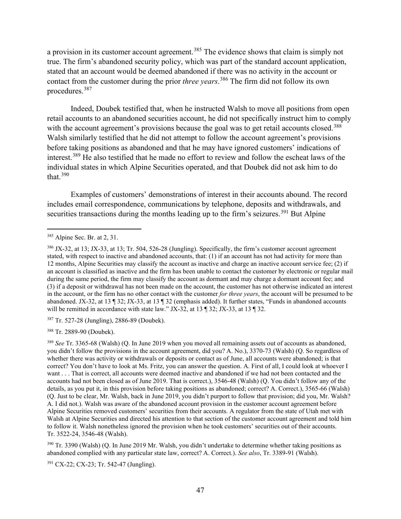a provision in its customer account agreement.<sup>385</sup> The evidence shows that claim is simply not true. The firm's abandoned security policy, which was part of the standard account application, stated that an account would be deemed abandoned if there was no activity in the account or contact from the customer during the prior *three years*. <sup>386</sup> The firm did not follow its own procedures.<sup>387</sup>

Indeed, Doubek testified that, when he instructed Walsh to move all positions from open retail accounts to an abandoned securities account, he did not specifically instruct him to comply with the account agreement's provisions because the goal was to get retail accounts closed.<sup>388</sup> Walsh similarly testified that he did not attempt to follow the account agreement's provisions before taking positions as abandoned and that he may have ignored customers' indications of interest.<sup>389</sup> He also testified that he made no effort to review and follow the escheat laws of the individual states in which Alpine Securities operated, and that Doubek did not ask him to do that. 390

Examples of customers' demonstrations of interest in their accounts abound. The record includes email correspondence, communications by telephone, deposits and withdrawals, and securities transactions during the months leading up to the firm's seizures.<sup>391</sup> But Alpine

<sup>387</sup> Tr. 527-28 (Jungling), 2886-89 (Doubek).

<sup>388</sup> Tr. 2889-90 (Doubek).

<sup>389</sup> *See* Tr. 3365-68 (Walsh) (Q. In June 2019 when you moved all remaining assets out of accounts as abandoned, you didn't follow the provisions in the account agreement, did you? A. No.), 3370-73 (Walsh) (Q. So regardless of whether there was activity or withdrawals or deposits or contact as of June, all accounts were abandoned; is that correct? You don't have to look at Ms. Fritz, you can answer the question. A. First of all, I could look at whoever I want . . . That is correct, all accounts were deemed inactive and abandoned if we had not been contacted and the accounts had not been closed as of June 2019. That is correct.), 3546-48 (Walsh) (Q. You didn't follow any of the details, as you put it, in this provision before taking positions as abandoned; correct? A. Correct.), 3565-66 (Walsh) (Q. Just to be clear, Mr. Walsh, back in June 2019, you didn't purport to follow that provision; did you, Mr. Walsh? A. I did not.). Walsh was aware of the abandoned account provision in the customer account agreement before Alpine Securities removed customers' securities from their accounts. A regulator from the state of Utah met with Walsh at Alpine Securities and directed his attention to that section of the customer account agreement and told him to follow it. Walsh nonetheless ignored the provision when he took customers' securities out of their accounts. Tr. 3522-24, 3546-48 (Walsh).

<sup>390</sup> Tr. 3390 (Walsh) (Q. In June 2019 Mr. Walsh, you didn't undertake to determine whether taking positions as abandoned complied with any particular state law, correct? A. Correct.). *See also*, Tr. 3389-91 (Walsh).

<sup>391</sup> CX-22; CX-23; Tr. 542-47 (Jungling).

<sup>385</sup> Alpine Sec. Br. at 2, 31.

<sup>386</sup> JX-32, at 13; JX-33, at 13; Tr. 504, 526-28 (Jungling). Specifically, the firm's customer account agreement stated, with respect to inactive and abandoned accounts, that: (1) if an account has not had activity for more than 12 months, Alpine Securities may classify the account as inactive and charge an inactive account service fee; (2) if an account is classified as inactive and the firm has been unable to contact the customer by electronic or regular mail during the same period, the firm may classify the account as dormant and may charge a dormant account fee; and (3) if a deposit or withdrawal has not been made on the account, the customer has not otherwise indicated an interest in the account, or the firm has no other contact with the customer *for three years*, the account will be presumed to be abandoned. JX-32, at 13 ¶ 32; JX-33, at 13 ¶ 32 (emphasis added). It further states, "Funds in abandoned accounts will be remitted in accordance with state law." JX-32, at 13 ¶ 32; JX-33, at 13 ¶ 32.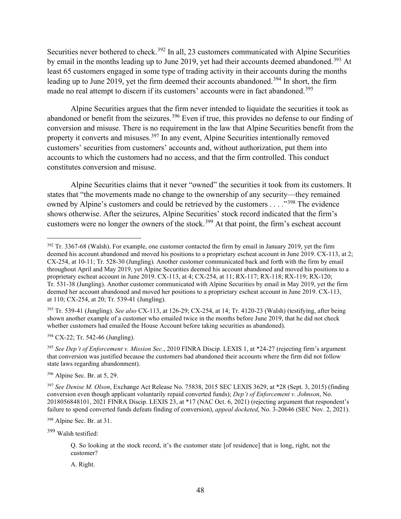Securities never bothered to check.<sup>392</sup> In all, 23 customers communicated with Alpine Securities by email in the months leading up to June 2019, yet had their accounts deemed abandoned.<sup>393</sup> At least 65 customers engaged in some type of trading activity in their accounts during the months leading up to June 2019, yet the firm deemed their accounts abandoned.<sup>394</sup> In short, the firm made no real attempt to discern if its customers' accounts were in fact abandoned.<sup>395</sup>

Alpine Securities argues that the firm never intended to liquidate the securities it took as abandoned or benefit from the seizures.<sup>396</sup> Even if true, this provides no defense to our finding of conversion and misuse. There is no requirement in the law that Alpine Securities benefit from the property it converts and misuses.<sup>397</sup> In any event, Alpine Securities intentionally removed customers' securities from customers' accounts and, without authorization, put them into accounts to which the customers had no access, and that the firm controlled. This conduct constitutes conversion and misuse.

Alpine Securities claims that it never "owned" the securities it took from its customers. It states that "the movements made no change to the ownership of any security—they remained owned by Alpine's customers and could be retrieved by the customers . . . .<sup>398</sup> The evidence shows otherwise. After the seizures, Alpine Securities' stock record indicated that the firm's customers were no longer the owners of the stock.<sup>399</sup> At that point, the firm's escheat account

<sup>393</sup> Tr. 539-41 (Jungling). *See also* CX-113, at 126-29; CX-254, at 14; Tr. 4120-23 (Walsh) (testifying, after being shown another example of a customer who emailed twice in the months before June 2019, that he did not check whether customers had emailed the House Account before taking securities as abandoned).

<sup>394</sup> CX-22; Tr. 542-46 (Jungling).

<sup>395</sup> *See Dep't of Enforcement v. Mission Sec.*, 2010 FINRA Discip. LEXIS 1, at \*24-27 (rejecting firm's argument that conversion was justified because the customers had abandoned their accounts where the firm did not follow state laws regarding abandonment).

<sup>396</sup> Alpine Sec. Br. at 5, 29.

<sup>398</sup> Alpine Sec. Br. at 31.

<sup>399</sup> Walsh testified:

Q. So looking at the stock record, it's the customer state [of residence] that is long, right, not the customer?

A. Right.

 $392$  Tr. 3367-68 (Walsh). For example, one customer contacted the firm by email in January 2019, yet the firm deemed his account abandoned and moved his positions to a proprietary escheat account in June 2019. CX-113, at 2; CX-254, at 10-11; Tr. 528-30 (Jungling). Another customer communicated back and forth with the firm by email throughout April and May 2019, yet Alpine Securities deemed his account abandoned and moved his positions to a proprietary escheat account in June 2019. CX-113, at 4; CX-254, at 11; RX-117; RX-118; RX-119; RX-120; Tr. 531-38 (Jungling). Another customer communicated with Alpine Securities by email in May 2019, yet the firm deemed her account abandoned and moved her positions to a proprietary escheat account in June 2019. CX-113, at 110; CX-254, at 20; Tr. 539-41 (Jungling).

<sup>397</sup> *See Denise M. Olson*, Exchange Act Release No. 75838, 2015 SEC LEXIS 3629, at \*28 (Sept. 3, 2015) (finding conversion even though applicant voluntarily repaid converted funds); *Dep't of Enforcement v. Johnson*, No. 2018056848101, 2021 FINRA Discip. LEXIS 23, at \*17 (NAC Oct. 6, 2021) (rejecting argument that respondent's failure to spend converted funds defeats finding of conversion), *appeal docketed*, No. 3-20646 (SEC Nov. 2, 2021).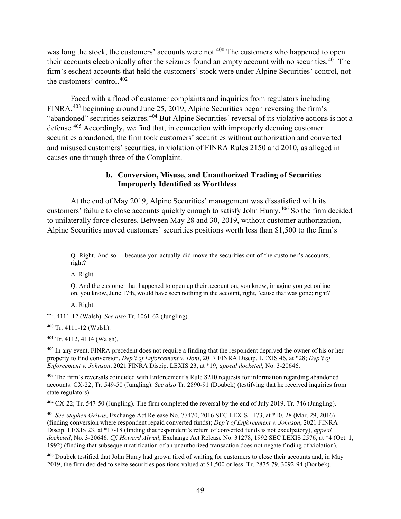was long the stock, the customers' accounts were not.<sup>400</sup> The customers who happened to open their accounts electronically after the seizures found an empty account with no securities.<sup>401</sup> The firm's escheat accounts that held the customers' stock were under Alpine Securities' control, not the customers' control.<sup>402</sup>

Faced with a flood of customer complaints and inquiries from regulators including FINRA,<sup>403</sup> beginning around June 25, 2019, Alpine Securities began reversing the firm's "abandoned" securities seizures.<sup>404</sup> But Alpine Securities' reversal of its violative actions is not a defense.<sup>405</sup> Accordingly, we find that, in connection with improperly deeming customer securities abandoned, the firm took customers' securities without authorization and converted and misused customers' securities, in violation of FINRA Rules 2150 and 2010, as alleged in causes one through three of the Complaint.

#### **b. Conversion, Misuse, and Unauthorized Trading of Securities Improperly Identified as Worthless**

At the end of May 2019, Alpine Securities' management was dissatisfied with its customers' failure to close accounts quickly enough to satisfy John Hurry.<sup>406</sup> So the firm decided to unilaterally force closures. Between May 28 and 30, 2019, without customer authorization, Alpine Securities moved customers' securities positions worth less than \$1,500 to the firm's

A. Right.

A. Right.

Tr. 4111-12 (Walsh). *See also* Tr. 1061-62 (Jungling).

<sup>400</sup> Tr. 4111-12 (Walsh).

<sup>401</sup> Tr. 4112, 4114 (Walsh).

<sup>402</sup> In any event, FINRA precedent does not require a finding that the respondent deprived the owner of his or her property to find conversion. *Dep't of Enforcement v. Doni*, 2017 FINRA Discip. LEXIS 46, at \*28; *Dep't of Enforcement v. Johnson*, 2021 FINRA Discip. LEXIS 23, at \*19, *appeal docketed*, No. 3-20646.

 $403$  The firm's reversals coincided with Enforcement's Rule 8210 requests for information regarding abandoned accounts. CX-22; Tr. 549-50 (Jungling). *See also* Tr. 2890-91 (Doubek) (testifying that he received inquiries from state regulators).

<sup>404</sup> CX-22; Tr. 547-50 (Jungling). The firm completed the reversal by the end of July 2019. Tr. 746 (Jungling).

<sup>405</sup> *See Stephen Grivas*, Exchange Act Release No. 77470, 2016 SEC LEXIS 1173, at \*10, 28 (Mar. 29, 2016) (finding conversion where respondent repaid converted funds); *Dep't of Enforcement v. Johnson*, 2021 FINRA Discip. LEXIS 23, at \*17-18 (finding that respondent's return of converted funds is not exculpatory), *appeal docketed*, No. 3-20646. *Cf. Howard Alweil*, Exchange Act Release No. 31278, 1992 SEC LEXIS 2576, at \*4 (Oct. 1, 1992) (finding that subsequent ratification of an unauthorized transaction does not negate finding of violation)*.* 

<sup>406</sup> Doubek testified that John Hurry had grown tired of waiting for customers to close their accounts and, in May 2019, the firm decided to seize securities positions valued at \$1,500 or less. Tr. 2875-79, 3092-94 (Doubek).

Q. Right. And so -- because you actually did move the securities out of the customer's accounts; right?

Q. And the customer that happened to open up their account on, you know, imagine you get online on, you know, June 17th, would have seen nothing in the account, right, 'cause that was gone; right?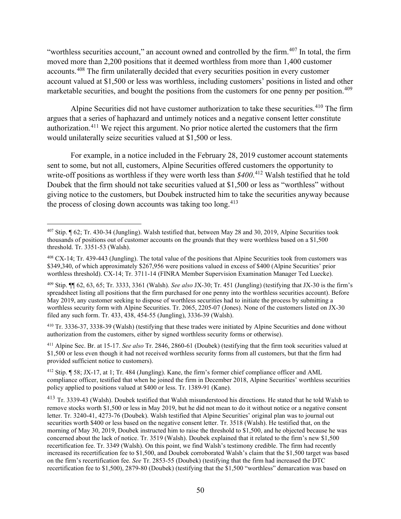"worthless securities account," an account owned and controlled by the firm.<sup>407</sup> In total, the firm moved more than 2,200 positions that it deemed worthless from more than 1,400 customer accounts.<sup>408</sup> The firm unilaterally decided that every securities position in every customer account valued at \$1,500 or less was worthless, including customers' positions in listed and other marketable securities, and bought the positions from the customers for one penny per position. 409

Alpine Securities did not have customer authorization to take these securities.<sup>410</sup> The firm argues that a series of haphazard and untimely notices and a negative consent letter constitute authorization.<sup>411</sup> We reject this argument. No prior notice alerted the customers that the firm would unilaterally seize securities valued at \$1,500 or less.

For example, in a notice included in the February 28, 2019 customer account statements sent to some, but not all, customers, Alpine Securities offered customers the opportunity to write-off positions as worthless if they were worth less than *\$400*. <sup>412</sup> Walsh testified that he told Doubek that the firm should not take securities valued at \$1,500 or less as "worthless" without giving notice to the customers, but Doubek instructed him to take the securities anyway because the process of closing down accounts was taking too long.<sup>413</sup>

<sup>410</sup> Tr. 3336-37, 3338-39 (Walsh) (testifying that these trades were initiated by Alpine Securities and done without authorization from the customers, either by signed worthless security forms or otherwise).

<sup>411</sup> Alpine Sec. Br. at 15-17. *See also* Tr. 2846, 2860-61 (Doubek) (testifying that the firm took securities valued at \$1,500 or less even though it had not received worthless security forms from all customers, but that the firm had provided sufficient notice to customers).

<sup>412</sup> Stip. ¶ 58; JX-17, at 1; Tr. 484 (Jungling). Kane, the firm's former chief compliance officer and AML compliance officer, testified that when he joined the firm in December 2018, Alpine Securities' worthless securities policy applied to positions valued at \$400 or less. Tr. 1389-91 (Kane).

<sup>413</sup> Tr. 3339-43 (Walsh). Doubek testified that Walsh misunderstood his directions. He stated that he told Walsh to remove stocks worth \$1,500 or less in May 2019, but he did not mean to do it without notice or a negative consent letter. Tr. 3240-41, 4273-76 (Doubek). Walsh testified that Alpine Securities' original plan was to journal out securities worth \$400 or less based on the negative consent letter. Tr. 3518 (Walsh). He testified that, on the morning of May 30, 2019, Doubek instructed him to raise the threshold to \$1,500, and he objected because he was concerned about the lack of notice. Tr. 3519 (Walsh). Doubek explained that it related to the firm's new \$1,500 recertification fee. Tr. 3349 (Walsh). On this point, we find Walsh's testimony credible. The firm had recently increased its recertification fee to \$1,500, and Doubek corroborated Walsh's claim that the \$1,500 target was based on the firm's recertification fee. *See* Tr. 2853-55 (Doubek) (testifying that the firm had increased the DTC recertification fee to \$1,500), 2879-80 (Doubek) (testifying that the \$1,500 "worthless" demarcation was based on

 $407$  Stip.  $\P$  62; Tr. 430-34 (Jungling). Walsh testified that, between May 28 and 30, 2019, Alpine Securities took thousands of positions out of customer accounts on the grounds that they were worthless based on a \$1,500 threshold. Tr. 3351-53 (Walsh).

<sup>408</sup> CX-14; Tr. 439-443 (Jungling). The total value of the positions that Alpine Securities took from customers was \$349,340, of which approximately \$267,956 were positions valued in excess of \$400 (Alpine Securities' prior worthless threshold). CX-14; Tr. 3711-14 (FINRA Member Supervision Examination Manager Ted Luecke).

<sup>409</sup> Stip. ¶¶ 62, 63, 65; Tr. 3333, 3361 (Walsh). *See also* JX-30; Tr. 451 (Jungling) (testifying that JX-30 is the firm's spreadsheet listing all positions that the firm purchased for one penny into the worthless securities account). Before May 2019, any customer seeking to dispose of worthless securities had to initiate the process by submitting a worthless security form with Alpine Securities. Tr. 2065, 2205-07 (Jones). None of the customers listed on JX-30 filed any such form. Tr. 433, 438, 454-55 (Jungling), 3336-39 (Walsh).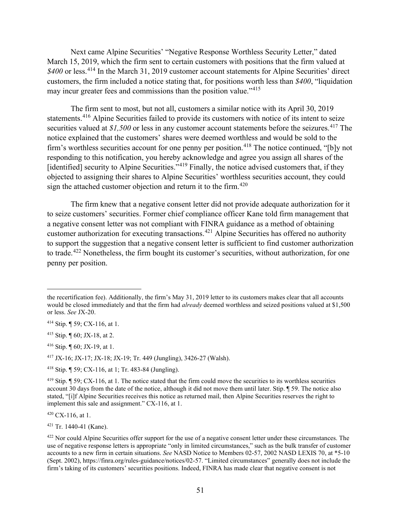Next came Alpine Securities' "Negative Response Worthless Security Letter," dated March 15, 2019, which the firm sent to certain customers with positions that the firm valued at \$400 or less.<sup>414</sup> In the March 31, 2019 customer account statements for Alpine Securities' direct customers, the firm included a notice stating that, for positions worth less than *\$400*, "liquidation may incur greater fees and commissions than the position value."<sup>415</sup>

The firm sent to most, but not all, customers a similar notice with its April 30, 2019 statements.<sup>416</sup> Alpine Securities failed to provide its customers with notice of its intent to seize securities valued at \$1,500 or less in any customer account statements before the seizures.<sup>417</sup> The notice explained that the customers' shares were deemed worthless and would be sold to the firm's worthless securities account for one penny per position.<sup>418</sup> The notice continued, "[b]y not responding to this notification, you hereby acknowledge and agree you assign all shares of the [identified] security to Alpine Securities."<sup>419</sup> Finally, the notice advised customers that, if they objected to assigning their shares to Alpine Securities' worthless securities account, they could sign the attached customer objection and return it to the firm.<sup>420</sup>

The firm knew that a negative consent letter did not provide adequate authorization for it to seize customers' securities. Former chief compliance officer Kane told firm management that a negative consent letter was not compliant with FINRA guidance as a method of obtaining customer authorization for executing transactions.<sup>421</sup> Alpine Securities has offered no authority to support the suggestion that a negative consent letter is sufficient to find customer authorization to trade.<sup>422</sup> Nonetheless, the firm bought its customer's securities, without authorization, for one penny per position.

 $420$  CX-116, at 1.

<sup>421</sup> Tr. 1440-41 (Kane).

the recertification fee). Additionally, the firm's May 31, 2019 letter to its customers makes clear that all accounts would be closed immediately and that the firm had *already* deemed worthless and seized positions valued at \$1,500 or less. *See* JX-20.

<sup>414</sup> Stip. ¶ 59; CX-116, at 1.

<sup>415</sup> Stip. ¶ 60; JX-18, at 2.

<sup>416</sup> Stip. ¶ 60; JX-19, at 1.

<sup>417</sup> JX-16; JX-17; JX-18; JX-19; Tr. 449 (Jungling), 3426-27 (Walsh).

<sup>418</sup> Stip. ¶ 59; CX-116, at 1; Tr. 483-84 (Jungling).

 $419$  Stip.  $\P$  59; CX-116, at 1. The notice stated that the firm could move the securities to its worthless securities account 30 days from the date of the notice, although it did not move them until later. Stip. ¶ 59. The notice also stated, "[i]f Alpine Securities receives this notice as returned mail, then Alpine Securities reserves the right to implement this sale and assignment." CX-116, at 1.

 $422$  Nor could Alpine Securities offer support for the use of a negative consent letter under these circumstances. The use of negative response letters is appropriate "only in limited circumstances," such as the bulk transfer of customer accounts to a new firm in certain situations. *See* NASD Notice to Members 02-57, 2002 NASD LEXIS 70, at \*5-10 (Sept. 2002), https://finra.org/rules-guidance/notices/02-57. "Limited circumstances" generally does not include the firm's taking of its customers' securities positions. Indeed, FINRA has made clear that negative consent is not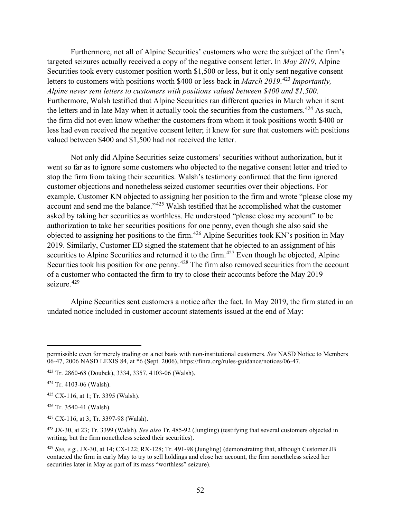Furthermore, not all of Alpine Securities' customers who were the subject of the firm's targeted seizures actually received a copy of the negative consent letter. In *May 2019*, Alpine Securities took every customer position worth \$1,500 or less, but it only sent negative consent letters to customers with positions worth \$400 or less back in *March 2019*. <sup>423</sup> *Importantly, Alpine never sent letters to customers with positions valued between \$400 and \$1,500*. Furthermore, Walsh testified that Alpine Securities ran different queries in March when it sent the letters and in late May when it actually took the securities from the customers.<sup>424</sup> As such, the firm did not even know whether the customers from whom it took positions worth \$400 or less had even received the negative consent letter; it knew for sure that customers with positions valued between \$400 and \$1,500 had not received the letter.

Not only did Alpine Securities seize customers' securities without authorization, but it went so far as to ignore some customers who objected to the negative consent letter and tried to stop the firm from taking their securities. Walsh's testimony confirmed that the firm ignored customer objections and nonetheless seized customer securities over their objections. For example, Customer KN objected to assigning her position to the firm and wrote "please close my account and send me the balance."<sup>425</sup> Walsh testified that he accomplished what the customer asked by taking her securities as worthless. He understood "please close my account" to be authorization to take her securities positions for one penny, even though she also said she objected to assigning her positions to the firm.<sup>426</sup> Alpine Securities took KN's position in May 2019. Similarly, Customer ED signed the statement that he objected to an assignment of his securities to Alpine Securities and returned it to the firm.<sup>427</sup> Even though he objected, Alpine Securities took his position for one penny.<sup>428</sup> The firm also removed securities from the account of a customer who contacted the firm to try to close their accounts before the May 2019 seizure. 429

Alpine Securities sent customers a notice after the fact. In May 2019, the firm stated in an undated notice included in customer account statements issued at the end of May:

permissible even for merely trading on a net basis with non-institutional customers. *See* NASD Notice to Members 06-47, 2006 NASD LEXIS 84, at \*6 (Sept. 2006), https://finra.org/rules-guidance/notices/06-47.

<sup>423</sup> Tr. 2860-68 (Doubek), 3334, 3357, 4103-06 (Walsh).

<sup>424</sup> Tr. 4103-06 (Walsh).

<sup>425</sup> CX-116, at 1; Tr. 3395 (Walsh).

<sup>426</sup> Tr. 3540-41 (Walsh).

<sup>427</sup> CX-116, at 3; Tr. 3397-98 (Walsh).

<sup>428</sup> JX-30, at 23; Tr. 3399 (Walsh). *See also* Tr. 485-92 (Jungling) (testifying that several customers objected in writing, but the firm nonetheless seized their securities).

<sup>429</sup> *See, e.g.*, JX-30, at 14; CX-122; RX-128; Tr. 491-98 (Jungling) (demonstrating that, although Customer JB contacted the firm in early May to try to sell holdings and close her account, the firm nonetheless seized her securities later in May as part of its mass "worthless" seizure).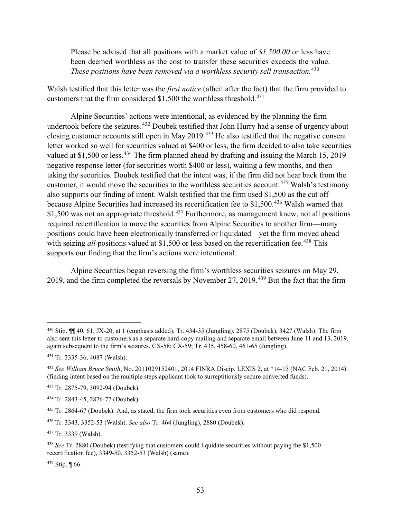Please be advised that all positions with a market value of *\$1,500.00* or less have been deemed worthless as the cost to transfer these securities exceeds the value. *These positions have been removed via a worthless security sell transaction.*<sup>430</sup>

Walsh testified that this letter was the *first notice* (albeit after the fact) that the firm provided to customers that the firm considered \$1,500 the worthless threshold.<sup>431</sup>

Alpine Securities' actions were intentional, as evidenced by the planning the firm undertook before the seizures. <sup>432</sup> Doubek testified that John Hurry had a sense of urgency about closing customer accounts still open in May 2019.<sup>433</sup> He also testified that the negative consent letter worked so well for securities valued at \$400 or less, the firm decided to also take securities valued at \$1,500 or less.<sup>434</sup> The firm planned ahead by drafting and issuing the March 15, 2019 negative response letter (for securities worth \$400 or less), waiting a few months, and then taking the securities. Doubek testified that the intent was, if the firm did not hear back from the customer, it would move the securities to the worthless securities account.<sup>435</sup> Walsh's testimony also supports our finding of intent. Walsh testified that the firm used \$1,500 as the cut off because Alpine Securities had increased its recertification fee to \$1,500.<sup>436</sup> Walsh warned that \$1,500 was not an appropriate threshold.<sup>437</sup> Furthermore, as management knew, not all positions required recertification to move the securities from Alpine Securities to another firm—many positions could have been electronically transferred or liquidated—yet the firm moved ahead with seizing *all* positions valued at \$1,500 or less based on the recertification fee.<sup>438</sup> This supports our finding that the firm's actions were intentional.

Alpine Securities began reversing the firm's worthless securities seizures on May 29, 2019, and the firm completed the reversals by November 27, 2019.<sup>439</sup> But the fact that the firm

<sup>430</sup> Stip.  $\P\P$  40, 61; JX-20, at 1 (emphasis added); Tr. 434-35 (Jungling), 2875 (Doubek), 3427 (Walsh). The firm also sent this letter to customers as a separate hard-copy mailing and separate email between June 11 and 13, 2019, again subsequent to the firm's seizures. CX-58; CX-59; Tr. 435, 458-60, 461-65 (Jungling).

<sup>431</sup> Tr. 3335-36, 4087 (Walsh).

<sup>432</sup> *See William Bruce Smith*, No. 2011029152401, 2014 FINRA Discip. LEXIS 2, at \*14-15 (NAC Feb. 21, 2014) (finding intent based on the multiple steps applicant took to surreptitiously secure converted funds).

<sup>433</sup> Tr. 2875-79, 3092-94 (Doubek).

<sup>434</sup> Tr. 2843-45, 2876-77 (Doubek).

<sup>435</sup> Tr. 2864-67 (Doubek). And, as stated, the firm took securities even from customers who did respond.

<sup>436</sup> Tr. 3343, 3352-53 (Walsh). *See also* Tr. 464 (Jungling), 2880 (Doubek).

<sup>437</sup> Tr. 3339 (Walsh).

<sup>438</sup> *See* Tr. 2880 (Doubek) (testifying that customers could liquidate securities without paying the \$1,500 recertification fee), 3349-50, 3352-53 (Walsh) (same).

<sup>439</sup> Stip. ¶ 66.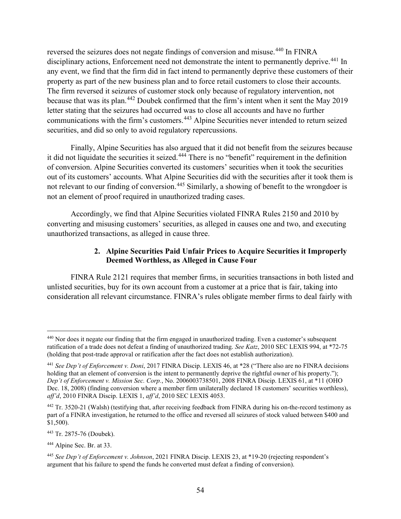reversed the seizures does not negate findings of conversion and misuse.<sup>440</sup> In FINRA disciplinary actions, Enforcement need not demonstrate the intent to permanently deprive.<sup>441</sup> In any event, we find that the firm did in fact intend to permanently deprive these customers of their property as part of the new business plan and to force retail customers to close their accounts. The firm reversed it seizures of customer stock only because of regulatory intervention, not because that was its plan.<sup>442</sup> Doubek confirmed that the firm's intent when it sent the May 2019 letter stating that the seizures had occurred was to close all accounts and have no further communications with the firm's customers.<sup>443</sup> Alpine Securities never intended to return seized securities, and did so only to avoid regulatory repercussions.

Finally, Alpine Securities has also argued that it did not benefit from the seizures because it did not liquidate the securities it seized.<sup>444</sup> There is no "benefit" requirement in the definition of conversion. Alpine Securities converted its customers' securities when it took the securities out of its customers' accounts. What Alpine Securities did with the securities after it took them is not relevant to our finding of conversion.<sup>445</sup> Similarly, a showing of benefit to the wrongdoer is not an element of proof required in unauthorized trading cases.

Accordingly, we find that Alpine Securities violated FINRA Rules 2150 and 2010 by converting and misusing customers' securities, as alleged in causes one and two, and executing unauthorized transactions, as alleged in cause three.

## **2. Alpine Securities Paid Unfair Prices to Acquire Securities it Improperly Deemed Worthless, as Alleged in Cause Four**

FINRA Rule 2121 requires that member firms, in securities transactions in both listed and unlisted securities, buy for its own account from a customer at a price that is fair, taking into consideration all relevant circumstance. FINRA's rules obligate member firms to deal fairly with

<sup>440</sup> Nor does it negate our finding that the firm engaged in unauthorized trading. Even a customer's subsequent ratification of a trade does not defeat a finding of unauthorized trading. *See Katz*, 2010 SEC LEXIS 994, at \*72-75 (holding that post-trade approval or ratification after the fact does not establish authorization).

<sup>441</sup> *See Dep't of Enforcement v. Doni*, 2017 FINRA Discip. LEXIS 46, at \*28 ("There also are no FINRA decisions holding that an element of conversion is the intent to permanently deprive the rightful owner of his property."); *Dep't of Enforcement v. Mission Sec. Corp.*, No. 2006003738501, 2008 FINRA Discip. LEXIS 61, at \*11 (OHO Dec. 18, 2008) (finding conversion where a member firm unilaterally declared 18 customers' securities worthless), *aff'd*, 2010 FINRA Discip. LEXIS 1, *aff'd*, 2010 SEC LEXIS 4053.

<sup>442</sup> Tr. 3520-21 (Walsh) (testifying that, after receiving feedback from FINRA during his on-the-record testimony as part of a FINRA investigation, he returned to the office and reversed all seizures of stock valued between \$400 and \$1,500).

<sup>443</sup> Tr. 2875-76 (Doubek).

<sup>444</sup> Alpine Sec. Br. at 33.

<sup>445</sup> *See Dep't of Enforcement v. Johnson*, 2021 FINRA Discip. LEXIS 23, at \*19-20 (rejecting respondent's argument that his failure to spend the funds he converted must defeat a finding of conversion).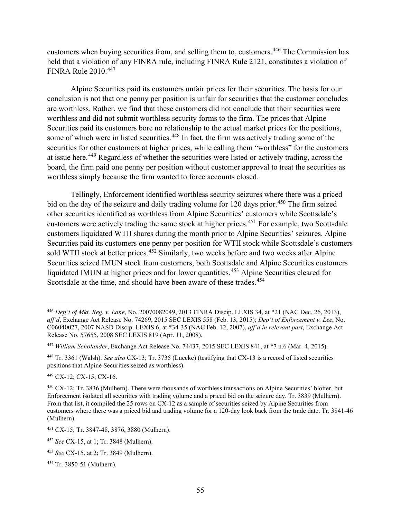customers when buying securities from, and selling them to, customers.<sup>446</sup> The Commission has held that a violation of any FINRA rule, including FINRA Rule 2121, constitutes a violation of FINRA Rule 2010.<sup>447</sup>

Alpine Securities paid its customers unfair prices for their securities. The basis for our conclusion is not that one penny per position is unfair for securities that the customer concludes are worthless. Rather, we find that these customers did not conclude that their securities were worthless and did not submit worthless security forms to the firm. The prices that Alpine Securities paid its customers bore no relationship to the actual market prices for the positions, some of which were in listed securities.<sup>448</sup> In fact, the firm was actively trading some of the securities for other customers at higher prices, while calling them "worthless" for the customers at issue here.<sup>449</sup> Regardless of whether the securities were listed or actively trading, across the board, the firm paid one penny per position without customer approval to treat the securities as worthless simply because the firm wanted to force accounts closed.

Tellingly, Enforcement identified worthless security seizures where there was a priced bid on the day of the seizure and daily trading volume for 120 days prior.<sup>450</sup> The firm seized other securities identified as worthless from Alpine Securities' customers while Scottsdale's customers were actively trading the same stock at higher prices.<sup>451</sup> For example, two Scottsdale customers liquidated WTII shares during the month prior to Alpine Securities' seizures. Alpine Securities paid its customers one penny per position for WTII stock while Scottsdale's customers sold WTII stock at better prices.<sup>452</sup> Similarly, two weeks before and two weeks after Alpine Securities seized IMUN stock from customers, both Scottsdale and Alpine Securities customers liquidated IMUN at higher prices and for lower quantities.<sup>453</sup> Alpine Securities cleared for Scottsdale at the time, and should have been aware of these trades.<sup>454</sup>

<sup>449</sup> CX-12; CX-15; CX-16.

<sup>446</sup> *Dep't of Mkt. Reg. v. Lane*, No. 20070082049, 2013 FINRA Discip. LEXIS 34, at \*21 (NAC Dec. 26, 2013), *aff'd*, Exchange Act Release No. 74269, 2015 SEC LEXIS 558 (Feb. 13, 2015); *Dep't of Enforcement v. Lee*, No. C06040027, 2007 NASD Discip. LEXIS 6, at \*34-35 (NAC Feb. 12, 2007), *aff'd in relevant part*, Exchange Act Release No. 57655, 2008 SEC LEXIS 819 (Apr. 11, 2008).

<sup>447</sup> *William Scholander*, Exchange Act Release No. 74437, 2015 SEC LEXIS 841, at \*7 n.6 (Mar. 4, 2015).

<sup>448</sup> Tr. 3361 (Walsh). *See also* CX-13; Tr. 3735 (Luecke) (testifying that CX-13 is a record of listed securities positions that Alpine Securities seized as worthless).

<sup>450</sup> CX-12; Tr. 3836 (Mulhern). There were thousands of worthless transactions on Alpine Securities' blotter, but Enforcement isolated all securities with trading volume and a priced bid on the seizure day. Tr. 3839 (Mulhern). From that list, it compiled the 25 rows on CX-12 as a sample of securities seized by Alpine Securities from customers where there was a priced bid and trading volume for a 120-day look back from the trade date. Tr. 3841-46 (Mulhern).

<sup>451</sup> CX-15; Tr. 3847-48, 3876, 3880 (Mulhern).

<sup>452</sup> *See* CX-15, at 1; Tr. 3848 (Mulhern).

<sup>453</sup> *See* CX-15, at 2; Tr. 3849 (Mulhern).

<sup>454</sup> Tr. 3850-51 (Mulhern).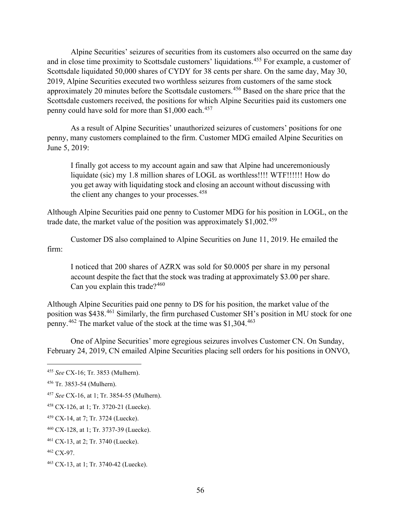Alpine Securities' seizures of securities from its customers also occurred on the same day and in close time proximity to Scottsdale customers' liquidations.<sup>455</sup> For example, a customer of Scottsdale liquidated 50,000 shares of CYDY for 38 cents per share. On the same day, May 30, 2019, Alpine Securities executed two worthless seizures from customers of the same stock approximately 20 minutes before the Scottsdale customers.<sup>456</sup> Based on the share price that the Scottsdale customers received, the positions for which Alpine Securities paid its customers one penny could have sold for more than \$1,000 each.<sup>457</sup>

As a result of Alpine Securities' unauthorized seizures of customers' positions for one penny, many customers complained to the firm. Customer MDG emailed Alpine Securities on June 5, 2019:

I finally got access to my account again and saw that Alpine had unceremoniously liquidate (sic) my 1.8 million shares of LOGL as worthless!!!! WTF!!!!!! How do you get away with liquidating stock and closing an account without discussing with the client any changes to your processes.<sup>458</sup>

Although Alpine Securities paid one penny to Customer MDG for his position in LOGL, on the trade date, the market value of the position was approximately  $$1,002$ <sup>459</sup>

Customer DS also complained to Alpine Securities on June 11, 2019. He emailed the firm:

I noticed that 200 shares of AZRX was sold for \$0.0005 per share in my personal account despite the fact that the stock was trading at approximately \$3.00 per share. Can you explain this trade? $460$ 

Although Alpine Securities paid one penny to DS for his position, the market value of the position was \$438.<sup>461</sup> Similarly, the firm purchased Customer SH's position in MU stock for one penny.<sup>462</sup> The market value of the stock at the time was \$1,304.<sup>463</sup>

One of Alpine Securities' more egregious seizures involves Customer CN. On Sunday, February 24, 2019, CN emailed Alpine Securities placing sell orders for his positions in ONVO,

<sup>455</sup> *See* CX-16; Tr. 3853 (Mulhern).

<sup>456</sup> Tr. 3853-54 (Mulhern).

<sup>457</sup> *See* CX-16, at 1; Tr. 3854-55 (Mulhern).

<sup>458</sup> CX-126, at 1; Tr. 3720-21 (Luecke).

<sup>459</sup> CX-14, at 7; Tr. 3724 (Luecke).

<sup>460</sup> CX-128, at 1; Tr. 3737-39 (Luecke).

<sup>461</sup> CX-13, at 2; Tr. 3740 (Luecke).

<sup>462</sup> CX-97.

<sup>463</sup> CX-13, at 1; Tr. 3740-42 (Luecke).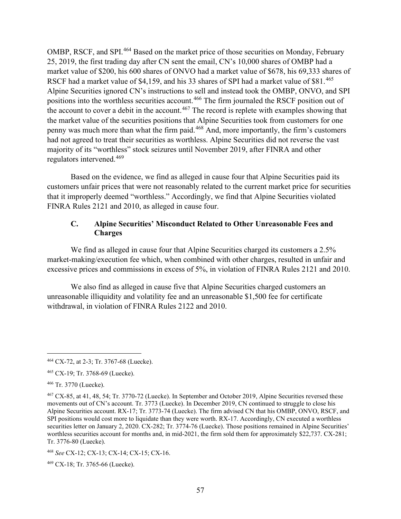OMBP, RSCF, and SPI.<sup>464</sup> Based on the market price of those securities on Monday, February 25, 2019, the first trading day after CN sent the email, CN's 10,000 shares of OMBP had a market value of \$200, his 600 shares of ONVO had a market value of \$678, his 69,333 shares of RSCF had a market value of \$4,159, and his 33 shares of SPI had a market value of \$81.<sup>465</sup> Alpine Securities ignored CN's instructions to sell and instead took the OMBP, ONVO, and SPI positions into the worthless securities account.<sup>466</sup> The firm journaled the RSCF position out of the account to cover a debit in the account.<sup>467</sup> The record is replete with examples showing that the market value of the securities positions that Alpine Securities took from customers for one penny was much more than what the firm paid.<sup>468</sup> And, more importantly, the firm's customers had not agreed to treat their securities as worthless. Alpine Securities did not reverse the vast majority of its "worthless" stock seizures until November 2019, after FINRA and other regulators intervened.<sup>469</sup>

Based on the evidence, we find as alleged in cause four that Alpine Securities paid its customers unfair prices that were not reasonably related to the current market price for securities that it improperly deemed "worthless." Accordingly, we find that Alpine Securities violated FINRA Rules 2121 and 2010, as alleged in cause four.

#### **C. Alpine Securities' Misconduct Related to Other Unreasonable Fees and Charges**

We find as alleged in cause four that Alpine Securities charged its customers a 2.5% market-making/execution fee which, when combined with other charges, resulted in unfair and excessive prices and commissions in excess of 5%, in violation of FINRA Rules 2121 and 2010.

We also find as alleged in cause five that Alpine Securities charged customers an unreasonable illiquidity and volatility fee and an unreasonable \$1,500 fee for certificate withdrawal, in violation of FINRA Rules 2122 and 2010.

<sup>466</sup> Tr. 3770 (Luecke).

<sup>464</sup> CX-72, at 2-3; Tr. 3767-68 (Luecke).

<sup>465</sup> CX-19; Tr. 3768-69 (Luecke).

<sup>467</sup> CX-85, at 41, 48, 54; Tr. 3770-72 (Luecke). In September and October 2019, Alpine Securities reversed these movements out of CN's account. Tr. 3773 (Luecke). In December 2019, CN continued to struggle to close his Alpine Securities account. RX-17; Tr. 3773-74 (Luecke). The firm advised CN that his OMBP, ONVO, RSCF, and SPI positions would cost more to liquidate than they were worth. RX-17. Accordingly, CN executed a worthless securities letter on January 2, 2020. CX-282; Tr. 3774-76 (Luecke). Those positions remained in Alpine Securities' worthless securities account for months and, in mid-2021, the firm sold them for approximately \$22,737. CX-281; Tr. 3776-80 (Luecke).

<sup>468</sup> *See* CX-12; CX-13; CX-14; CX-15; CX-16.

<sup>469</sup> CX-18; Tr. 3765-66 (Luecke).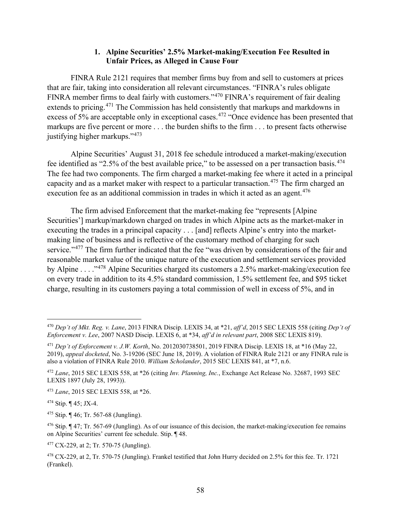#### **1. Alpine Securities' 2.5% Market-making/Execution Fee Resulted in Unfair Prices, as Alleged in Cause Four**

FINRA Rule 2121 requires that member firms buy from and sell to customers at prices that are fair, taking into consideration all relevant circumstances. "FINRA's rules obligate FINRA member firms to deal fairly with customers."<sup>470</sup> FINRA's requirement of fair dealing extends to pricing.<sup>471</sup> The Commission has held consistently that markups and markdowns in excess of 5% are acceptable only in exceptional cases.<sup>472</sup> "Once evidence has been presented that markups are five percent or more . . . the burden shifts to the firm . . . to present facts otherwise justifying higher markups."<sup>473</sup>

Alpine Securities' August 31, 2018 fee schedule introduced a market-making/execution fee identified as "2.5% of the best available price," to be assessed on a per transaction basis. $474$ The fee had two components. The firm charged a market-making fee where it acted in a principal capacity and as a market maker with respect to a particular transaction. <sup>475</sup> The firm charged an execution fee as an additional commission in trades in which it acted as an agent.<sup>476</sup>

The firm advised Enforcement that the market-making fee "represents [Alpine Securities'] markup/markdown charged on trades in which Alpine acts as the market-maker in executing the trades in a principal capacity . . . [and] reflects Alpine's entry into the marketmaking line of business and is reflective of the customary method of charging for such service."<sup>477</sup> The firm further indicated that the fee "was driven by considerations of the fair and reasonable market value of the unique nature of the execution and settlement services provided by Alpine . . . ."<sup>478</sup> Alpine Securities charged its customers a 2.5% market-making/execution fee on every trade in addition to its 4.5% standard commission, 1.5% settlement fee, and \$95 ticket charge, resulting in its customers paying a total commission of well in excess of 5%, and in

<sup>470</sup> *Dep't of Mkt. Reg. v. Lane*, 2013 FINRA Discip. LEXIS 34, at \*21, *aff'd*, 2015 SEC LEXIS 558 (citing *Dep't of Enforcement v. Lee*, 2007 NASD Discip. LEXIS 6, at \*34, *aff'd in relevant part*, 2008 SEC LEXIS 819).

<sup>471</sup> *Dep't of Enforcement v. J.W. Korth*, No. 2012030738501, 2019 FINRA Discip. LEXIS 18, at \*16 (May 22, 2019), *appeal docketed*, No. 3-19206 (SEC June 18, 2019). A violation of FINRA Rule 2121 or any FINRA rule is also a violation of FINRA Rule 2010. *William Scholander*, 2015 SEC LEXIS 841, at \*7, n.6.

<sup>472</sup> *Lane*, 2015 SEC LEXIS 558, at \*26 (citing *Inv. Planning, Inc.*, Exchange Act Release No. 32687, 1993 SEC LEXIS 1897 (July 28, 1993)).

<sup>473</sup> *Lane*, 2015 SEC LEXIS 558, at \*26.

<sup>474</sup> Stip. ¶ 45; JX-4.

 $475$  Stip.  $\P$  46; Tr. 567-68 (Jungling).

 $476$  Stip. ¶ 47; Tr. 567-69 (Jungling). As of our issuance of this decision, the market-making/execution fee remains on Alpine Securities' current fee schedule. Stip. ¶ 48.

<sup>477</sup> CX-229, at 2; Tr. 570-75 (Jungling).

<sup>478</sup> CX-229, at 2, Tr. 570-75 (Jungling). Frankel testified that John Hurry decided on 2.5% for this fee. Tr. 1721 (Frankel).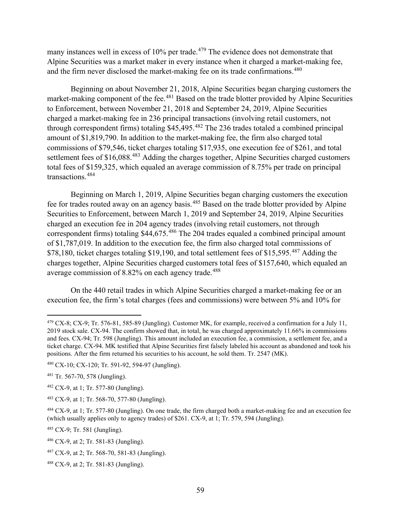many instances well in excess of  $10\%$  per trade.<sup>479</sup> The evidence does not demonstrate that Alpine Securities was a market maker in every instance when it charged a market-making fee, and the firm never disclosed the market-making fee on its trade confirmations.<sup>480</sup>

Beginning on about November 21, 2018, Alpine Securities began charging customers the market-making component of the fee.<sup>481</sup> Based on the trade blotter provided by Alpine Securities to Enforcement, between November 21, 2018 and September 24, 2019, Alpine Securities charged a market-making fee in 236 principal transactions (involving retail customers, not through correspondent firms) totaling \$45,495.<sup>482</sup> The 236 trades totaled a combined principal amount of \$1,819,790. In addition to the market-making fee, the firm also charged total commissions of \$79,546, ticket charges totaling \$17,935, one execution fee of \$261, and total settlement fees of \$16,088.<sup>483</sup> Adding the charges together, Alpine Securities charged customers total fees of \$159,325, which equaled an average commission of 8.75% per trade on principal transactions. 484

Beginning on March 1, 2019, Alpine Securities began charging customers the execution fee for trades routed away on an agency basis.<sup>485</sup> Based on the trade blotter provided by Alpine Securities to Enforcement, between March 1, 2019 and September 24, 2019, Alpine Securities charged an execution fee in 204 agency trades (involving retail customers, not through correspondent firms) totaling \$44,675.<sup>486</sup> The 204 trades equaled a combined principal amount of \$1,787,019. In addition to the execution fee, the firm also charged total commissions of \$78,180, ticket charges totaling \$19,190, and total settlement fees of \$15,595.<sup>487</sup> Adding the charges together, Alpine Securities charged customers total fees of \$157,640, which equaled an average commission of 8.82% on each agency trade.<sup>488</sup>

On the 440 retail trades in which Alpine Securities charged a market-making fee or an execution fee, the firm's total charges (fees and commissions) were between 5% and 10% for

<sup>485</sup> CX-9; Tr. 581 (Jungling).

 $479$  CX-8; CX-9; Tr. 576-81, 585-89 (Jungling). Customer MK, for example, received a confirmation for a July 11, 2019 stock sale. CX-94. The confirm showed that, in total, he was charged approximately 11.66% in commissions and fees. CX-94; Tr. 598 (Jungling). This amount included an execution fee, a commission, a settlement fee, and a ticket charge. CX-94. MK testified that Alpine Securities first falsely labeled his account as abandoned and took his positions. After the firm returned his securities to his account, he sold them. Tr. 2547 (MK).

<sup>480</sup> CX-10; CX-120; Tr. 591-92, 594-97 (Jungling).

<sup>481</sup> Tr. 567-70, 578 (Jungling).

 $482$  CX-9, at 1; Tr. 577-80 (Jungling).

<sup>483</sup> CX-9, at 1; Tr. 568-70, 577-80 (Jungling).

<sup>484</sup> CX-9, at 1; Tr. 577-80 (Jungling). On one trade, the firm charged both a market-making fee and an execution fee (which usually applies only to agency trades) of \$261. CX-9, at 1; Tr. 579, 594 (Jungling).

<sup>486</sup> CX-9, at 2; Tr. 581-83 (Jungling).

<sup>487</sup> CX-9, at 2; Tr. 568-70, 581-83 (Jungling).

<sup>488</sup> CX-9, at 2; Tr. 581-83 (Jungling).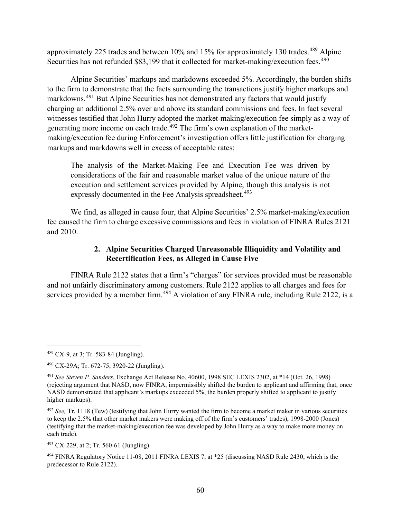approximately 225 trades and between 10% and 15% for approximately 130 trades.<sup>489</sup> Alpine Securities has not refunded \$83,199 that it collected for market-making/execution fees.<sup>490</sup>

Alpine Securities' markups and markdowns exceeded 5%. Accordingly, the burden shifts to the firm to demonstrate that the facts surrounding the transactions justify higher markups and markdowns.<sup>491</sup> But Alpine Securities has not demonstrated any factors that would justify charging an additional 2.5% over and above its standard commissions and fees. In fact several witnesses testified that John Hurry adopted the market-making/execution fee simply as a way of generating more income on each trade.<sup>492</sup> The firm's own explanation of the marketmaking/execution fee during Enforcement's investigation offers little justification for charging markups and markdowns well in excess of acceptable rates:

The analysis of the Market-Making Fee and Execution Fee was driven by considerations of the fair and reasonable market value of the unique nature of the execution and settlement services provided by Alpine, though this analysis is not expressly documented in the Fee Analysis spreadsheet.<sup>493</sup>

We find, as alleged in cause four, that Alpine Securities' 2.5% market-making/execution fee caused the firm to charge excessive commissions and fees in violation of FINRA Rules 2121 and 2010.

## **2. Alpine Securities Charged Unreasonable Illiquidity and Volatility and Recertification Fees, as Alleged in Cause Five**

FINRA Rule 2122 states that a firm's "charges" for services provided must be reasonable and not unfairly discriminatory among customers. Rule 2122 applies to all charges and fees for services provided by a member firm.<sup>494</sup> A violation of any FINRA rule, including Rule 2122, is a

<sup>489</sup> CX-9, at 3; Tr. 583-84 (Jungling).

<sup>490</sup> CX-29A; Tr. 672-75, 3920-22 (Jungling).

<sup>491</sup> *See Steven P. Sanders*, Exchange Act Release No. 40600, 1998 SEC LEXIS 2302, at \*14 (Oct. 26, 1998) (rejecting argument that NASD, now FINRA, impermissibly shifted the burden to applicant and affirming that, once NASD demonstrated that applicant's markups exceeded 5%, the burden properly shifted to applicant to justify higher markups).

<sup>492</sup> *See,* Tr. 1118 (Tew) (testifying that John Hurry wanted the firm to become a market maker in various securities to keep the 2.5% that other market makers were making off of the firm's customers' trades), 1998-2000 (Jones) (testifying that the market-making/execution fee was developed by John Hurry as a way to make more money on each trade).

<sup>493</sup> CX-229, at 2; Tr. 560-61 (Jungling).

<sup>494</sup> FINRA Regulatory Notice 11-08, 2011 FINRA LEXIS 7, at \*25 (discussing NASD Rule 2430, which is the predecessor to Rule 2122).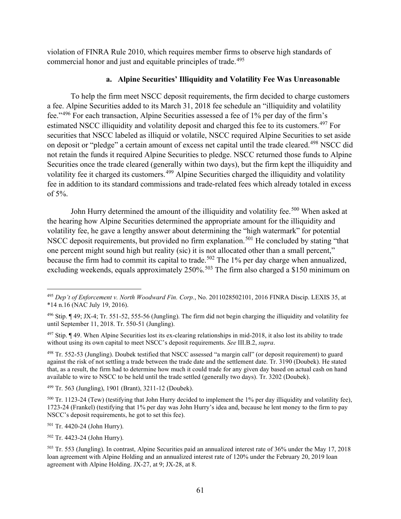violation of FINRA Rule 2010, which requires member firms to observe high standards of commercial honor and just and equitable principles of trade.<sup>495</sup>

### **a. Alpine Securities' Illiquidity and Volatility Fee Was Unreasonable**

To help the firm meet NSCC deposit requirements, the firm decided to charge customers a fee. Alpine Securities added to its March 31, 2018 fee schedule an "illiquidity and volatility fee."<sup>496</sup> For each transaction, Alpine Securities assessed a fee of 1% per day of the firm's estimated NSCC illiquidity and volatility deposit and charged this fee to its customers.<sup>497</sup> For securities that NSCC labeled as illiquid or volatile, NSCC required Alpine Securities to set aside on deposit or "pledge" a certain amount of excess net capital until the trade cleared.<sup>498</sup> NSCC did not retain the funds it required Alpine Securities to pledge. NSCC returned those funds to Alpine Securities once the trade cleared (generally within two days), but the firm kept the illiquidity and volatility fee it charged its customers.<sup>499</sup> Alpine Securities charged the illiquidity and volatility fee in addition to its standard commissions and trade-related fees which already totaled in excess of 5%.

John Hurry determined the amount of the illiquidity and volatility fee.<sup>500</sup> When asked at the hearing how Alpine Securities determined the appropriate amount for the illiquidity and volatility fee, he gave a lengthy answer about determining the "high watermark" for potential NSCC deposit requirements, but provided no firm explanation.<sup>501</sup> He concluded by stating "that one percent might sound high but reality (sic) it is not allocated other than a small percent," because the firm had to commit its capital to trade.<sup>502</sup> The 1% per day charge when annualized, excluding weekends, equals approximately 250%.<sup>503</sup> The firm also charged a \$150 minimum on

<sup>499</sup> Tr. 563 (Jungling), 1901 (Brant), 3211-12 (Doubek).

<sup>501</sup> Tr. 4420-24 (John Hurry).

<sup>502</sup> Tr. 4423-24 (John Hurry).

<sup>495</sup> *Dep't of Enforcement v. North Woodward Fin. Corp.*, No. 2011028502101, 2016 FINRA Discip. LEXIS 35, at \*14 n.16 (NAC July 19, 2016).

 $496$  Stip. ¶ 49; JX-4; Tr. 551-52, 555-56 (Jungling). The firm did not begin charging the illiquidity and volatility fee until September 11, 2018. Tr. 550-51 (Jungling).

 $497$  Stip.  $\P$  49. When Alpine Securities lost its ex-clearing relationships in mid-2018, it also lost its ability to trade without using its own capital to meet NSCC's deposit requirements. *See* III.B.2, *supra*.

<sup>498</sup> Tr. 552-53 (Jungling). Doubek testified that NSCC assessed "a margin call" (or deposit requirement) to guard against the risk of not settling a trade between the trade date and the settlement date. Tr. 3190 (Doubek). He stated that, as a result, the firm had to determine how much it could trade for any given day based on actual cash on hand available to wire to NSCC to be held until the trade settled (generally two days). Tr. 3202 (Doubek).

 $500$  Tr. 1123-24 (Tew) (testifying that John Hurry decided to implement the 1% per day illiquidity and volatility fee), 1723-24 (Frankel) (testifying that 1% per day was John Hurry's idea and, because he lent money to the firm to pay NSCC's deposit requirements, he got to set this fee).

<sup>503</sup> Tr. 553 (Jungling). In contrast, Alpine Securities paid an annualized interest rate of 36% under the May 17, 2018 loan agreement with Alpine Holding and an annualized interest rate of 120% under the February 20, 2019 loan agreement with Alpine Holding. JX-27, at 9; JX-28, at 8.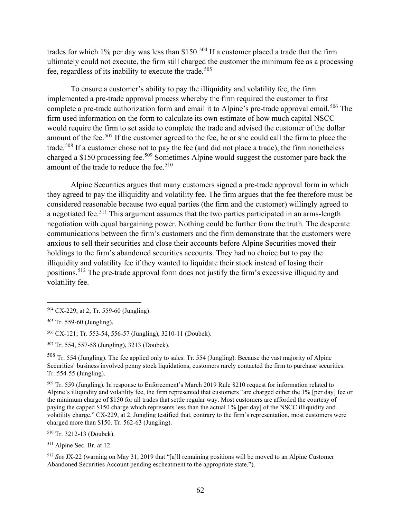trades for which 1% per day was less than \$150.<sup>504</sup> If a customer placed a trade that the firm ultimately could not execute, the firm still charged the customer the minimum fee as a processing fee, regardless of its inability to execute the trade.<sup>505</sup>

To ensure a customer's ability to pay the illiquidity and volatility fee, the firm implemented a pre-trade approval process whereby the firm required the customer to first complete a pre-trade authorization form and email it to Alpine's pre-trade approval email.<sup>506</sup> The firm used information on the form to calculate its own estimate of how much capital NSCC would require the firm to set aside to complete the trade and advised the customer of the dollar amount of the fee.<sup>507</sup> If the customer agreed to the fee, he or she could call the firm to place the trade.<sup>508</sup> If a customer chose not to pay the fee (and did not place a trade), the firm nonetheless charged a \$150 processing fee.<sup>509</sup> Sometimes Alpine would suggest the customer pare back the amount of the trade to reduce the fee.<sup>510</sup>

Alpine Securities argues that many customers signed a pre-trade approval form in which they agreed to pay the illiquidity and volatility fee. The firm argues that the fee therefore must be considered reasonable because two equal parties (the firm and the customer) willingly agreed to a negotiated fee.<sup>511</sup> This argument assumes that the two parties participated in an arms-length negotiation with equal bargaining power. Nothing could be further from the truth. The desperate communications between the firm's customers and the firm demonstrate that the customers were anxious to sell their securities and close their accounts before Alpine Securities moved their holdings to the firm's abandoned securities accounts. They had no choice but to pay the illiquidity and volatility fee if they wanted to liquidate their stock instead of losing their positions.<sup>512</sup> The pre-trade approval form does not justify the firm's excessive illiquidity and volatility fee.

<sup>508</sup> Tr. 554 (Jungling). The fee applied only to sales. Tr. 554 (Jungling). Because the vast majority of Alpine Securities' business involved penny stock liquidations, customers rarely contacted the firm to purchase securities. Tr. 554-55 (Jungling).

<sup>509</sup> Tr. 559 (Jungling). In response to Enforcement's March 2019 Rule 8210 request for information related to Alpine's illiquidity and volatility fee, the firm represented that customers "are charged either the 1% [per day] fee or the minimum charge of \$150 for all trades that settle regular way. Most customers are afforded the courtesy of paying the capped \$150 charge which represents less than the actual 1% [per day] of the NSCC illiquidity and volatility charge." CX-229, at 2. Jungling testified that, contrary to the firm's representation, most customers were charged more than \$150. Tr. 562-63 (Jungling).

<sup>510</sup> Tr. 3212-13 (Doubek).

<sup>512</sup> *See* JX-22 (warning on May 31, 2019 that "[a]ll remaining positions will be moved to an Alpine Customer Abandoned Securities Account pending escheatment to the appropriate state.").

<sup>504</sup> CX-229, at 2; Tr. 559-60 (Jungling).

<sup>505</sup> Tr. 559-60 (Jungling).

<sup>506</sup> CX-121; Tr. 553-54, 556-57 (Jungling), 3210-11 (Doubek).

<sup>507</sup> Tr. 554, 557-58 (Jungling), 3213 (Doubek).

<sup>511</sup> Alpine Sec. Br. at 12.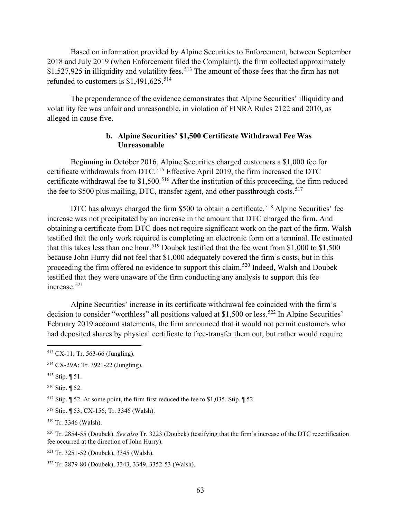Based on information provided by Alpine Securities to Enforcement, between September 2018 and July 2019 (when Enforcement filed the Complaint), the firm collected approximately  $$1,527,925$  in illiquidity and volatility fees.<sup>513</sup> The amount of those fees that the firm has not refunded to customers is  $$1,491,625.^{514}$ 

The preponderance of the evidence demonstrates that Alpine Securities' illiquidity and volatility fee was unfair and unreasonable, in violation of FINRA Rules 2122 and 2010, as alleged in cause five.

#### **b. Alpine Securities' \$1,500 Certificate Withdrawal Fee Was Unreasonable**

Beginning in October 2016, Alpine Securities charged customers a \$1,000 fee for certificate withdrawals from DTC.<sup>515</sup> Effective April 2019, the firm increased the DTC certificate withdrawal fee to  $$1,500$ .<sup>516</sup> After the institution of this proceeding, the firm reduced the fee to \$500 plus mailing, DTC, transfer agent, and other passthrough costs.<sup>517</sup>

DTC has always charged the firm \$500 to obtain a certificate.<sup>518</sup> Alpine Securities' fee increase was not precipitated by an increase in the amount that DTC charged the firm. And obtaining a certificate from DTC does not require significant work on the part of the firm. Walsh testified that the only work required is completing an electronic form on a terminal. He estimated that this takes less than one hour.<sup>519</sup> Doubek testified that the fee went from \$1,000 to \$1,500 because John Hurry did not feel that \$1,000 adequately covered the firm's costs, but in this proceeding the firm offered no evidence to support this claim.<sup>520</sup> Indeed, Walsh and Doubek testified that they were unaware of the firm conducting any analysis to support this fee increase.<sup>521</sup>

Alpine Securities' increase in its certificate withdrawal fee coincided with the firm's decision to consider "worthless" all positions valued at \$1,500 or less.<sup>522</sup> In Alpine Securities' February 2019 account statements, the firm announced that it would not permit customers who had deposited shares by physical certificate to free-transfer them out, but rather would require

<sup>516</sup> Stip. ¶ 52.

<sup>517</sup> Stip. ¶ 52. At some point, the firm first reduced the fee to \$1,035. Stip. ¶ 52.

<sup>518</sup> Stip. ¶ 53; CX-156; Tr. 3346 (Walsh).

<sup>519</sup> Tr. 3346 (Walsh).

<sup>521</sup> Tr. 3251-52 (Doubek), 3345 (Walsh).

<sup>513</sup> CX-11; Tr. 563-66 (Jungling).

<sup>514</sup> CX-29A; Tr. 3921-22 (Jungling).

<sup>515</sup> Stip. ¶ 51.

<sup>520</sup> Tr. 2854-55 (Doubek). *See also* Tr. 3223 (Doubek) (testifying that the firm's increase of the DTC recertification fee occurred at the direction of John Hurry).

<sup>522</sup> Tr. 2879-80 (Doubek), 3343, 3349, 3352-53 (Walsh).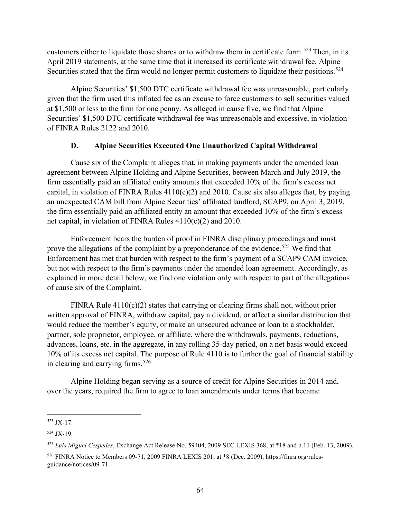customers either to liquidate those shares or to withdraw them in certificate form.<sup>523</sup> Then, in its April 2019 statements, at the same time that it increased its certificate withdrawal fee, Alpine Securities stated that the firm would no longer permit customers to liquidate their positions.<sup>524</sup>

Alpine Securities' \$1,500 DTC certificate withdrawal fee was unreasonable, particularly given that the firm used this inflated fee as an excuse to force customers to sell securities valued at \$1,500 or less to the firm for one penny. As alleged in cause five, we find that Alpine Securities' \$1,500 DTC certificate withdrawal fee was unreasonable and excessive, in violation of FINRA Rules 2122 and 2010.

## **D. Alpine Securities Executed One Unauthorized Capital Withdrawal**

Cause six of the Complaint alleges that, in making payments under the amended loan agreement between Alpine Holding and Alpine Securities, between March and July 2019, the firm essentially paid an affiliated entity amounts that exceeded 10% of the firm's excess net capital, in violation of FINRA Rules  $4110(c)(2)$  and 2010. Cause six also alleges that, by paying an unexpected CAM bill from Alpine Securities' affiliated landlord, SCAP9, on April 3, 2019, the firm essentially paid an affiliated entity an amount that exceeded 10% of the firm's excess net capital, in violation of FINRA Rules 4110(c)(2) and 2010.

Enforcement bears the burden of proof in FINRA disciplinary proceedings and must prove the allegations of the complaint by a preponderance of the evidence.<sup>525</sup> We find that Enforcement has met that burden with respect to the firm's payment of a SCAP9 CAM invoice, but not with respect to the firm's payments under the amended loan agreement. Accordingly, as explained in more detail below, we find one violation only with respect to part of the allegations of cause six of the Complaint.

FINRA Rule  $4110(c)(2)$  states that carrying or clearing firms shall not, without prior written approval of FINRA, withdraw capital, pay a dividend, or affect a similar distribution that would reduce the member's equity, or make an unsecured advance or loan to a stockholder, partner, sole proprietor, employee, or affiliate, where the withdrawals, payments, reductions, advances, loans, etc. in the aggregate, in any rolling 35-day period, on a net basis would exceed 10% of its excess net capital. The purpose of Rule 4110 is to further the goal of financial stability in clearing and carrying firms.<sup>526</sup>

Alpine Holding began serving as a source of credit for Alpine Securities in 2014 and, over the years, required the firm to agree to loan amendments under terms that became

<sup>523</sup> JX-17.

<sup>524</sup> JX-19.

<sup>525</sup> *Luis Miguel Cespedes*, Exchange Act Release No. 59404, 2009 SEC LEXIS 368, at \*18 and n.11 (Feb. 13, 2009).

<sup>526</sup> FINRA Notice to Members 09-71, 2009 FINRA LEXIS 201, at \*8 (Dec. 2009), https://finra.org/rulesguidance/notices/09-71.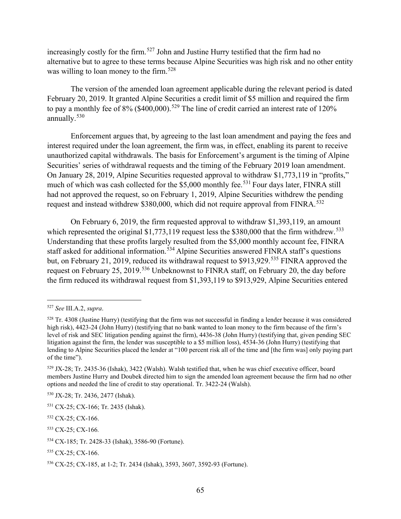increasingly costly for the firm. <sup>527</sup> John and Justine Hurry testified that the firm had no alternative but to agree to these terms because Alpine Securities was high risk and no other entity was willing to loan money to the firm.<sup>528</sup>

The version of the amended loan agreement applicable during the relevant period is dated February 20, 2019. It granted Alpine Securities a credit limit of \$5 million and required the firm to pay a monthly fee of  $8\%$  (\$400,000).<sup>529</sup> The line of credit carried an interest rate of 120% annually.<sup>530</sup>

Enforcement argues that, by agreeing to the last loan amendment and paying the fees and interest required under the loan agreement, the firm was, in effect, enabling its parent to receive unauthorized capital withdrawals. The basis for Enforcement's argument is the timing of Alpine Securities' series of withdrawal requests and the timing of the February 2019 loan amendment. On January 28, 2019, Alpine Securities requested approval to withdraw \$1,773,119 in "profits," much of which was cash collected for the  $$5,000$  monthly fee.<sup>531</sup> Four days later, FINRA still had not approved the request, so on February 1, 2019, Alpine Securities withdrew the pending request and instead withdrew \$380,000, which did not require approval from FINRA.<sup>532</sup>

On February 6, 2019, the firm requested approval to withdraw \$1,393,119, an amount which represented the original  $$1,773,119$  request less the  $$380,000$  that the firm withdrew.<sup>533</sup> Understanding that these profits largely resulted from the \$5,000 monthly account fee, FINRA staff asked for additional information.<sup>534</sup> Alpine Securities answered FINRA staff's questions but, on February 21, 2019, reduced its withdrawal request to \$913,929.<sup>535</sup> FINRA approved the request on February 25, 2019.<sup>536</sup> Unbeknownst to FINRA staff, on February 20, the day before the firm reduced its withdrawal request from \$1,393,119 to \$913,929, Alpine Securities entered

<sup>527</sup> *See* III.A.2, *supra*.

 $528$  Tr. 4308 (Justine Hurry) (testifying that the firm was not successful in finding a lender because it was considered high risk), 4423-24 (John Hurry) (testifying that no bank wanted to loan money to the firm because of the firm's level of risk and SEC litigation pending against the firm), 4436-38 (John Hurry) (testifying that, given pending SEC litigation against the firm, the lender was susceptible to a \$5 million loss), 4534-36 (John Hurry) (testifying that lending to Alpine Securities placed the lender at "100 percent risk all of the time and [the firm was] only paying part of the time").

<sup>529</sup> JX-28; Tr. 2435-36 (Ishak), 3422 (Walsh). Walsh testified that, when he was chief executive officer, board members Justine Hurry and Doubek directed him to sign the amended loan agreement because the firm had no other options and needed the line of credit to stay operational. Tr. 3422-24 (Walsh).

<sup>530</sup> JX-28; Tr. 2436, 2477 (Ishak).

<sup>531</sup> CX-25; CX-166; Tr. 2435 (Ishak).

<sup>532</sup> CX-25; CX-166.

<sup>533</sup> CX-25; CX-166*.*

<sup>534</sup> CX-185; Tr. 2428-33 (Ishak), 3586-90 (Fortune).

<sup>&</sup>lt;sup>535</sup> CX-25; CX-166.

<sup>536</sup> CX-25; CX-185, at 1-2; Tr. 2434 (Ishak), 3593, 3607, 3592-93 (Fortune).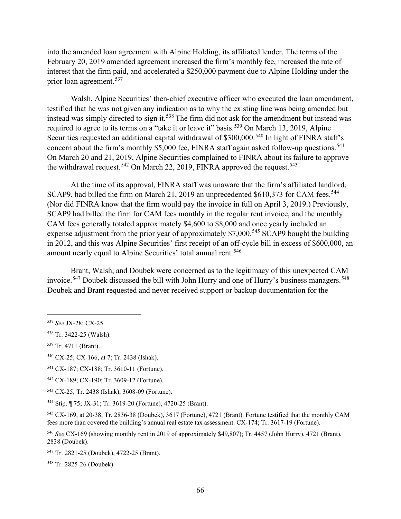into the amended loan agreement with Alpine Holding, its affiliated lender. The terms of the February 20, 2019 amended agreement increased the firm's monthly fee, increased the rate of interest that the firm paid, and accelerated a \$250,000 payment due to Alpine Holding under the prior loan agreement.<sup>537</sup>

Walsh, Alpine Securities' then-chief executive officer who executed the loan amendment, testified that he was not given any indication as to why the existing line was being amended but instead was simply directed to sign it.<sup>538</sup> The firm did not ask for the amendment but instead was required to agree to its terms on a "take it or leave it" basis.<sup>539</sup> On March 13, 2019, Alpine Securities requested an additional capital withdrawal of \$300,000.<sup>540</sup> In light of FINRA staff's concern about the firm's monthly \$5,000 fee, FINRA staff again asked follow-up questions.<sup>541</sup> On March 20 and 21, 2019, Alpine Securities complained to FINRA about its failure to approve the withdrawal request.<sup>542</sup> On March 22, 2019, FINRA approved the request.<sup>543</sup>

At the time of its approval, FINRA staff was unaware that the firm's affiliated landlord, SCAP9, had billed the firm on March 21, 2019 an unprecedented  $$610,373$  for CAM fees.<sup>544</sup> (Nor did FINRA know that the firm would pay the invoice in full on April 3, 2019.) Previously, SCAP9 had billed the firm for CAM fees monthly in the regular rent invoice, and the monthly CAM fees generally totaled approximately \$4,600 to \$8,000 and once yearly included an expense adjustment from the prior year of approximately \$7,000.<sup>545</sup> SCAP9 bought the building in 2012, and this was Alpine Securities' first receipt of an off-cycle bill in excess of \$600,000, an amount nearly equal to Alpine Securities' total annual rent.<sup>546</sup>

Brant, Walsh, and Doubek were concerned as to the legitimacy of this unexpected CAM invoice.<sup>547</sup> Doubek discussed the bill with John Hurry and one of Hurry's business managers.<sup>548</sup> Doubek and Brant requested and never received support or backup documentation for the

<sup>541</sup> CX-187; CX-188; Tr. 3610-11 (Fortune).

<sup>537</sup> *See* JX-28; CX-25.

<sup>538</sup> Tr. 3422-25 (Walsh).

<sup>539</sup> Tr. 4711 (Brant).

<sup>540</sup> CX-25; CX-166, at 7; Tr. 2438 (Ishak).

<sup>542</sup> CX-189; CX-190; Tr. 3609-12 (Fortune).

<sup>543</sup> CX-25; Tr. 2438 (Ishak), 3608-09 (Fortune).

<sup>544</sup> Stip. ¶ 75; JX-31; Tr. 3619-20 (Fortune), 4720-25 (Brant).

<sup>545</sup> CX-169, at 20-38; Tr. 2836-38 (Doubek), 3617 (Fortune), 4721 (Brant). Fortune testified that the monthly CAM fees more than covered the building's annual real estate tax assessment. CX-174; Tr. 3617-19 (Fortune).

<sup>546</sup> *See* CX-169 (showing monthly rent in 2019 of approximately \$49,807); Tr. 4457 (John Hurry), 4721 (Brant), 2838 (Doubek).

<sup>547</sup> Tr. 2821-25 (Doubek), 4722-25 (Brant).

<sup>548</sup> Tr. 2825-26 (Doubek).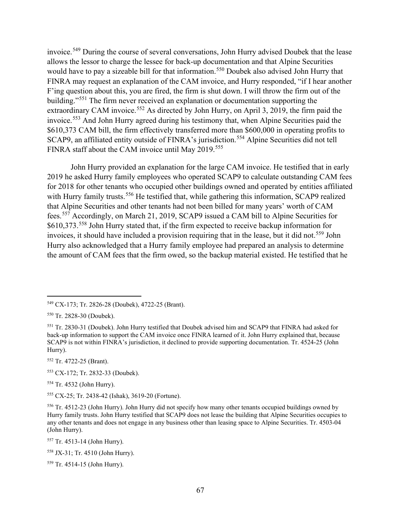invoice.<sup>549</sup> During the course of several conversations, John Hurry advised Doubek that the lease allows the lessor to charge the lessee for back-up documentation and that Alpine Securities would have to pay a sizeable bill for that information.<sup>550</sup> Doubek also advised John Hurry that FINRA may request an explanation of the CAM invoice, and Hurry responded, "if I hear another F'ing question about this, you are fired, the firm is shut down. I will throw the firm out of the building."<sup>551</sup> The firm never received an explanation or documentation supporting the extraordinary CAM invoice.<sup>552</sup> As directed by John Hurry, on April 3, 2019, the firm paid the invoice.<sup>553</sup> And John Hurry agreed during his testimony that, when Alpine Securities paid the \$610,373 CAM bill, the firm effectively transferred more than \$600,000 in operating profits to SCAP9, an affiliated entity outside of FINRA's jurisdiction.<sup>554</sup> Alpine Securities did not tell FINRA staff about the CAM invoice until May 2019.<sup>555</sup>

John Hurry provided an explanation for the large CAM invoice. He testified that in early 2019 he asked Hurry family employees who operated SCAP9 to calculate outstanding CAM fees for 2018 for other tenants who occupied other buildings owned and operated by entities affiliated with Hurry family trusts.<sup>556</sup> He testified that, while gathering this information, SCAP9 realized that Alpine Securities and other tenants had not been billed for many years' worth of CAM fees.<sup>557</sup> Accordingly, on March 21, 2019, SCAP9 issued a CAM bill to Alpine Securities for \$610,373.<sup>558</sup> John Hurry stated that, if the firm expected to receive backup information for invoices, it should have included a provision requiring that in the lease, but it did not.<sup>559</sup> John Hurry also acknowledged that a Hurry family employee had prepared an analysis to determine the amount of CAM fees that the firm owed, so the backup material existed. He testified that he

<sup>552</sup> Tr. 4722-25 (Brant).

<sup>553</sup> CX-172; Tr. 2832-33 (Doubek).

<sup>554</sup> Tr. 4532 (John Hurry).

<sup>555</sup> CX-25; Tr. 2438-42 (Ishak), 3619-20 (Fortune).

<sup>557</sup> Tr. 4513-14 (John Hurry).

<sup>558</sup> JX-31; Tr. 4510 (John Hurry).

<sup>559</sup> Tr. 4514-15 (John Hurry).

<sup>549</sup> CX-173; Tr. 2826-28 (Doubek), 4722-25 (Brant).

<sup>550</sup> Tr. 2828-30 (Doubek).

<sup>551</sup> Tr. 2830-31 (Doubek). John Hurry testified that Doubek advised him and SCAP9 that FINRA had asked for back-up information to support the CAM invoice once FINRA learned of it. John Hurry explained that, because SCAP9 is not within FINRA's jurisdiction, it declined to provide supporting documentation. Tr. 4524-25 (John Hurry).

<sup>556</sup> Tr. 4512-23 (John Hurry). John Hurry did not specify how many other tenants occupied buildings owned by Hurry family trusts. John Hurry testified that SCAP9 does not lease the building that Alpine Securities occupies to any other tenants and does not engage in any business other than leasing space to Alpine Securities. Tr. 4503-04 (John Hurry).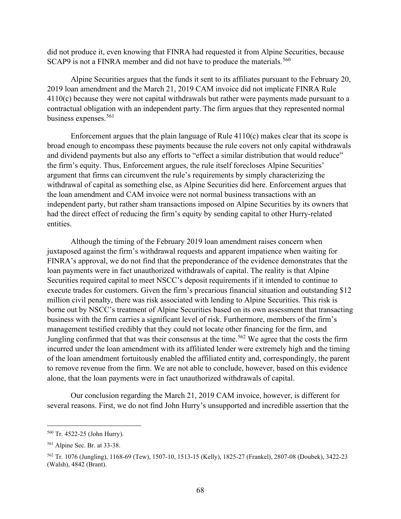did not produce it, even knowing that FINRA had requested it from Alpine Securities, because SCAP9 is not a FINRA member and did not have to produce the materials.<sup>560</sup>

Alpine Securities argues that the funds it sent to its affiliates pursuant to the February 20, 2019 loan amendment and the March 21, 2019 CAM invoice did not implicate FINRA Rule 4110(c) because they were not capital withdrawals but rather were payments made pursuant to a contractual obligation with an independent party. The firm argues that they represented normal business expenses.<sup>561</sup>

Enforcement argues that the plain language of Rule 4110(c) makes clear that its scope is broad enough to encompass these payments because the rule covers not only capital withdrawals and dividend payments but also any efforts to "effect a similar distribution that would reduce" the firm's equity. Thus, Enforcement argues, the rule itself forecloses Alpine Securities' argument that firms can circumvent the rule's requirements by simply characterizing the withdrawal of capital as something else, as Alpine Securities did here. Enforcement argues that the loan amendment and CAM invoice were not normal business transactions with an independent party, but rather sham transactions imposed on Alpine Securities by its owners that had the direct effect of reducing the firm's equity by sending capital to other Hurry-related entities.

Although the timing of the February 2019 loan amendment raises concern when juxtaposed against the firm's withdrawal requests and apparent impatience when waiting for FINRA's approval, we do not find that the preponderance of the evidence demonstrates that the loan payments were in fact unauthorized withdrawals of capital. The reality is that Alpine Securities required capital to meet NSCC's deposit requirements if it intended to continue to execute trades for customers. Given the firm's precarious financial situation and outstanding \$12 million civil penalty, there was risk associated with lending to Alpine Securities. This risk is borne out by NSCC's treatment of Alpine Securities based on its own assessment that transacting business with the firm carries a significant level of risk. Furthermore, members of the firm's management testified credibly that they could not locate other financing for the firm, and Jungling confirmed that that was their consensus at the time.<sup>562</sup> We agree that the costs the firm incurred under the loan amendment with its affiliated lender were extremely high and the timing of the loan amendment fortuitously enabled the affiliated entity and, correspondingly, the parent to remove revenue from the firm. We are not able to conclude, however, based on this evidence alone, that the loan payments were in fact unauthorized withdrawals of capital.

Our conclusion regarding the March 21, 2019 CAM invoice, however, is different for several reasons. First, we do not find John Hurry's unsupported and incredible assertion that the

<sup>560</sup> Tr. 4522-25 (John Hurry).

<sup>561</sup> Alpine Sec. Br. at 33-38.

<sup>562</sup> Tr. 1076 (Jungling), 1168-69 (Tew), 1507-10, 1513-15 (Kelly), 1825-27 (Frankel), 2807-08 (Doubek), 3422-23 (Walsh), 4842 (Brant).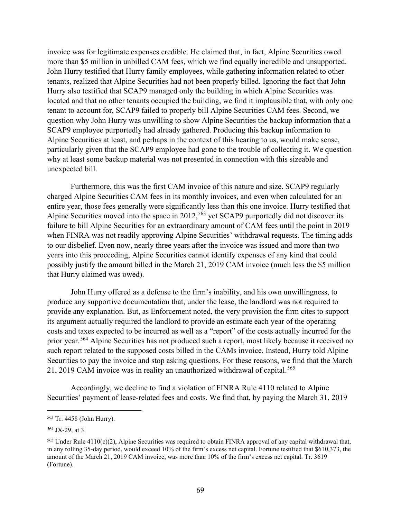invoice was for legitimate expenses credible. He claimed that, in fact, Alpine Securities owed more than \$5 million in unbilled CAM fees, which we find equally incredible and unsupported. John Hurry testified that Hurry family employees, while gathering information related to other tenants, realized that Alpine Securities had not been properly billed. Ignoring the fact that John Hurry also testified that SCAP9 managed only the building in which Alpine Securities was located and that no other tenants occupied the building, we find it implausible that, with only one tenant to account for, SCAP9 failed to properly bill Alpine Securities CAM fees. Second, we question why John Hurry was unwilling to show Alpine Securities the backup information that a SCAP9 employee purportedly had already gathered. Producing this backup information to Alpine Securities at least, and perhaps in the context of this hearing to us, would make sense, particularly given that the SCAP9 employee had gone to the trouble of collecting it. We question why at least some backup material was not presented in connection with this sizeable and unexpected bill.

Furthermore, this was the first CAM invoice of this nature and size. SCAP9 regularly charged Alpine Securities CAM fees in its monthly invoices, and even when calculated for an entire year, those fees generally were significantly less than this one invoice. Hurry testified that Alpine Securities moved into the space in  $2012$ ,<sup>563</sup> yet SCAP9 purportedly did not discover its failure to bill Alpine Securities for an extraordinary amount of CAM fees until the point in 2019 when FINRA was not readily approving Alpine Securities' withdrawal requests. The timing adds to our disbelief. Even now, nearly three years after the invoice was issued and more than two years into this proceeding, Alpine Securities cannot identify expenses of any kind that could possibly justify the amount billed in the March 21, 2019 CAM invoice (much less the \$5 million that Hurry claimed was owed).

John Hurry offered as a defense to the firm's inability, and his own unwillingness, to produce any supportive documentation that, under the lease, the landlord was not required to provide any explanation. But, as Enforcement noted, the very provision the firm cites to support its argument actually required the landlord to provide an estimate each year of the operating costs and taxes expected to be incurred as well as a "report" of the costs actually incurred for the prior year.<sup>564</sup> Alpine Securities has not produced such a report, most likely because it received no such report related to the supposed costs billed in the CAMs invoice. Instead, Hurry told Alpine Securities to pay the invoice and stop asking questions. For these reasons, we find that the March 21, 2019 CAM invoice was in reality an unauthorized withdrawal of capital.<sup>565</sup>

Accordingly, we decline to find a violation of FINRA Rule 4110 related to Alpine Securities' payment of lease-related fees and costs. We find that, by paying the March 31, 2019

<sup>563</sup> Tr. 4458 (John Hurry).

<sup>564</sup> JX-29, at 3.

<sup>&</sup>lt;sup>565</sup> Under Rule 4110(c)(2), Alpine Securities was required to obtain FINRA approval of any capital withdrawal that, in any rolling 35-day period, would exceed 10% of the firm's excess net capital. Fortune testified that \$610,373, the amount of the March 21, 2019 CAM invoice, was more than 10% of the firm's excess net capital. Tr. 3619 (Fortune).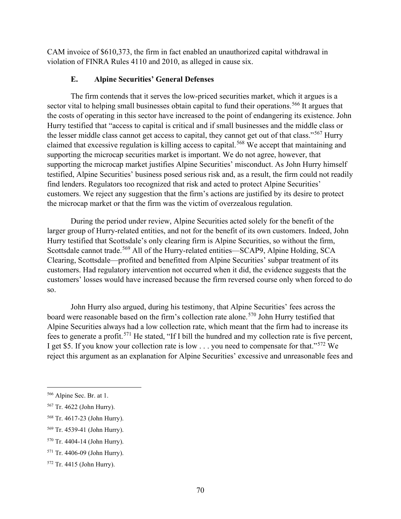CAM invoice of \$610,373, the firm in fact enabled an unauthorized capital withdrawal in violation of FINRA Rules 4110 and 2010, as alleged in cause six.

## **E. Alpine Securities' General Defenses**

The firm contends that it serves the low-priced securities market, which it argues is a sector vital to helping small businesses obtain capital to fund their operations.<sup>566</sup> It argues that the costs of operating in this sector have increased to the point of endangering its existence. John Hurry testified that "access to capital is critical and if small businesses and the middle class or the lesser middle class cannot get access to capital, they cannot get out of that class."<sup>567</sup> Hurry claimed that excessive regulation is killing access to capital.<sup>568</sup> We accept that maintaining and supporting the microcap securities market is important. We do not agree, however, that supporting the microcap market justifies Alpine Securities' misconduct. As John Hurry himself testified, Alpine Securities' business posed serious risk and, as a result, the firm could not readily find lenders. Regulators too recognized that risk and acted to protect Alpine Securities' customers. We reject any suggestion that the firm's actions are justified by its desire to protect the microcap market or that the firm was the victim of overzealous regulation.

During the period under review, Alpine Securities acted solely for the benefit of the larger group of Hurry-related entities, and not for the benefit of its own customers. Indeed, John Hurry testified that Scottsdale's only clearing firm is Alpine Securities, so without the firm, Scottsdale cannot trade.<sup>569</sup> All of the Hurry-related entities—SCAP9, Alpine Holding, SCA Clearing, Scottsdale—profited and benefitted from Alpine Securities' subpar treatment of its customers. Had regulatory intervention not occurred when it did, the evidence suggests that the customers' losses would have increased because the firm reversed course only when forced to do so.

John Hurry also argued, during his testimony, that Alpine Securities' fees across the board were reasonable based on the firm's collection rate alone.<sup>570</sup> John Hurry testified that Alpine Securities always had a low collection rate, which meant that the firm had to increase its fees to generate a profit.<sup>571</sup> He stated, "If I bill the hundred and my collection rate is five percent, I get \$5. If you know your collection rate is low . . . you need to compensate for that."<sup>572</sup> We reject this argument as an explanation for Alpine Securities' excessive and unreasonable fees and

<sup>566</sup> Alpine Sec. Br. at 1.

<sup>567</sup> Tr. 4622 (John Hurry).

<sup>568</sup> Tr. 4617-23 (John Hurry).

<sup>569</sup> Tr. 4539-41 (John Hurry).

<sup>570</sup> Tr. 4404-14 (John Hurry).

<sup>571</sup> Tr. 4406-09 (John Hurry).

<sup>572</sup> Tr. 4415 (John Hurry).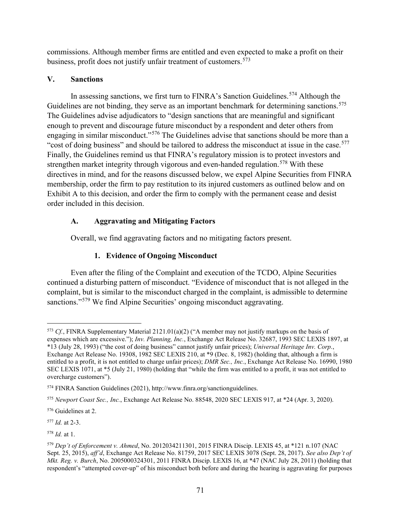commissions. Although member firms are entitled and even expected to make a profit on their business, profit does not justify unfair treatment of customers. 573

## **V. Sanctions**

In assessing sanctions, we first turn to FINRA's Sanction Guidelines.<sup>574</sup> Although the Guidelines are not binding, they serve as an important benchmark for determining sanctions.<sup>575</sup> The Guidelines advise adjudicators to "design sanctions that are meaningful and significant enough to prevent and discourage future misconduct by a respondent and deter others from engaging in similar misconduct."<sup>576</sup> The Guidelines advise that sanctions should be more than a "cost of doing business" and should be tailored to address the misconduct at issue in the case.<sup>577</sup> Finally, the Guidelines remind us that FINRA's regulatory mission is to protect investors and strengthen market integrity through vigorous and even-handed regulation.<sup>578</sup> With these directives in mind, and for the reasons discussed below, we expel Alpine Securities from FINRA membership, order the firm to pay restitution to its injured customers as outlined below and on Exhibit A to this decision, and order the firm to comply with the permanent cease and desist order included in this decision.

# **A. Aggravating and Mitigating Factors**

Overall, we find aggravating factors and no mitigating factors present.

# **1. Evidence of Ongoing Misconduct**

Even after the filing of the Complaint and execution of the TCDO, Alpine Securities continued a disturbing pattern of misconduct. "Evidence of misconduct that is not alleged in the complaint, but is similar to the misconduct charged in the complaint, is admissible to determine sanctions."<sup>579</sup> We find Alpine Securities' ongoing misconduct aggravating.

<sup>576</sup> Guidelines at 2.

<sup>577</sup> *Id.* at 2-3.

<sup>578</sup> *Id.* at 1.

<sup>573</sup> *Cf.*, FINRA Supplementary Material 2121.01(a)(2) ("A member may not justify markups on the basis of expenses which are excessive."); *Inv. Planning, Inc.*, Exchange Act Release No. 32687, 1993 SEC LEXIS 1897, at \*13 (July 28, 1993) ("the cost of doing business" cannot justify unfair prices); *Universal Heritage Inv. Corp.*, Exchange Act Release No. 19308, 1982 SEC LEXIS 210, at \*9 (Dec. 8, 1982) (holding that, although a firm is entitled to a profit, it is not entitled to charge unfair prices); *DMR Sec., Inc.*, Exchange Act Release No. 16990, 1980 SEC LEXIS 1071, at \*5 (July 21, 1980) (holding that "while the firm was entitled to a profit, it was not entitled to overcharge customers").

<sup>574</sup> FINRA Sanction Guidelines (2021), http://www.finra.org/sanctionguidelines.

<sup>575</sup> *Newport Coast Sec., Inc.*, Exchange Act Release No. 88548, 2020 SEC LEXIS 917, at \*24 (Apr. 3, 2020).

<sup>579</sup> *Dep't of Enforcement v. Ahmed*, No. 2012034211301, 2015 FINRA Discip. LEXIS 45, at \*121 n.107 (NAC Sept. 25, 2015), *aff'd*, Exchange Act Release No. 81759, 2017 SEC LEXIS 3078 (Sept. 28, 2017). *See also Dep't of Mkt. Reg. v. Burch*, No. 2005000324301, 2011 FINRA Discip. LEXIS 16, at \*47 (NAC July 28, 2011) (holding that respondent's "attempted cover-up" of his misconduct both before and during the hearing is aggravating for purposes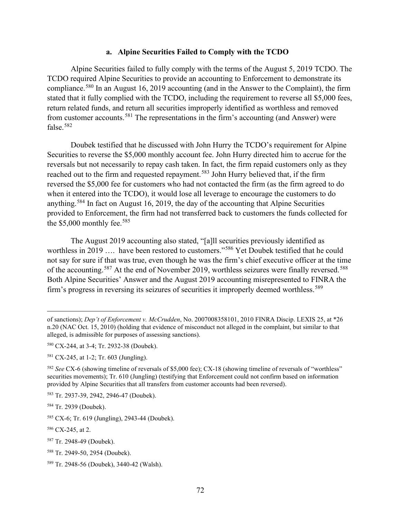#### **a. Alpine Securities Failed to Comply with the TCDO**

Alpine Securities failed to fully comply with the terms of the August 5, 2019 TCDO. The TCDO required Alpine Securities to provide an accounting to Enforcement to demonstrate its compliance.<sup>580</sup> In an August 16, 2019 accounting (and in the Answer to the Complaint), the firm stated that it fully complied with the TCDO, including the requirement to reverse all \$5,000 fees, return related funds, and return all securities improperly identified as worthless and removed from customer accounts.<sup>581</sup> The representations in the firm's accounting (and Answer) were false.<sup>582</sup>

Doubek testified that he discussed with John Hurry the TCDO's requirement for Alpine Securities to reverse the \$5,000 monthly account fee. John Hurry directed him to accrue for the reversals but not necessarily to repay cash taken. In fact, the firm repaid customers only as they reached out to the firm and requested repayment.<sup>583</sup> John Hurry believed that, if the firm reversed the \$5,000 fee for customers who had not contacted the firm (as the firm agreed to do when it entered into the TCDO), it would lose all leverage to encourage the customers to do anything.<sup>584</sup> In fact on August 16, 2019, the day of the accounting that Alpine Securities provided to Enforcement, the firm had not transferred back to customers the funds collected for the \$5,000 monthly fee.<sup>585</sup>

The August 2019 accounting also stated, "[a]ll securities previously identified as worthless in 2019 …. have been restored to customers."<sup>586</sup> Yet Doubek testified that he could not say for sure if that was true, even though he was the firm's chief executive officer at the time of the accounting.<sup>587</sup> At the end of November 2019, worthless seizures were finally reversed.<sup>588</sup> Both Alpine Securities' Answer and the August 2019 accounting misrepresented to FINRA the firm's progress in reversing its seizures of securities it improperly deemed worthless.<sup>589</sup>

of sanctions); *Dep't of Enforcement v. McCrudden*, No. 2007008358101, 2010 FINRA Discip. LEXIS 25, at \*26 n.20 (NAC Oct. 15, 2010) (holding that evidence of misconduct not alleged in the complaint, but similar to that alleged, is admissible for purposes of assessing sanctions).

<sup>580</sup> CX-244, at 3-4; Tr. 2932-38 (Doubek).

<sup>581</sup> CX-245, at 1-2; Tr. 603 (Jungling).

<sup>582</sup> *See* CX-6 (showing timeline of reversals of \$5,000 fee); CX-18 (showing timeline of reversals of "worthless" securities movements); Tr. 610 (Jungling) (testifying that Enforcement could not confirm based on information provided by Alpine Securities that all transfers from customer accounts had been reversed).

<sup>583</sup> Tr. 2937-39, 2942, 2946-47 (Doubek).

<sup>584</sup> Tr. 2939 (Doubek).

<sup>585</sup> CX-6; Tr. 619 (Jungling), 2943-44 (Doubek).

<sup>586</sup> CX-245, at 2.

<sup>587</sup> Tr. 2948-49 (Doubek).

<sup>588</sup> Tr. 2949-50, 2954 (Doubek).

<sup>589</sup> Tr. 2948-56 (Doubek), 3440-42 (Walsh).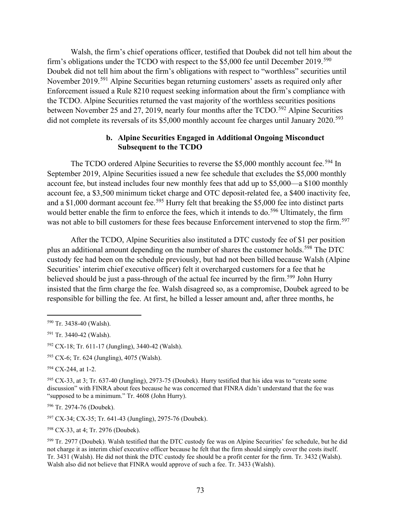Walsh, the firm's chief operations officer, testified that Doubek did not tell him about the firm's obligations under the TCDO with respect to the \$5,000 fee until December 2019.<sup>590</sup> Doubek did not tell him about the firm's obligations with respect to "worthless" securities until November 2019.<sup>591</sup> Alpine Securities began returning customers' assets as required only after Enforcement issued a Rule 8210 request seeking information about the firm's compliance with the TCDO. Alpine Securities returned the vast majority of the worthless securities positions between November 25 and 27, 2019, nearly four months after the TCDO.<sup>592</sup> Alpine Securities did not complete its reversals of its \$5,000 monthly account fee charges until January 2020.<sup>593</sup>

# **b. Alpine Securities Engaged in Additional Ongoing Misconduct Subsequent to the TCDO**

The TCDO ordered Alpine Securities to reverse the \$5,000 monthly account fee.<sup>594</sup> In September 2019, Alpine Securities issued a new fee schedule that excludes the \$5,000 monthly account fee, but instead includes four new monthly fees that add up to \$5,000—a \$100 monthly account fee, a \$3,500 minimum ticket charge and OTC deposit-related fee, a \$400 inactivity fee, and a \$1,000 dormant account fee.<sup>595</sup> Hurry felt that breaking the \$5,000 fee into distinct parts would better enable the firm to enforce the fees, which it intends to do.<sup>596</sup> Ultimately, the firm was not able to bill customers for these fees because Enforcement intervened to stop the firm.<sup>597</sup>

After the TCDO, Alpine Securities also instituted a DTC custody fee of \$1 per position plus an additional amount depending on the number of shares the customer holds.<sup>598</sup> The DTC custody fee had been on the schedule previously, but had not been billed because Walsh (Alpine Securities' interim chief executive officer) felt it overcharged customers for a fee that he believed should be just a pass-through of the actual fee incurred by the firm.<sup>599</sup> John Hurry insisted that the firm charge the fee. Walsh disagreed so, as a compromise, Doubek agreed to be responsible for billing the fee. At first, he billed a lesser amount and, after three months, he

<sup>598</sup> CX-33, at 4; Tr. 2976 (Doubek).

<sup>590</sup> Tr. 3438-40 (Walsh).

<sup>591</sup> Tr. 3440-42 (Walsh).

<sup>592</sup> CX-18; Tr. 611-17 (Jungling), 3440-42 (Walsh).

<sup>593</sup> CX-6; Tr. 624 (Jungling), 4075 (Walsh).

<sup>594</sup> CX-244, at 1-2.

<sup>595</sup> CX-33, at 3; Tr. 637-40 (Jungling), 2973-75 (Doubek). Hurry testified that his idea was to "create some discussion" with FINRA about fees because he was concerned that FINRA didn't understand that the fee was "supposed to be a minimum." Tr. 4608 (John Hurry).

<sup>596</sup> Tr. 2974-76 (Doubek).

<sup>597</sup> CX-34; CX-35; Tr. 641-43 (Jungling), 2975-76 (Doubek).

<sup>599</sup> Tr. 2977 (Doubek). Walsh testified that the DTC custody fee was on Alpine Securities' fee schedule, but he did not charge it as interim chief executive officer because he felt that the firm should simply cover the costs itself. Tr. 3431 (Walsh). He did not think the DTC custody fee should be a profit center for the firm. Tr. 3432 (Walsh). Walsh also did not believe that FINRA would approve of such a fee. Tr. 3433 (Walsh).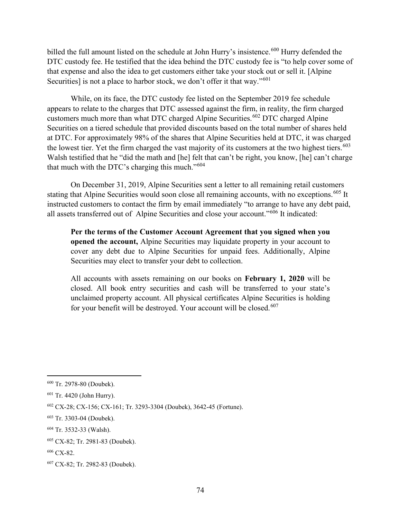billed the full amount listed on the schedule at John Hurry's insistence.<sup>600</sup> Hurry defended the DTC custody fee. He testified that the idea behind the DTC custody fee is "to help cover some of that expense and also the idea to get customers either take your stock out or sell it. [Alpine Securities] is not a place to harbor stock, we don't offer it that way."<sup>601</sup>

While, on its face, the DTC custody fee listed on the September 2019 fee schedule appears to relate to the charges that DTC assessed against the firm, in reality, the firm charged customers much more than what DTC charged Alpine Securities. <sup>602</sup> DTC charged Alpine Securities on a tiered schedule that provided discounts based on the total number of shares held at DTC. For approximately 98% of the shares that Alpine Securities held at DTC, it was charged the lowest tier. Yet the firm charged the vast majority of its customers at the two highest tiers.<sup>603</sup> Walsh testified that he "did the math and [he] felt that can't be right, you know, [he] can't charge that much with the DTC's charging this much."<sup>604</sup>

On December 31, 2019, Alpine Securities sent a letter to all remaining retail customers stating that Alpine Securities would soon close all remaining accounts, with no exceptions.<sup>605</sup> It instructed customers to contact the firm by email immediately "to arrange to have any debt paid, all assets transferred out of Alpine Securities and close your account."<sup>606</sup> It indicated:

**Per the terms of the Customer Account Agreement that you signed when you opened the account,** Alpine Securities may liquidate property in your account to cover any debt due to Alpine Securities for unpaid fees. Additionally, Alpine Securities may elect to transfer your debt to collection.

All accounts with assets remaining on our books on **February 1, 2020** will be closed. All book entry securities and cash will be transferred to your state's unclaimed property account. All physical certificates Alpine Securities is holding for your benefit will be destroyed. Your account will be closed.<sup>607</sup>

<sup>600</sup> Tr. 2978-80 (Doubek).

<sup>601</sup> Tr. 4420 (John Hurry).

<sup>602</sup> CX-28; CX-156; CX-161; Tr. 3293-3304 (Doubek), 3642-45 (Fortune).

<sup>603</sup> Tr. 3303-04 (Doubek).

<sup>604</sup> Tr. 3532-33 (Walsh).

<sup>605</sup> CX-82; Tr. 2981-83 (Doubek).

<sup>606</sup> CX-82.

<sup>607</sup> CX-82; Tr. 2982-83 (Doubek).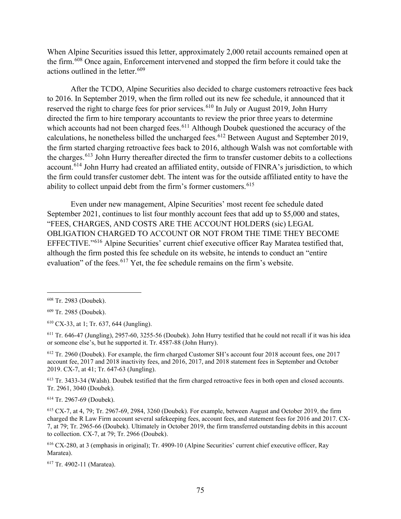When Alpine Securities issued this letter, approximately 2,000 retail accounts remained open at the firm.<sup>608</sup> Once again, Enforcement intervened and stopped the firm before it could take the actions outlined in the letter.<sup>609</sup>

After the TCDO, Alpine Securities also decided to charge customers retroactive fees back to 2016. In September 2019, when the firm rolled out its new fee schedule, it announced that it reserved the right to charge fees for prior services.<sup>610</sup> In July or August 2019, John Hurry directed the firm to hire temporary accountants to review the prior three years to determine which accounts had not been charged fees.<sup>611</sup> Although Doubek questioned the accuracy of the calculations, he nonetheless billed the uncharged fees.<sup>612</sup> Between August and September 2019, the firm started charging retroactive fees back to 2016, although Walsh was not comfortable with the charges.<sup>613</sup> John Hurry thereafter directed the firm to transfer customer debits to a collections account.<sup>614</sup> John Hurry had created an affiliated entity, outside of FINRA's jurisdiction, to which the firm could transfer customer debt. The intent was for the outside affiliated entity to have the ability to collect unpaid debt from the firm's former customers.<sup>615</sup>

Even under new management, Alpine Securities' most recent fee schedule dated September 2021, continues to list four monthly account fees that add up to \$5,000 and states, "FEES, CHARGES, AND COSTS ARE THE ACCOUNT HOLDERS (sic) LEGAL OBLIGATION CHARGED TO ACCOUNT OR NOT FROM THE TIME THEY BECOME EFFECTIVE."<sup>616</sup> Alpine Securities' current chief executive officer Ray Maratea testified that, although the firm posted this fee schedule on its website, he intends to conduct an "entire evaluation" of the fees.<sup>617</sup> Yet, the fee schedule remains on the firm's website.

<sup>609</sup> Tr. 2985 (Doubek).

<sup>610</sup> CX-33, at 1; Tr. 637, 644 (Jungling).

<sup>611</sup> Tr. 646-47 (Jungling), 2957-60, 3255-56 (Doubek). John Hurry testified that he could not recall if it was his idea or someone else's, but he supported it. Tr. 4587-88 (John Hurry).

<sup>612</sup> Tr. 2960 (Doubek). For example, the firm charged Customer SH's account four 2018 account fees, one 2017 account fee, 2017 and 2018 inactivity fees, and 2016, 2017, and 2018 statement fees in September and October 2019. CX-7, at 41; Tr. 647-63 (Jungling).

<sup>613</sup> Tr. 3433-34 (Walsh). Doubek testified that the firm charged retroactive fees in both open and closed accounts. Tr. 2961, 3040 (Doubek).

<sup>614</sup> Tr. 2967-69 (Doubek).

<sup>615</sup> CX-7, at 4, 79; Tr. 2967-69, 2984, 3260 (Doubek). For example, between August and October 2019, the firm charged the R Law Firm account several safekeeping fees, account fees, and statement fees for 2016 and 2017. CX-7, at 79; Tr. 2965-66 (Doubek). Ultimately in October 2019, the firm transferred outstanding debits in this account to collection. CX-7, at 79; Tr. 2966 (Doubek).

<sup>616</sup> CX-280, at 3 (emphasis in original); Tr. 4909-10 (Alpine Securities' current chief executive officer, Ray Maratea).

<sup>617</sup> Tr. 4902-11 (Maratea).

<sup>608</sup> Tr. 2983 (Doubek).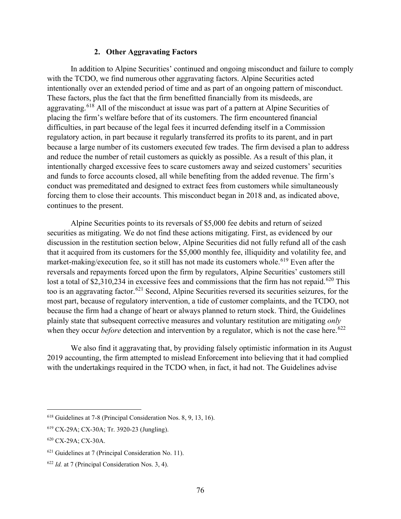### **2. Other Aggravating Factors**

In addition to Alpine Securities' continued and ongoing misconduct and failure to comply with the TCDO, we find numerous other aggravating factors. Alpine Securities acted intentionally over an extended period of time and as part of an ongoing pattern of misconduct. These factors, plus the fact that the firm benefitted financially from its misdeeds, are aggravating.<sup>618</sup> All of the misconduct at issue was part of a pattern at Alpine Securities of placing the firm's welfare before that of its customers. The firm encountered financial difficulties, in part because of the legal fees it incurred defending itself in a Commission regulatory action, in part because it regularly transferred its profits to its parent, and in part because a large number of its customers executed few trades. The firm devised a plan to address and reduce the number of retail customers as quickly as possible. As a result of this plan, it intentionally charged excessive fees to scare customers away and seized customers' securities and funds to force accounts closed, all while benefiting from the added revenue. The firm's conduct was premeditated and designed to extract fees from customers while simultaneously forcing them to close their accounts. This misconduct began in 2018 and, as indicated above, continues to the present.

Alpine Securities points to its reversals of \$5,000 fee debits and return of seized securities as mitigating. We do not find these actions mitigating. First, as evidenced by our discussion in the restitution section below, Alpine Securities did not fully refund all of the cash that it acquired from its customers for the \$5,000 monthly fee, illiquidity and volatility fee, and market-making/execution fee, so it still has not made its customers whole.<sup>619</sup> Even after the reversals and repayments forced upon the firm by regulators, Alpine Securities' customers still lost a total of \$2,310,234 in excessive fees and commissions that the firm has not repaid.<sup>620</sup> This too is an aggravating factor.<sup>621</sup> Second, Alpine Securities reversed its securities seizures, for the most part, because of regulatory intervention, a tide of customer complaints, and the TCDO, not because the firm had a change of heart or always planned to return stock. Third, the Guidelines plainly state that subsequent corrective measures and voluntary restitution are mitigating *only* when they occur *before* detection and intervention by a regulator, which is not the case here.<sup>622</sup>

We also find it aggravating that, by providing falsely optimistic information in its August 2019 accounting, the firm attempted to mislead Enforcement into believing that it had complied with the undertakings required in the TCDO when, in fact, it had not. The Guidelines advise

<sup>618</sup> Guidelines at 7-8 (Principal Consideration Nos. 8, 9, 13, 16).

<sup>619</sup> CX-29A; CX-30A; Tr. 3920-23 (Jungling).

<sup>620</sup> CX-29A; CX-30A.

 $621$  Guidelines at 7 (Principal Consideration No. 11).

<sup>622</sup> *Id.* at 7 (Principal Consideration Nos. 3, 4).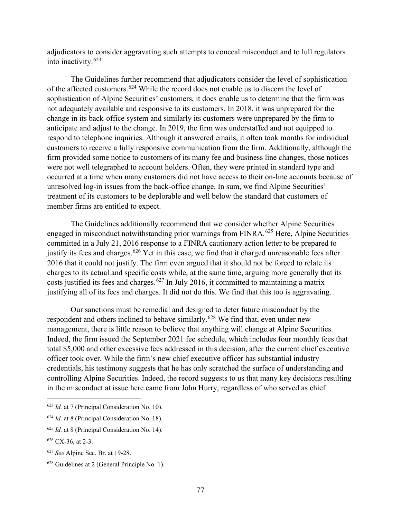adjudicators to consider aggravating such attempts to conceal misconduct and to lull regulators into inactivity.<sup>623</sup>

The Guidelines further recommend that adjudicators consider the level of sophistication of the affected customers.<sup>624</sup> While the record does not enable us to discern the level of sophistication of Alpine Securities' customers, it does enable us to determine that the firm was not adequately available and responsive to its customers. In 2018, it was unprepared for the change in its back-office system and similarly its customers were unprepared by the firm to anticipate and adjust to the change. In 2019, the firm was understaffed and not equipped to respond to telephone inquiries. Although it answered emails, it often took months for individual customers to receive a fully responsive communication from the firm. Additionally, although the firm provided some notice to customers of its many fee and business line changes, those notices were not well telegraphed to account holders. Often, they were printed in standard type and occurred at a time when many customers did not have access to their on-line accounts because of unresolved log-in issues from the back-office change. In sum, we find Alpine Securities' treatment of its customers to be deplorable and well below the standard that customers of member firms are entitled to expect.

The Guidelines additionally recommend that we consider whether Alpine Securities engaged in misconduct notwithstanding prior warnings from FINRA.<sup>625</sup> Here, Alpine Securities committed in a July 21, 2016 response to a FINRA cautionary action letter to be prepared to justify its fees and charges.<sup>626</sup> Yet in this case, we find that it charged unreasonable fees after 2016 that it could not justify. The firm even argued that it should not be forced to relate its charges to its actual and specific costs while, at the same time, arguing more generally that its costs justified its fees and charges.<sup>627</sup> In July 2016, it committed to maintaining a matrix justifying all of its fees and charges. It did not do this. We find that this too is aggravating.

Our sanctions must be remedial and designed to deter future misconduct by the respondent and others inclined to behave similarly.<sup>628</sup> We find that, even under new management, there is little reason to believe that anything will change at Alpine Securities. Indeed, the firm issued the September 2021 fee schedule, which includes four monthly fees that total \$5,000 and other excessive fees addressed in this decision, after the current chief executive officer took over. While the firm's new chief executive officer has substantial industry credentials, his testimony suggests that he has only scratched the surface of understanding and controlling Alpine Securities. Indeed, the record suggests to us that many key decisions resulting in the misconduct at issue here came from John Hurry, regardless of who served as chief

- <sup>623</sup> *Id.* at 7 (Principal Consideration No. 10).
- <sup>624</sup> *Id.* at 8 (Principal Consideration No. 18).
- <sup>625</sup> *Id.* at 8 (Principal Consideration No. 14).

<sup>626</sup> CX-36, at 2-3.

<sup>627</sup> *See* Alpine Sec. Br. at 19-28.

<sup>628</sup> Guidelines at 2 (General Principle No. 1).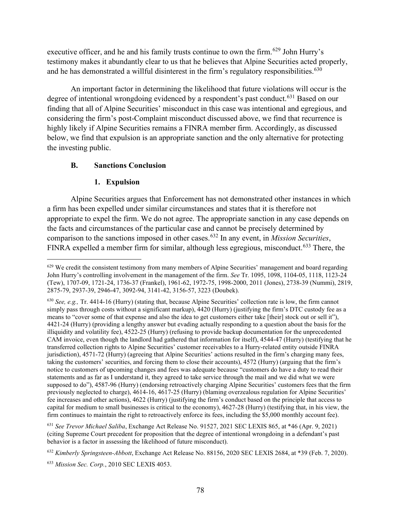executive officer, and he and his family trusts continue to own the firm.<sup>629</sup> John Hurry's testimony makes it abundantly clear to us that he believes that Alpine Securities acted properly, and he has demonstrated a willful disinterest in the firm's regulatory responsibilities.<sup>630</sup>

An important factor in determining the likelihood that future violations will occur is the degree of intentional wrongdoing evidenced by a respondent's past conduct.<sup>631</sup> Based on our finding that all of Alpine Securities' misconduct in this case was intentional and egregious, and considering the firm's post-Complaint misconduct discussed above, we find that recurrence is highly likely if Alpine Securities remains a FINRA member firm. Accordingly, as discussed below, we find that expulsion is an appropriate sanction and the only alternative for protecting the investing public.

# **B. Sanctions Conclusion**

# **1. Expulsion**

Alpine Securities argues that Enforcement has not demonstrated other instances in which a firm has been expelled under similar circumstances and states that it is therefore not appropriate to expel the firm. We do not agree. The appropriate sanction in any case depends on the facts and circumstances of the particular case and cannot be precisely determined by comparison to the sanctions imposed in other cases.<sup>632</sup> In any event, in *Mission Securities*, FINRA expelled a member firm for similar, although less egregious, misconduct.<sup>633</sup> There, the

<sup>631</sup> *See Trevor Michael Saliba*, Exchange Act Release No. 91527, 2021 SEC LEXIS 865, at \*46 (Apr. 9, 2021) (citing Supreme Court precedent for proposition that the degree of intentional wrongdoing in a defendant's past behavior is a factor in assessing the likelihood of future misconduct).

<sup>&</sup>lt;sup>629</sup> We credit the consistent testimony from many members of Alpine Securities' management and board regarding John Hurry's controlling involvement in the management of the firm. *See* Tr. 1095, 1098, 1104-05, 1118, 1123-24 (Tew), 1707-09, 1721-24, 1736-37 (Frankel), 1961-62, 1972-75, 1998-2000, 2011 (Jones), 2738-39 (Nummi), 2819, 2875-79, 2937-39, 2946-47, 3092-94, 3141-42, 3156-57, 3223 (Doubek).

<sup>630</sup> *See, e.g.,* Tr. 4414-16 (Hurry) (stating that, because Alpine Securities' collection rate is low, the firm cannot simply pass through costs without a significant markup), 4420 (Hurry) (justifying the firm's DTC custody fee as a means to "cover some of that expense and also the idea to get customers either take [their] stock out or sell it"), 4421-24 (Hurry) (providing a lengthy answer but evading actually responding to a question about the basis for the illiquidity and volatility fee), 4522-25 (Hurry) (refusing to provide backup documentation for the unprecedented CAM invoice, even though the landlord had gathered that information for itself), 4544-47 (Hurry) (testifying that he transferred collection rights to Alpine Securities' customer receivables to a Hurry-related entity outside FINRA jurisdiction), 4571-72 (Hurry) (agreeing that Alpine Securities' actions resulted in the firm's charging many fees, taking the customers' securities, and forcing them to close their accounts), 4572 (Hurry) (arguing that the firm's notice to customers of upcoming changes and fees was adequate because "customers do have a duty to read their statements and as far as I understand it, they agreed to take service through the mail and we did what we were supposed to do"), 4587-96 (Hurry) (endorsing retroactively charging Alpine Securities' customers fees that the firm previously neglected to charge), 4614-16, 4617-25 (Hurry) (blaming overzealous regulation for Alpine Securities' fee increases and other actions), 4622 (Hurry) (justifying the firm's conduct based on the principle that access to capital for medium to small businesses is critical to the economy), 4627-28 (Hurry) (testifying that, in his view, the firm continues to maintain the right to retroactively enforce its fees, including the \$5,000 monthly account fee).

<sup>632</sup> *Kimberly Springsteen-Abbott*, Exchange Act Release No. 88156, 2020 SEC LEXIS 2684, at \*39 (Feb. 7, 2020).

<sup>633</sup> *Mission Sec. Corp.*, 2010 SEC LEXIS 4053.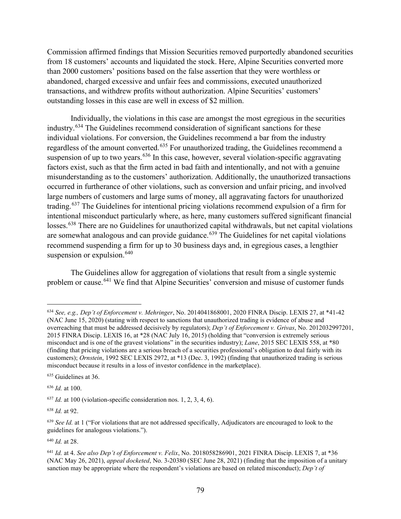Commission affirmed findings that Mission Securities removed purportedly abandoned securities from 18 customers' accounts and liquidated the stock. Here, Alpine Securities converted more than 2000 customers' positions based on the false assertion that they were worthless or abandoned, charged excessive and unfair fees and commissions, executed unauthorized transactions, and withdrew profits without authorization. Alpine Securities' customers' outstanding losses in this case are well in excess of \$2 million.

Individually, the violations in this case are amongst the most egregious in the securities industry.<sup>634</sup> The Guidelines recommend consideration of significant sanctions for these individual violations. For conversion, the Guidelines recommend a bar from the industry regardless of the amount converted.<sup>635</sup> For unauthorized trading, the Guidelines recommend a suspension of up to two years.<sup>636</sup> In this case, however, several violation-specific aggravating factors exist, such as that the firm acted in bad faith and intentionally, and not with a genuine misunderstanding as to the customers' authorization. Additionally, the unauthorized transactions occurred in furtherance of other violations, such as conversion and unfair pricing, and involved large numbers of customers and large sums of money, all aggravating factors for unauthorized trading.<sup>637</sup> The Guidelines for intentional pricing violations recommend expulsion of a firm for intentional misconduct particularly where, as here, many customers suffered significant financial losses.<sup>638</sup> There are no Guidelines for unauthorized capital withdrawals, but net capital violations are somewhat analogous and can provide guidance.<sup>639</sup> The Guidelines for net capital violations recommend suspending a firm for up to 30 business days and, in egregious cases, a lengthier suspension or expulsion.<sup>640</sup>

The Guidelines allow for aggregation of violations that result from a single systemic problem or cause.<sup>641</sup> We find that Alpine Securities' conversion and misuse of customer funds

<sup>635</sup> Guidelines at 36.

<sup>636</sup> *Id.* at 100.

 $637$  *Id.* at 100 (violation-specific consideration nos. 1, 2, 3, 4, 6).

<sup>638</sup> *Id.* at 92.

<sup>640</sup> *Id.* at 28.

<sup>634</sup> *See, e.g., Dep't of Enforcement v. Mehringer*, No. 2014041868001, 2020 FINRA Discip. LEXIS 27, at \*41-42 (NAC June 15, 2020) (stating with respect to sanctions that unauthorized trading is evidence of abuse and overreaching that must be addressed decisively by regulators); *Dep't of Enforcement v. Grivas*, No. 2012032997201, 2015 FINRA Discip. LEXIS 16, at \*28 (NAC July 16, 2015) (holding that "conversion is extremely serious misconduct and is one of the gravest violations" in the securities industry); *Lane*, 2015 SEC LEXIS 558, at \*80 (finding that pricing violations are a serious breach of a securities professional's obligation to deal fairly with its customers); *Ornstein*, 1992 SEC LEXIS 2972, at \*13 (Dec. 3, 1992) (finding that unauthorized trading is serious misconduct because it results in a loss of investor confidence in the marketplace).

<sup>639</sup> *See Id.* at 1 ("For violations that are not addressed specifically, Adjudicators are encouraged to look to the guidelines for analogous violations.").

<sup>641</sup> *Id.* at 4. *See also Dep't of Enforcement v. Felix*, No. 2018058286901, 2021 FINRA Discip. LEXIS 7, at \*36 (NAC May 26, 2021), *appeal docketed*, No. 3-20380 (SEC June 28, 2021) (finding that the imposition of a unitary sanction may be appropriate where the respondent's violations are based on related misconduct); *Dep't of*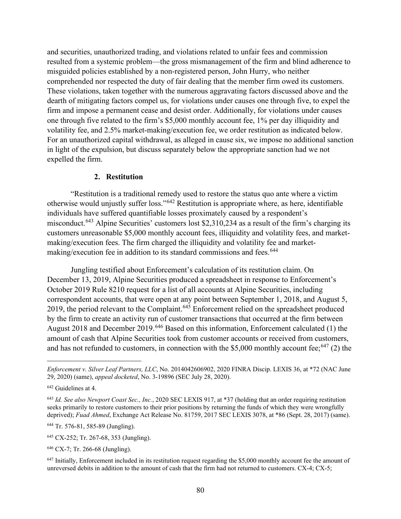and securities, unauthorized trading, and violations related to unfair fees and commission resulted from a systemic problem—the gross mismanagement of the firm and blind adherence to misguided policies established by a non-registered person, John Hurry, who neither comprehended nor respected the duty of fair dealing that the member firm owed its customers. These violations, taken together with the numerous aggravating factors discussed above and the dearth of mitigating factors compel us, for violations under causes one through five, to expel the firm and impose a permanent cease and desist order. Additionally, for violations under causes one through five related to the firm's \$5,000 monthly account fee, 1% per day illiquidity and volatility fee, and 2.5% market-making/execution fee, we order restitution as indicated below. For an unauthorized capital withdrawal, as alleged in cause six, we impose no additional sanction in light of the expulsion, but discuss separately below the appropriate sanction had we not expelled the firm.

#### **2. Restitution**

"Restitution is a traditional remedy used to restore the status quo ante where a victim otherwise would unjustly suffer loss."<sup>642</sup> Restitution is appropriate where, as here, identifiable individuals have suffered quantifiable losses proximately caused by a respondent's misconduct.<sup>643</sup> Alpine Securities' customers lost \$2,310,234 as a result of the firm's charging its customers unreasonable \$5,000 monthly account fees, illiquidity and volatility fees, and marketmaking/execution fees. The firm charged the illiquidity and volatility fee and marketmaking/execution fee in addition to its standard commissions and fees.<sup>644</sup>

Jungling testified about Enforcement's calculation of its restitution claim. On December 13, 2019, Alpine Securities produced a spreadsheet in response to Enforcement's October 2019 Rule 8210 request for a list of all accounts at Alpine Securities, including correspondent accounts, that were open at any point between September 1, 2018, and August 5, 2019, the period relevant to the Complaint.<sup>645</sup> Enforcement relied on the spreadsheet produced by the firm to create an activity run of customer transactions that occurred at the firm between August 2018 and December 2019.<sup>646</sup> Based on this information, Enforcement calculated (1) the amount of cash that Alpine Securities took from customer accounts or received from customers, and has not refunded to customers, in connection with the \$5,000 monthly account fee;<sup>647</sup> (2) the

<sup>644</sup> Tr. 576-81, 585-89 (Jungling).

*Enforcement v. Silver Leaf Partners, LLC*, No. 2014042606902, 2020 FINRA Discip. LEXIS 36, at \*72 (NAC June 29, 2020) (same), *appeal docketed*, No. 3-19896 (SEC July 28, 2020).

<sup>642</sup> Guidelines at 4.

<sup>643</sup> *Id. See also Newport Coast Sec., Inc.*, 2020 SEC LEXIS 917, at \*37 (holding that an order requiring restitution seeks primarily to restore customers to their prior positions by returning the funds of which they were wrongfully deprived); *Fuad Ahmed*, Exchange Act Release No. 81759, 2017 SEC LEXIS 3078, at \*86 (Sept. 28, 2017) (same).

<sup>645</sup> CX-252; Tr. 267-68, 353 (Jungling).

<sup>646</sup> CX-7; Tr. 266-68 (Jungling).

<sup>&</sup>lt;sup>647</sup> Initially, Enforcement included in its restitution request regarding the \$5,000 monthly account fee the amount of unreversed debits in addition to the amount of cash that the firm had not returned to customers. CX-4; CX-5;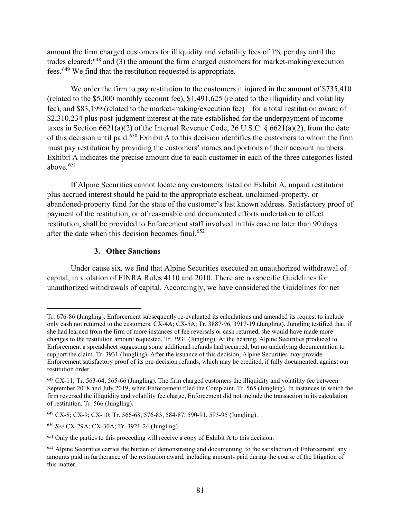amount the firm charged customers for illiquidity and volatility fees of 1% per day until the trades cleared;<sup>648</sup> and (3) the amount the firm charged customers for market-making/execution fees.<sup>649</sup> We find that the restitution requested is appropriate.

We order the firm to pay restitution to the customers it injured in the amount of \$735,410 (related to the \$5,000 monthly account fee), \$1,491,625 (related to the illiquidity and volatility fee), and \$83,199 (related to the market-making/execution fee)—for a total restitution award of \$2,310,234 plus post-judgment interest at the rate established for the underpayment of income taxes in Section 6621(a)(2) of the Internal Revenue Code, 26 U.S.C. § 6621(a)(2), from the date of this decision until paid.<sup>650</sup> Exhibit A to this decision identifies the customers to whom the firm must pay restitution by providing the customers' names and portions of their account numbers. Exhibit A indicates the precise amount due to each customer in each of the three categories listed above. $651$ 

If Alpine Securities cannot locate any customers listed on Exhibit A, unpaid restitution plus accrued interest should be paid to the appropriate escheat, unclaimed-property, or abandoned-property fund for the state of the customer's last known address. Satisfactory proof of payment of the restitution, or of reasonable and documented efforts undertaken to effect restitution, shall be provided to Enforcement staff involved in this case no later than 90 days after the date when this decision becomes final.<sup>652</sup>

# **3. Other Sanctions**

Under cause six, we find that Alpine Securities executed an unauthorized withdrawal of capital, in violation of FINRA Rules 4110 and 2010. There are no specific Guidelines for unauthorized withdrawals of capital. Accordingly, we have considered the Guidelines for net

Tr. 676-86 (Jungling). Enforcement subsequently re-evaluated its calculations and amended its request to include only cash not returned to the customers. CX-4A; CX-5A; Tr. 3887-96, 3917-19 (Jungling). Jungling testified that, if she had learned from the firm of more instances of fee reversals or cash returned, she would have made more changes to the restitution amount requested. Tr. 3931 (Jungling). At the hearing, Alpine Securities produced to Enforcement a spreadsheet suggesting some additional refunds had occurred, but no underlying documentation to support the claim. Tr. 3931 (Jungling). After the issuance of this decision, Alpine Securities may provide Enforcement satisfactory proof of its pre-decision refunds, which may be credited, if fully documented, against our restitution order.

<sup>648</sup> CX-11; Tr. 563-64, 565-66 (Jungling). The firm charged customers the illiquidity and volatility fee between September 2018 and July 2019, when Enforcement filed the Complaint. Tr. 565 (Jungling). In instances in which the firm reversed the illiquidity and volatility fee charge, Enforcement did not include the transaction in its calculation of restitution. Tr. 566 (Jungling).

<sup>649</sup> CX-8; CX-9; CX-10; Tr. 566-68, 576-83, 584-87, 590-91, 593-95 (Jungling).

<sup>650</sup> *See* CX-29A; CX-30A; Tr. 3921-24 (Jungling).

<sup>651</sup> Only the parties to this proceeding will receive a copy of Exhibit A to this decision.

<sup>&</sup>lt;sup>652</sup> Alpine Securities carries the burden of demonstrating and documenting, to the satisfaction of Enforcement, any amounts paid in furtherance of the restitution award, including amounts paid during the course of the litigation of this matter.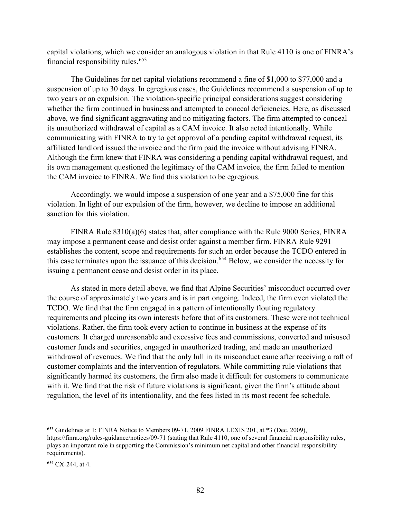capital violations, which we consider an analogous violation in that Rule 4110 is one of FINRA's financial responsibility rules.<sup>653</sup>

The Guidelines for net capital violations recommend a fine of \$1,000 to \$77,000 and a suspension of up to 30 days. In egregious cases, the Guidelines recommend a suspension of up to two years or an expulsion. The violation-specific principal considerations suggest considering whether the firm continued in business and attempted to conceal deficiencies. Here, as discussed above, we find significant aggravating and no mitigating factors. The firm attempted to conceal its unauthorized withdrawal of capital as a CAM invoice. It also acted intentionally. While communicating with FINRA to try to get approval of a pending capital withdrawal request, its affiliated landlord issued the invoice and the firm paid the invoice without advising FINRA. Although the firm knew that FINRA was considering a pending capital withdrawal request, and its own management questioned the legitimacy of the CAM invoice, the firm failed to mention the CAM invoice to FINRA. We find this violation to be egregious.

Accordingly, we would impose a suspension of one year and a \$75,000 fine for this violation. In light of our expulsion of the firm, however, we decline to impose an additional sanction for this violation.

FINRA Rule 8310(a)(6) states that, after compliance with the Rule 9000 Series, FINRA may impose a permanent cease and desist order against a member firm. FINRA Rule 9291 establishes the content, scope and requirements for such an order because the TCDO entered in this case terminates upon the issuance of this decision.<sup>654</sup> Below, we consider the necessity for issuing a permanent cease and desist order in its place.

As stated in more detail above, we find that Alpine Securities' misconduct occurred over the course of approximately two years and is in part ongoing. Indeed, the firm even violated the TCDO. We find that the firm engaged in a pattern of intentionally flouting regulatory requirements and placing its own interests before that of its customers. These were not technical violations. Rather, the firm took every action to continue in business at the expense of its customers. It charged unreasonable and excessive fees and commissions, converted and misused customer funds and securities, engaged in unauthorized trading, and made an unauthorized withdrawal of revenues. We find that the only lull in its misconduct came after receiving a raft of customer complaints and the intervention of regulators. While committing rule violations that significantly harmed its customers, the firm also made it difficult for customers to communicate with it. We find that the risk of future violations is significant, given the firm's attitude about regulation, the level of its intentionality, and the fees listed in its most recent fee schedule.

<sup>653</sup> Guidelines at 1; FINRA Notice to Members 09-71, 2009 FINRA LEXIS 201, at \*3 (Dec. 2009), https://finra.org/rules-guidance/notices/09-71 (stating that Rule 4110, one of several financial responsibility rules, plays an important role in supporting the Commission's minimum net capital and other financial responsibility requirements).

<sup>654</sup> CX-244, at 4.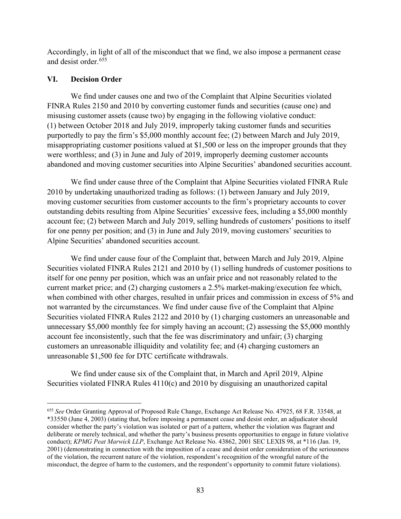Accordingly, in light of all of the misconduct that we find, we also impose a permanent cease and desist order.<sup>655</sup>

### **VI. Decision Order**

We find under causes one and two of the Complaint that Alpine Securities violated FINRA Rules 2150 and 2010 by converting customer funds and securities (cause one) and misusing customer assets (cause two) by engaging in the following violative conduct: (1) between October 2018 and July 2019, improperly taking customer funds and securities purportedly to pay the firm's \$5,000 monthly account fee; (2) between March and July 2019, misappropriating customer positions valued at \$1,500 or less on the improper grounds that they were worthless; and (3) in June and July of 2019, improperly deeming customer accounts abandoned and moving customer securities into Alpine Securities' abandoned securities account.

We find under cause three of the Complaint that Alpine Securities violated FINRA Rule 2010 by undertaking unauthorized trading as follows: (1) between January and July 2019, moving customer securities from customer accounts to the firm's proprietary accounts to cover outstanding debits resulting from Alpine Securities' excessive fees, including a \$5,000 monthly account fee; (2) between March and July 2019, selling hundreds of customers' positions to itself for one penny per position; and (3) in June and July 2019, moving customers' securities to Alpine Securities' abandoned securities account.

We find under cause four of the Complaint that, between March and July 2019, Alpine Securities violated FINRA Rules 2121 and 2010 by (1) selling hundreds of customer positions to itself for one penny per position, which was an unfair price and not reasonably related to the current market price; and (2) charging customers a 2.5% market-making/execution fee which, when combined with other charges, resulted in unfair prices and commission in excess of 5% and not warranted by the circumstances. We find under cause five of the Complaint that Alpine Securities violated FINRA Rules 2122 and 2010 by (1) charging customers an unreasonable and unnecessary \$5,000 monthly fee for simply having an account; (2) assessing the \$5,000 monthly account fee inconsistently, such that the fee was discriminatory and unfair; (3) charging customers an unreasonable illiquidity and volatility fee; and (4) charging customers an unreasonable \$1,500 fee for DTC certificate withdrawals.

We find under cause six of the Complaint that, in March and April 2019, Alpine Securities violated FINRA Rules 4110(c) and 2010 by disguising an unauthorized capital

<sup>655</sup> *See* Order Granting Approval of Proposed Rule Change, Exchange Act Release No. 47925, 68 F.R. 33548, at \*33550 (June 4, 2003) (stating that, before imposing a permanent cease and desist order, an adjudicator should consider whether the party's violation was isolated or part of a pattern, whether the violation was flagrant and deliberate or merely technical, and whether the party's business presents opportunities to engage in future violative conduct); *KPMG Peat Marwick LLP*, Exchange Act Release No. 43862, 2001 SEC LEXIS 98, at \*116 (Jan. 19, 2001) (demonstrating in connection with the imposition of a cease and desist order consideration of the seriousness of the violation, the recurrent nature of the violation, respondent's recognition of the wrongful nature of the misconduct, the degree of harm to the customers, and the respondent's opportunity to commit future violations).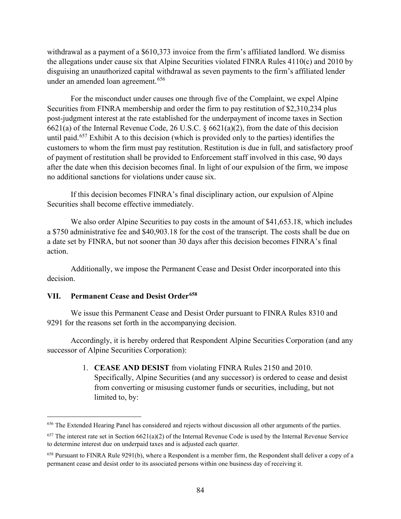withdrawal as a payment of a \$610,373 invoice from the firm's affiliated landlord. We dismiss the allegations under cause six that Alpine Securities violated FINRA Rules 4110(c) and 2010 by disguising an unauthorized capital withdrawal as seven payments to the firm's affiliated lender under an amended loan agreement.<sup>656</sup>

For the misconduct under causes one through five of the Complaint, we expel Alpine Securities from FINRA membership and order the firm to pay restitution of \$2,310,234 plus post-judgment interest at the rate established for the underpayment of income taxes in Section 6621(a) of the Internal Revenue Code, 26 U.S.C. § 6621(a)(2), from the date of this decision until paid.<sup>657</sup> Exhibit A to this decision (which is provided only to the parties) identifies the customers to whom the firm must pay restitution. Restitution is due in full, and satisfactory proof of payment of restitution shall be provided to Enforcement staff involved in this case, 90 days after the date when this decision becomes final. In light of our expulsion of the firm, we impose no additional sanctions for violations under cause six.

If this decision becomes FINRA's final disciplinary action, our expulsion of Alpine Securities shall become effective immediately.

We also order Alpine Securities to pay costs in the amount of \$41,653.18, which includes a \$750 administrative fee and \$40,903.18 for the cost of the transcript. The costs shall be due on a date set by FINRA, but not sooner than 30 days after this decision becomes FINRA's final action.

Additionally, we impose the Permanent Cease and Desist Order incorporated into this decision.

### **VII. Permanent Cease and Desist Order658**

We issue this Permanent Cease and Desist Order pursuant to FINRA Rules 8310 and 9291 for the reasons set forth in the accompanying decision.

Accordingly, it is hereby ordered that Respondent Alpine Securities Corporation (and any successor of Alpine Securities Corporation):

> 1. **CEASE AND DESIST** from violating FINRA Rules 2150 and 2010. Specifically, Alpine Securities (and any successor) is ordered to cease and desist from converting or misusing customer funds or securities, including, but not limited to, by:

<sup>&</sup>lt;sup>656</sup> The Extended Hearing Panel has considered and rejects without discussion all other arguments of the parties.

 $657$  The interest rate set in Section  $6621(a)(2)$  of the Internal Revenue Code is used by the Internal Revenue Service to determine interest due on underpaid taxes and is adjusted each quarter.

 $658$  Pursuant to FINRA Rule 9291(b), where a Respondent is a member firm, the Respondent shall deliver a copy of a permanent cease and desist order to its associated persons within one business day of receiving it.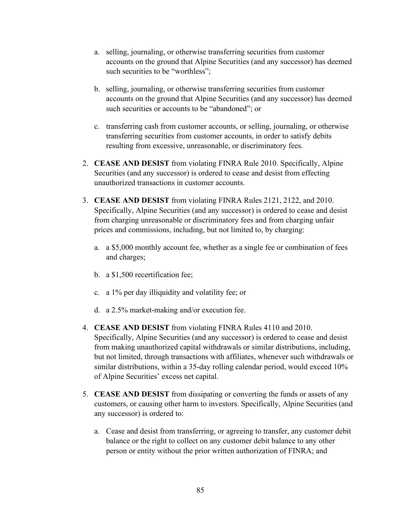- a. selling, journaling, or otherwise transferring securities from customer accounts on the ground that Alpine Securities (and any successor) has deemed such securities to be "worthless";
- b. selling, journaling, or otherwise transferring securities from customer accounts on the ground that Alpine Securities (and any successor) has deemed such securities or accounts to be "abandoned"; or
- c. transferring cash from customer accounts, or selling, journaling, or otherwise transferring securities from customer accounts, in order to satisfy debits resulting from excessive, unreasonable, or discriminatory fees.
- 2. **CEASE AND DESIST** from violating FINRA Rule 2010. Specifically, Alpine Securities (and any successor) is ordered to cease and desist from effecting unauthorized transactions in customer accounts.
- 3. **CEASE AND DESIST** from violating FINRA Rules 2121, 2122, and 2010. Specifically, Alpine Securities (and any successor) is ordered to cease and desist from charging unreasonable or discriminatory fees and from charging unfair prices and commissions, including, but not limited to, by charging:
	- a. a \$5,000 monthly account fee, whether as a single fee or combination of fees and charges;
	- b. a \$1,500 recertification fee;
	- c. a 1% per day illiquidity and volatility fee; or
	- d. a 2.5% market-making and/or execution fee.
- 4. **CEASE AND DESIST** from violating FINRA Rules 4110 and 2010. Specifically, Alpine Securities (and any successor) is ordered to cease and desist from making unauthorized capital withdrawals or similar distributions, including, but not limited, through transactions with affiliates, whenever such withdrawals or similar distributions, within a 35-day rolling calendar period, would exceed 10% of Alpine Securities' excess net capital.
- 5. **CEASE AND DESIST** from dissipating or converting the funds or assets of any customers, or causing other harm to investors. Specifically, Alpine Securities (and any successor) is ordered to:
	- a. Cease and desist from transferring, or agreeing to transfer, any customer debit balance or the right to collect on any customer debit balance to any other person or entity without the prior written authorization of FINRA; and